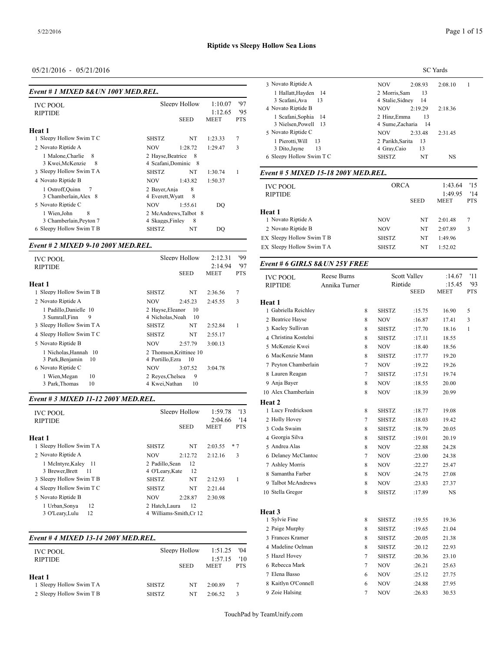| Event # 1 MIXED 8& UN 100Y MED.REL.                                    |                                                                           |                                   |                          | 1 Hallatt,Hayden<br>-14                                                  | 2 Morris.Sam                                              |
|------------------------------------------------------------------------|---------------------------------------------------------------------------|-----------------------------------|--------------------------|--------------------------------------------------------------------------|-----------------------------------------------------------|
| <b>IVC POOL</b><br><b>RIPTIDE</b>                                      | Sleepy Hollow<br><b>SEED</b>                                              | 1:10.07<br>1:12.65<br><b>MEET</b> | '97<br>'95<br><b>PTS</b> | 3 Scafani, Ava<br>13<br>4 Novato Riptide B<br>1 Scafani, Sophia<br>14    | 4 Stalie, Sidney<br><b>NOV</b><br>2:19<br>2 Hinz, Emma    |
| Heat 1<br>Sleepy Hollow Swim T C                                       | <b>SHSTZ</b><br>NT                                                        | 1:23.33                           | $\overline{7}$           | 3 Nielsen, Powell<br>-13<br>5 Novato Riptide C<br>1 Pierotti. Will<br>13 | 4 Sume, Zacharia<br>2:33<br><b>NOV</b><br>2 Parikh.Sarita |
| 2 Novato Riptide A<br>1 Malone.Charlie<br>8<br>3 Kwei, McKenzie<br>- 8 | <b>NOV</b><br>1:28.72<br>2 Hayse, Beatrice<br>- 8<br>4 Scafani, Dominic 8 | 1:29.47                           | 3                        | 13<br>3 Dito, Jayne<br>6 Sleepy Hollow Swim T C                          | 4 Gray, Caio<br><b>SHSTZ</b>                              |
| 3 Sleepy Hollow Swim T A                                               | <b>SHSTZ</b><br>NT                                                        | 1:30.74                           | -1                       | Event # 5 MIXED 15-18 200Y MED.REL.                                      |                                                           |
| 4 Novato Riptide B<br>1 Ostroff, Quinn<br>3 Chamberlain.Alex 8         | <b>NOV</b><br>1:43.82<br>8<br>2 Bayer, Anja<br>4 Everett, Wyatt<br>8      | 1:50.37                           |                          | <b>IVC POOL</b><br><b>RIPTIDE</b>                                        | <b>ORCA</b><br><b>SEE</b>                                 |
| 5 Novato Riptide C<br>8<br>1 Wien, John<br>3 Chamberlain, Peyton 7     | 1:55.61<br><b>NOV</b><br>2 McAndrews, Talbot 8<br>8<br>4 Skaggs, Finley   | DO                                |                          | <b>Heat 1</b><br>1 Novato Riptide A                                      | <b>NOV</b>                                                |
| 6 Sleepy Hollow Swim T B                                               | NT<br><b>SHSTZ</b>                                                        | DO                                |                          | 2 Novato Riptide B                                                       | <b>NOV</b>                                                |

#### *Event # 2 MIXED 9-10 200Y MED.REL.*

| <b>IVC POOL</b><br><b>RIPTIDE</b>        | Sleepy Hollow          | 2:12.31<br>2:14.94 | '99<br>'97 | Event # 6 GIRLS 8& UN 25Y FREE    |                              |   |              |                     |                                 |
|------------------------------------------|------------------------|--------------------|------------|-----------------------------------|------------------------------|---|--------------|---------------------|---------------------------------|
| Heat 1                                   | <b>SEED</b>            | <b>MEET</b>        | <b>PTS</b> | <b>IVC POOL</b><br><b>RIPTIDE</b> | Reese Burns<br>Annika Turner |   | Riptide      | <b>Scott Valley</b> | :14.67<br>:15.45<br><b>MEET</b> |
| Sleepy Hollow Swim T B<br><b>SHSTZ</b>   | NT                     | 2:36.56            | 7          |                                   |                              |   |              | SEED                |                                 |
| 2 Novato Riptide A<br><b>NOV</b>         | 2:45.23                | 2:45.55            | 3          | Heat 1                            |                              |   |              |                     |                                 |
| 1 Padillo, Danielle 10                   | 2 Havse.Eleanor<br>-10 |                    |            | Gabriella Reichley                |                              | 8 | <b>SHSTZ</b> | :15.75              | 16.90                           |
| 3 Sumrall.Finn<br>9                      | 4 Nicholas.Noah<br>-10 |                    |            | 2 Beatrice Hayse                  |                              | 8 | <b>NOV</b>   | :16.87              | 17.41                           |
| 3 Sleepy Hollow Swim T A<br><b>SHSTZ</b> | NT                     | 2:52.84            |            | 3 Kaeley Sullivan                 |                              | 8 | <b>SHSTZ</b> | :17.70              | 18.16                           |
| 4 Sleepy Hollow Swim T C<br><b>SHSTZ</b> | NT                     | 2:55.17            |            | 4 Christina Kostelni              |                              | 8 | <b>SHSTZ</b> | :17.11              | 18.55                           |
| 5 Novato Riptide B<br><b>NOV</b>         | 2:57.79                | 3:00.13            |            | 5 McKenzie Kwei                   |                              | 8 | <b>NOV</b>   | :18.40              | 18.56                           |
| 1 Nicholas.Hannah 10                     | 2 Thomson.Krittinee 10 |                    |            |                                   |                              |   |              |                     |                                 |
| 3 Park, Benjamin<br>- 10                 | 4 Portillo, Ezra 10    |                    |            | 6 MacKenzie Mann                  |                              | 8 | <b>SHSTZ</b> | :17.77              | 19.20                           |
| 6 Novato Riptide C<br><b>NOV</b>         | 3:07.52                | 3:04.78            |            | 7 Peyton Chamberlain              |                              | 7 | <b>NOV</b>   | :19.22              | 19.26                           |
| 10<br>l Wien, Megan                      | 2 Reves.Chelsea<br>-9  |                    |            | 8 Lauren Reagan                   |                              | 7 | <b>SHSTZ</b> | :17.51              | 19.74                           |
| 10<br>3 Park, Thomas                     | 10<br>4 Kwei, Nathan   |                    |            | 9 Anja Bayer                      |                              | 8 | <b>NOV</b>   | :18.55              | 20.00                           |

## *Event # 3 MIXED 11-12 200Y MED.REL.*

| <b>IVC POOL</b>          | Sleepy Hollow          | 13<br>1:59.78             | 1 Lucy Fredrickso    |
|--------------------------|------------------------|---------------------------|----------------------|
| <b>RIPTIDE</b>           |                        | '14<br>2:04.66            | 2 Holly Hovey        |
|                          | <b>SEED</b>            | <b>MEET</b><br><b>PTS</b> | 3 Coda Swaim         |
| Heat 1                   |                        |                           | 4 Georgia Silva      |
| 1 Sleepy Hollow Swim T A | NT<br><b>SHSTZ</b>     | $*7$<br>2:03.55           | 5 Andrea Alas        |
| 2 Novato Riptide A       | <b>NOV</b><br>2:12.72  | 3<br>2:12.16              | 6 Delaney McClar     |
| 1 McIntyre, Kaley 11     | 12<br>2 Padillo, Sean  |                           | 7 Ashlev Morris      |
| 3 Brewer, Brett<br>- 11  | 12<br>4 O'Leary, Kate  |                           | 8 Samantha Farbe     |
| 3 Sleepy Hollow Swim T B | NT<br><b>SHSTZ</b>     | 1<br>2:12.93              | 9 Talbot McAndre     |
| 4 Sleepy Hollow Swim T C | NT<br><b>SHSTZ</b>     | 2:21.44                   | 10 Stella Gregor     |
| 5 Novato Riptide B       | <b>NOV</b><br>2:28.87  | 2:30.98                   |                      |
| 12<br>1 Urban, Sonya     | 12<br>2 Hatch.Laura    |                           |                      |
| 12<br>3 O'Leary, Lulu    | 4 Williams-Smith.Cr 12 |                           | Heat 3               |
|                          |                        |                           | $\sim$ Called Fig. . |

## *Event # 4 MIXED 13-14 200Y MED.REL.*

| <b>IVC POOL</b>          | Sleepy Hollow      | 1:51.25<br>1:57.15 | 4 Madeline Oelma<br>'04<br>5 Hazel Hovey<br>'10 |
|--------------------------|--------------------|--------------------|-------------------------------------------------|
| <b>RIPTIDE</b>           | <b>SEED</b>        | <b>MEET</b>        | 6 Rebecca Mark<br><b>PTS</b>                    |
| Heat 1                   |                    |                    | 7 Elena Basso                                   |
| 1 Sleepy Hollow Swim T A | <b>SHSTZ</b><br>NT | 2:00.89<br>7       | 8 Kaitlyn O'Conne                               |
| 2 Sleepy Hollow Swim T B | NT<br><b>SHSTZ</b> | 2:06.52<br>3       | 9 Zoie Halsing                                  |
|                          |                    |                    |                                                 |

| 3 Novato Riptide A<br><b>NOV</b><br>2:08.93<br>2:08.10<br>13<br>1 Hallatt, Hayden 14<br>2 Morris.Sam<br>3 Scafani, Ava<br>4 Stalie, Sidney<br>13<br>14<br>4 Novato Riptide B<br><b>NOV</b><br>2:19.29<br>2:18.36 |
|------------------------------------------------------------------------------------------------------------------------------------------------------------------------------------------------------------------|
|                                                                                                                                                                                                                  |
|                                                                                                                                                                                                                  |
|                                                                                                                                                                                                                  |
| 13<br>1 Scafani. Sophia 14<br>2 Hinz.Emma<br>3 Nielsen, Powell 13<br>4 Sume, Zacharia 14                                                                                                                         |
| 5 Novato Riptide C<br><b>NOV</b><br>2:33.48<br>2:31.45                                                                                                                                                           |
| 13<br>13<br>2 Parikh Sarita<br>1 Pierotti. Will<br>13<br>13<br>3 Dito, Jayne<br>4 Gray, Caio                                                                                                                     |
| 6 Sleepy Hollow Swim T C<br>NT<br><b>SHSTZ</b><br>NS                                                                                                                                                             |

| <b>IVC POOL</b>           | <b>ORCA</b>  | 1:43.64     | '15                    |                   |
|---------------------------|--------------|-------------|------------------------|-------------------|
| <b>RIPTIDE</b>            |              | <b>SEED</b> | 1:49.95<br><b>MEET</b> | '14<br><b>PTS</b> |
| Heat 1                    |              |             |                        |                   |
| 1 Novato Riptide A        | <b>NOV</b>   | NT          | 2:01.48                | 7                 |
| 2 Novato Riptide B        | <b>NOV</b>   | NT          | 2:07.89                | 3                 |
| EX Sleepy Hollow Swim T B | <b>SHSTZ</b> | NT          | 1:49.96                |                   |
| EX Sleepy Hollow Swim T A | <b>SHSTZ</b> | NT          | 1:52.02                |                   |
|                           |              |             |                        |                   |

| <b>IVC POOL</b><br><b>RIPTIDE</b> | Reese Burns<br>Annika Turner |                | <b>Scott Valley</b><br>Riptide |             | :14.67<br>:15.45 | '11<br>93    |
|-----------------------------------|------------------------------|----------------|--------------------------------|-------------|------------------|--------------|
|                                   |                              |                |                                | <b>SEED</b> | MEET             | <b>PTS</b>   |
| Heat 1                            |                              |                |                                |             |                  |              |
| 1 Gabriella Reichley              |                              | 8              | <b>SHSTZ</b>                   | :15.75      | 16.90            | 5            |
| 2 Beatrice Hayse                  |                              | 8              | <b>NOV</b>                     | :16.87      | 17.41            | 3            |
| 3 Kaeley Sullivan                 |                              | 8              | <b>SHSTZ</b>                   | :17.70      | 18.16            | $\mathbf{1}$ |
| 4 Christina Kostelni              |                              | 8              | <b>SHSTZ</b>                   | :17.11      | 18.55            |              |
| 5 McKenzie Kwei                   |                              | 8              | NOV                            | :18.40      | 18.56            |              |
| 6 MacKenzie Mann                  |                              | 8              | <b>SHSTZ</b>                   | :17.77      | 19.20            |              |
| 7 Peyton Chamberlain              |                              | 7              | <b>NOV</b>                     | :19.22      | 19.26            |              |
| 8 Lauren Reagan                   |                              | $\tau$         | SHSTZ                          | :17.51      | 19.74            |              |
| 9 Anja Bayer                      |                              | 8              | NOV                            | :18.55      | 20.00            |              |
| 10 Alex Chamberlain               |                              | 8              | NOV                            | :18.39      | 20.99            |              |
| Heat 2                            |                              |                |                                |             |                  |              |
| 1 Lucy Fredrickson                |                              | 8              | <b>SHSTZ</b>                   | :18.77      | 19.08            |              |
| 2 Holly Hovey                     |                              | 7              | SHSTZ                          | :18.03      | 19.42            |              |
| 3 Coda Swaim                      |                              | $\,$ 8 $\,$    | <b>SHSTZ</b>                   | :18.79      | 20.05            |              |
| 4 Georgia Silva                   |                              | 8              | <b>SHSTZ</b>                   | :19.01      | 20.19            |              |
| 5 Andrea Alas                     |                              | 8              | <b>NOV</b>                     | :22.88      | 24.28            |              |
| 6 Delaney McClantoc               |                              | 7              | <b>NOV</b>                     | :23.00      | 24.38            |              |
| 7 Ashley Morris                   |                              | 8              | <b>NOV</b>                     | :22.27      | 25.47            |              |
| 8 Samantha Farber                 |                              | 8              | NOV                            | :24.75      | 27.08            |              |
| 9 Talbot McAndrews                |                              | 8              | NOV                            | :23.83      | 27.37            |              |
| 10 Stella Gregor                  |                              | 8              | <b>SHSTZ</b>                   | :17.89      | NS               |              |
|                                   |                              |                |                                |             |                  |              |
| Heat 3                            |                              |                |                                |             |                  |              |
| 1 Sylvie Fine                     |                              | 8              | <b>SHSTZ</b>                   | :19.55      | 19.36            |              |
| 2 Paige Murphy                    |                              | 8              | <b>SHSTZ</b>                   | :19.65      | 21.04            |              |
| 3 Frances Kramer                  |                              | 8              | <b>SHSTZ</b>                   | :20.05      | 21.38            |              |
| 4 Madeline Oelman                 |                              | 8              | <b>SHSTZ</b>                   | :20.12      | 22.93            |              |
| 5 Hazel Hovey                     |                              | $\tau$         | <b>SHSTZ</b>                   | :20.36      | 23.10            |              |
| 6 Rebecca Mark                    |                              | $\tau$         | NOV                            | :26.21      | 25.63            |              |
| 7 Elena Basso                     |                              | 6              | NOV                            | :25.12      | 27.75            |              |
| 8 Kaitlyn O'Connell               |                              | 6              | <b>NOV</b>                     | :24.88      | 27.95            |              |
| 9 Zoie Halsing                    |                              | $\overline{7}$ | NOV                            | :26.83      | 30.53            |              |
|                                   |                              |                |                                |             |                  |              |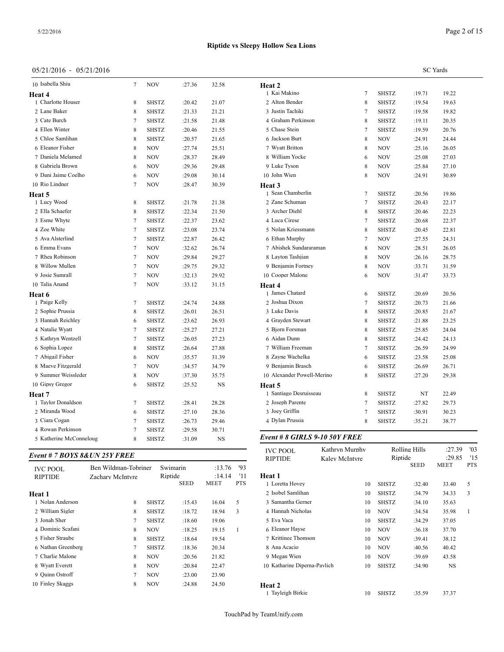## 05/21/2016 - 05/21/2016

|                   |                                     |                                  |                |              |                 | <b>SC</b> Yards       |                   |
|-------------------|-------------------------------------|----------------------------------|----------------|--------------|-----------------|-----------------------|-------------------|
| :27.36            | 32.58                               | Heat 2                           |                |              |                 |                       |                   |
|                   |                                     | 1 Kai Makino                     | 7              | <b>SHSTZ</b> | :19.71          | 19.22                 |                   |
| :20.42            | 21.07                               | 2 Alton Bender                   | 8              | <b>SHSTZ</b> | :19.54          | 19.63                 |                   |
| :21.33            | 21.21                               | 3 Justin Tachiki                 | 7              | <b>SHSTZ</b> | :19.58          | 19.82                 |                   |
| :21.58            | 21.48                               | 4 Graham Perkinson               | 8              | <b>SHSTZ</b> | :19.11          | 20.35                 |                   |
| :20.46            | 21.55                               | 5 Chase Stein                    | 7              | <b>SHSTZ</b> | :19.59          | 20.76                 |                   |
| :20.57            | 21.65                               | 6 Jackson Burt                   | 8              | <b>NOV</b>   | :24.91          | 24.44                 |                   |
| :27.74            | 25.51                               | 7 Wyatt Britton                  | 8              | <b>NOV</b>   | :25.16          | 26.05                 |                   |
| :28.37            | 28.49                               | 8 William Yocke                  | 6              | <b>NOV</b>   | :25.08          | 27.03                 |                   |
| :29.36            | 29.48                               | 9 Luke Tyson                     | 8              | <b>NOV</b>   | :25.84          | 27.10                 |                   |
| :29.08            | 30.14                               | 10 John Wien                     | 8              | <b>NOV</b>   | :24.91          | 30.89                 |                   |
| :28.47            | 30.39                               | <b>Heat 3</b>                    |                |              |                 |                       |                   |
|                   |                                     | 1 Sean Chamberlin                | 7              | <b>SHSTZ</b> | :20.56          | 19.86                 |                   |
| :21.78            | 21.38                               | 2 Zane Schuman                   | 7              | <b>SHSTZ</b> | :20.43          | 22.17                 |                   |
| :22.34            | 21.50                               | 3 Archer Diehl                   | 8              | <b>SHSTZ</b> | :20.46          | 22.23                 |                   |
| :22.37            | 23.62                               | 4 Luca Cirese                    | 7              | <b>SHSTZ</b> | :20.68          | 22.37                 |                   |
| :23.08            | 23.74                               | 5 Nolan Kriessmann               | 8              | <b>SHSTZ</b> | :20.45          | 22.81                 |                   |
| :22.87            | 26.42                               | 6 Ethan Murphy                   | 7              | <b>NOV</b>   | :27.55          | 24.31                 |                   |
| :32.62            | 26.74                               | 7 Abishek Sundararaman           | 8              | <b>NOV</b>   | :28.51          | 26.05                 |                   |
| :29.84            | 29.27                               | 8 Layton Tashjian                | 8              | <b>NOV</b>   | :26.16          | 28.75                 |                   |
| :29.75            | 29.32                               | 9 Benjamin Fortney               | 8              | <b>NOV</b>   | :33.71          | 31.59                 |                   |
| :32.13            | 29.92                               | 10 Cooper Malone                 | 6              | <b>NOV</b>   | :31.47          | 33.73                 |                   |
| :33.12            | 31.15                               | Heat 4                           |                |              |                 |                       |                   |
|                   |                                     | 1 James Chatard                  | 6              | <b>SHSTZ</b> | :20.69          | 20.56                 |                   |
| :24.74            | 24.88                               | 2 Joshua Dixon                   | 7              | <b>SHSTZ</b> | :20.73          | 21.66                 |                   |
| :26.01            | 26.51                               | 3 Luke Davis                     | 8              | <b>SHSTZ</b> | :20.85          | 21.67                 |                   |
| :23.62            | 26.93                               | 4 Grayden Stewart                | 8              | <b>SHSTZ</b> | :21.88          | 23.25                 |                   |
| :25.27            | 27.21                               | 5 Bjorn Forsman                  | 8              | <b>SHSTZ</b> | :25.85          | 24.04                 |                   |
| :26.05            | 27.23                               | 6 Aidan Dunn                     | 8              | <b>SHSTZ</b> | :24.42          | 24.13                 |                   |
| :26.64            | 27.88                               | 7 William Freeman                | 7              | <b>SHSTZ</b> | :26.59          | 24.99                 |                   |
| :35.57            | 31.39                               | 8 Zayne Wachelka                 | 6              | <b>SHSTZ</b> | :23.58          | 25.08                 |                   |
| :34.57            | 34.79                               | 9 Benjamin Brasch                | 6              | <b>SHSTZ</b> | :26.69          | 26.71                 |                   |
| :37.30            | 35.75                               | 10 Alexander Powell-Merino       | 8              | <b>SHSTZ</b> | :27.20          | 29.38                 |                   |
| :25.52            | NS                                  | Heat 5<br>1 Santiago Desruisseau | 8              | <b>SHSTZ</b> | NT              | 22.49                 |                   |
| :28.41            | 28.28                               | 2 Joseph Parente                 | 7              | <b>SHSTZ</b> | :27.82          | 29.73                 |                   |
| :27.10            | 28.36                               | 3 Joey Griffin                   | 7              | <b>SHSTZ</b> | :30.91          | 30.23                 |                   |
| :26.73            | 29.46                               | 4 Dylan Prussia                  | 8              | <b>SHSTZ</b> | :35.21          | 38.77                 |                   |
| :29.58            | 30.71                               |                                  |                |              |                 |                       |                   |
| :31.09            | NS                                  | Event # 8 GIRLS 9-10 50Y FREE    |                |              |                 |                       |                   |
|                   |                                     | <b>IVC POOL</b>                  | Kathryn Murphy |              | Rolling Hills   | :27.39                | '03               |
|                   |                                     | <b>RIPTIDE</b>                   | Kaley McIntyre |              | Riptide<br>SEED | :29.85<br><b>MEET</b> | '15<br><b>PTS</b> |
| arin              | 93<br>:13.76                        |                                  |                |              |                 |                       |                   |
| le<br><b>SEED</b> | :14.14<br>'11<br><b>PTS</b><br>MEET | Heat 1<br>1 Loretta Hovey        | 10             | SHSTZ        | :32.40          | 33.40                 | 5                 |
|                   |                                     | 2 Isobel Samlihan                | 10             | <b>SHSTZ</b> | :34.79          | 34.33                 | 3                 |
| :15.43            | 5<br>16.04                          | 3 Samantha Gerner                | 10             | <b>SHSTZ</b> | :34.10          | 35.63                 |                   |
|                   |                                     |                                  |                |              |                 |                       |                   |

Tayleigh Birkie 10 SHSTZ :35.59 37.37

| 10 Isabella Shiu        | $\overline{7}$ | NOV          | :27.36 | 32.58 | Heat 2      |
|-------------------------|----------------|--------------|--------|-------|-------------|
| Heat 4                  |                |              |        |       | 1 Kai M     |
| 1 Charlotte Houser      | 8              | <b>SHSTZ</b> | :20.42 | 21.07 | 2 Alton     |
| 2 Lane Baker            | 8              | <b>SHSTZ</b> | :21.33 | 21.21 | 3 Justin    |
| 3 Cate Burch            | 7              | <b>SHSTZ</b> | :21.58 | 21.48 | 4 Graha     |
| 4 Ellen Winter          | 8              | <b>SHSTZ</b> | :20.46 | 21.55 | 5 Chase     |
| 5 Chloe Samlihan        | 8              | <b>SHSTZ</b> | :20.57 | 21.65 | 6 Jackso    |
| 6 Eleanor Fisher        | 8              | <b>NOV</b>   | :27.74 | 25.51 | 7 Wyatt     |
| 7 Daniela Melamed       | 8              | <b>NOV</b>   | :28.37 | 28.49 | 8 Willia    |
| 8 Gabriela Brown        | 6              | NOV          | :29.36 | 29.48 | 9 Luke 1    |
| 9 Dani Jaime Coelho     | 6              | NOV          | :29.08 | 30.14 | $10$ John V |
| 10 Rio Lindner          | 7              | NOV          | :28.47 | 30.39 | Heat 3      |
| Heat 5                  |                |              |        |       | 1 Sean C    |
| 1 Lucy Wood             | 8              | <b>SHSTZ</b> | :21.78 | 21.38 | 2 Zane S    |
| 2 Ella Schaefer         | 8              | <b>SHSTZ</b> | :22.34 | 21.50 | 3 Archei    |
| 3 Esme Whyte            | 7              | <b>SHSTZ</b> | :22.37 | 23.62 | 4 Luca 0    |
| 4 Zoe White             | 7              | <b>SHSTZ</b> | :23.08 | 23.74 | 5 Nolan     |
| 5 Ava Alsterlind        | 7              | <b>SHSTZ</b> | :22.87 | 26.42 | 6 Ethan     |
| 6 Emma Evans            | 7              | <b>NOV</b>   | :32.62 | 26.74 | 7 Abish     |
| 7 Rhea Robinson         | 7              | <b>NOV</b>   | :29.84 | 29.27 | 8 Laytor    |
| 8 Willow Mullen         | 7              | NOV          | :29.75 | 29.32 | 9 Benjar    |
| 9 Josie Sumrall         | 7              | NOV          | :32.13 | 29.92 | 10 Coope    |
| 10 Talia Anand          | 7              | <b>NOV</b>   | :33.12 | 31.15 | Heat 4      |
| Heat 6                  |                |              |        |       | 1 James     |
| 1 Paige Kelly           | 7              | SHSTZ        | :24.74 | 24.88 | 2 Joshua    |
| 2 Sophie Prussia        | 8              | SHSTZ        | :26.01 | 26.51 | 3 Luke I    |
| 3 Hannah Reichley       | 6              | <b>SHSTZ</b> | :23.62 | 26.93 | 4 Grayd     |
| 4 Natalie Wyatt         | 7              | <b>SHSTZ</b> | :25.27 | 27.21 | 5 Bjorn     |
| 5 Kathryn Wentzell      | 7              | <b>SHSTZ</b> | :26.05 | 27.23 | 6 Aidan     |
| 6 Sophia Lopez          | 8              | <b>SHSTZ</b> | :26.64 | 27.88 | 7 Willia    |
| 7 Abigail Fisher        | 6              | <b>NOV</b>   | :35.57 | 31.39 | 8 Zayne     |
| 8 Maeve Fitzgerald      | 7              | <b>NOV</b>   | :34.57 | 34.79 | 9 Benjar    |
| 9 Summer Weissleder     | 8              | <b>NOV</b>   | :37.30 | 35.75 | 10 Alexa    |
| 10 Gipsy Gregor         | 6              | <b>SHSTZ</b> | :25.52 | NS    | Heat 5      |
| Heat 7                  |                |              |        |       | 1 Santia    |
| 1 Taylor Donaldson      | 7              | SHSTZ        | :28.41 | 28.28 | 2 Joseph    |
| 2 Miranda Wood          | 6              | <b>SHSTZ</b> | :27.10 | 28.36 | 3 Joey C    |
| 3 Ciara Cogan           | 7              | SHSTZ        | :26.73 | 29.46 | 4 Dylan     |
| 4 Rowan Perkinson       | 7              | SHSTZ        | :29.58 | 30.71 |             |
| 5 Katherine McConneloug | 8              | <b>SHSTZ</b> | :31.09 | NS    | $Event$ #   |
|                         |                |              |        |       |             |

# *Event # 7 BOYS 8&UN 25Y FREE*

| <b>IVC POOL</b>    | Ben Wildman-Tobriner | Swimarin               | :13.76      | '93        |                              |    |              | <b>SEED</b> | MEET      | <b>PTS</b> |
|--------------------|----------------------|------------------------|-------------|------------|------------------------------|----|--------------|-------------|-----------|------------|
| <b>RIPTIDE</b>     | Zachary McIntyre     | Riptide                | :14.14      | '11        | Heat 1                       |    |              |             |           |            |
|                    |                      | <b>SEED</b>            | <b>MEET</b> | <b>PTS</b> | 1 Loretta Hovey              | 10 | <b>SHSTZ</b> | :32.40      | 33.40     | 5          |
| <b>Heat 1</b>      |                      |                        |             |            | 2 Isobel Samlihan            | 10 | SHSTZ        | :34.79      | 34.33     | 3          |
| 1 Nolan Anderson   | 8                    | SHSTZ<br>:15.43        | 16.04       | 5          | 3 Samantha Gerner            | 10 | <b>SHSTZ</b> | :34.10      | 35.63     |            |
| 2 William Sigler   | 8                    | :18.72<br><b>SHSTZ</b> | 18.94       | 3          | 4 Hannah Nicholas            | 10 | <b>NOV</b>   | :34.54      | 35.98     |            |
| 3 Jonah Sher       |                      | :18.60<br>SHSTZ        | 19.06       |            | 5 Eva Vaca                   | 10 | <b>SHSTZ</b> | :34.29      | 37.05     |            |
| 4 Dominic Scafani  | 8                    | :18.25<br><b>NOV</b>   | 19.15       |            | 6 Eleanor Hayse              | 10 | <b>NOV</b>   | :36.18      | 37.70     |            |
| 5 Fisher Straube   | 8                    | :18.64<br>SHSTZ        | 19.54       |            | 7 Krittinee Thomson          | 10 | <b>NOV</b>   | :39.41      | 38.12     |            |
| 6 Nathan Greenberg |                      | :18.36<br><b>SHSTZ</b> | 20.34       |            | 8 Ana Acacio                 | 10 | <b>NOV</b>   | :40.56      | 40.42     |            |
| 7 Charlie Malone   | 8                    | :20.56<br><b>NOV</b>   | 21.82       |            | 9 Megan Wien                 | 10 | <b>NOV</b>   | :39.69      | 43.58     |            |
| 8 Wyatt Everett    | 8                    | :20.84<br><b>NOV</b>   | 22.47       |            | 10 Katharine Diperna-Pavlich | 10 | SHSTZ        | :34.90      | <b>NS</b> |            |
| 9 Ouinn Ostroff    |                      | :23.00<br><b>NOV</b>   | 23.90       |            |                              |    |              |             |           |            |
| 10 Finley Skaggs   | 8                    | <b>NOV</b><br>:24.88   | 24.50       |            | Heat 2                       |    |              |             |           |            |
|                    |                      |                        |             |            |                              |    |              |             |           |            |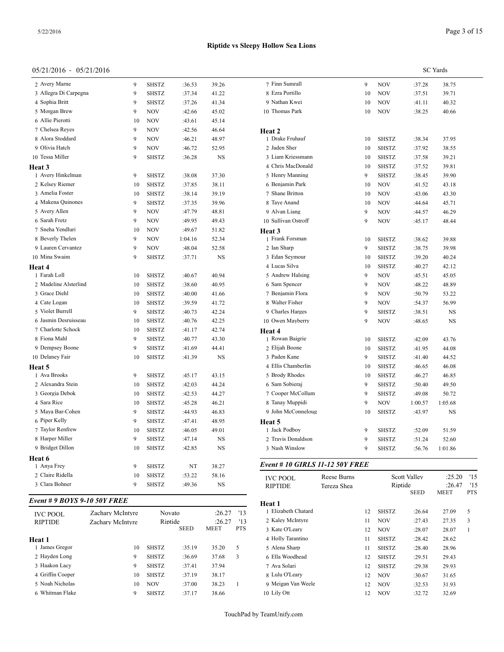#### $05/21/20$

| 05/21/2016 - 05/21/2016      |                  |    |              |         |               |                                        |             |    |              |              | <b>SC</b> Yards |                         |
|------------------------------|------------------|----|--------------|---------|---------------|----------------------------------------|-------------|----|--------------|--------------|-----------------|-------------------------|
| 2 Avery Marne                |                  | 9  | SHSTZ        | :36.53  | 39.26         | 7 Finn Sumrall                         |             | 9  | <b>NOV</b>   | :37.28       | 38.75           |                         |
| 3 Allegra Di Carpegna        |                  | 9  | <b>SHSTZ</b> | :37.34  | 41.22         | 8 Ezra Portillo                        |             | 10 | <b>NOV</b>   | :37.51       | 39.71           |                         |
| 4 Sophia Britt               |                  | 9  | SHSTZ        | :37.26  | 41.34         | 9 Nathan Kwei                          |             | 10 | <b>NOV</b>   | :41.11       | 40.32           |                         |
| 5 Morgan Brew                |                  | 9  | <b>NOV</b>   | :42.66  | 45.02         | 10 Thomas Park                         |             | 10 | <b>NOV</b>   | :38.25       | 40.66           |                         |
| 6 Allie Pierotti             |                  | 10 | <b>NOV</b>   | :43.61  | 45.14         |                                        |             |    |              |              |                 |                         |
| 7 Chelsea Reyes              |                  | 9  | <b>NOV</b>   | :42.56  | 46.64         | Heat 2                                 |             |    |              |              |                 |                         |
| 8 Alora Stoddard             |                  | 9  | <b>NOV</b>   | :46.21  | 48.97         | 1 Drake Fruhauf                        |             | 10 | <b>SHSTZ</b> | :38.34       | 37.95           |                         |
| 9 Olivia Hatch               |                  | 9  | <b>NOV</b>   | :46.72  | 52.95         | 2 Jaden Sher                           |             | 10 | <b>SHSTZ</b> | :37.92       | 38.55           |                         |
| 10 Tessa Miller              |                  | 9  | <b>SHSTZ</b> | :36.28  | NS            | 3 Liam Kriessmann                      |             | 10 | <b>SHSTZ</b> | :37.58       | 39.21           |                         |
| Heat 3                       |                  |    |              |         |               | 4 Chris MacDonald                      |             | 10 | <b>SHSTZ</b> | :37.52       | 39.81           |                         |
| 1 Avery Hinkelman            |                  | 9  | <b>SHSTZ</b> | :38.08  | 37.30         | 5 Henry Manning                        |             | 9  | <b>SHSTZ</b> | :38.45       | 39.90           |                         |
| 2 Kelsey Riemer              |                  | 10 | SHSTZ        | :37.85  | 38.11         | 6 Benjamin Park                        |             | 10 | <b>NOV</b>   | :41.52       | 43.18           |                         |
| 3 Amelia Foster              |                  | 10 | <b>SHSTZ</b> | :38.14  | 39.19         | 7 Shane Britton                        |             | 10 | <b>NOV</b>   | :43.06       | 43.30           |                         |
| 4 Makena Quinones            |                  | 9  | SHSTZ        | :37.35  | 39.96         | 8 Taye Anand                           |             | 10 | <b>NOV</b>   | :44.64       | 45.71           |                         |
| 5 Avery Allen                |                  | 9  | <b>NOV</b>   | :47.79  | 48.81         | 9 Alvan Liang                          |             | 9  | <b>NOV</b>   | :44.57       | 46.29           |                         |
| 6 Sarah Fretz                |                  | 9  | <b>NOV</b>   | :49.95  | 49.43         | 10 Sullivan Ostroff                    |             | 9  | <b>NOV</b>   | :45.17       | 48.44           |                         |
| 7 Sneha Yendluri             |                  | 10 | <b>NOV</b>   | :49.67  | 51.82         | Heat 3                                 |             |    |              |              |                 |                         |
| 8 Beverly Thelen             |                  | 9  | <b>NOV</b>   | 1:04.16 | 52.34         | 1 Frank Forsman                        |             | 10 | <b>SHSTZ</b> | :38.62       | 39.88           |                         |
| 9 Lauren Cervantez           |                  | 9  | <b>NOV</b>   | :48.04  | 52.58         | 2 Ian Sharp                            |             | 9  | <b>SHSTZ</b> | :38.75       | 39.98           |                         |
| 10 Mina Swaim                |                  | 9  | <b>SHSTZ</b> | :37.71  | NS            | 3 Edan Seymour                         |             | 10 | SHSTZ        | :39.20       | 40.24           |                         |
| Heat 4                       |                  |    |              |         |               | 4 Lucas Silva                          |             | 10 | <b>SHSTZ</b> | :40.27       | 42.12           |                         |
| 1 Farah Loll                 |                  | 10 | SHSTZ        | :40.67  | 40.94         | 5 Andrew Halsing                       |             | 9  | <b>NOV</b>   | :45.51       | 45.05           |                         |
| 2 Madeline Alsterlind        |                  | 10 | SHSTZ        | :38.60  | 40.95         | 6 Sam Spencer                          |             | 9  | <b>NOV</b>   | :48.22       | 48.89           |                         |
| 3 Grace Diehl                |                  | 10 | <b>SHSTZ</b> | :40.00  | 41.66         | 7 Benjamin Flora                       |             | 9  | <b>NOV</b>   | :50.79       | 53.22           |                         |
| 4 Cate Logan                 |                  | 10 | <b>SHSTZ</b> | :39.59  | 41.72         | 8 Walter Fisher                        |             | 9  | <b>NOV</b>   | :54.37       | 56.99           |                         |
| 5 Violet Burrell             |                  | 9  | <b>SHSTZ</b> | :40.73  | 42.24         | 9 Charles Harges                       |             | 9  | <b>SHSTZ</b> | :38.51       | NS              |                         |
| 6 Jasmin Desruisseau         |                  | 10 | <b>SHSTZ</b> | :40.76  | 42.25         | 10 Owen Mayberry                       |             | 9  | <b>NOV</b>   | :48.65       | NS              |                         |
| 7 Charlotte Schock           |                  | 10 | SHSTZ        | :41.17  | 42.74         | Heat 4                                 |             |    |              |              |                 |                         |
| 8 Fiona Mahl                 |                  | 9  | SHSTZ        | :40.77  | 43.30         | 1 Rowan Baigrie                        |             | 10 | <b>SHSTZ</b> | :42.09       | 43.76           |                         |
| 9 Dempsey Boone              |                  | 9  | <b>SHSTZ</b> | :41.69  | 44.41         | 2 Elijah Boone                         |             | 10 | <b>SHSTZ</b> | :41.95       | 44.08           |                         |
| 10 Delaney Fair              |                  | 10 | SHSTZ        | :41.39  | NS            | 3 Paden Kane                           |             | 9  | <b>SHSTZ</b> | :41.40       | 44.52           |                         |
| Heat 5                       |                  |    |              |         |               | 4 Ellis Chamberlin                     |             | 10 | <b>SHSTZ</b> | :46.65       | 46.08           |                         |
| 1 Ava Brooks                 |                  | 9  | <b>SHSTZ</b> | :45.17  | 43.15         | 5 Brody Rhodes                         |             | 10 | SHSTZ        | :46.27       | 46.85           |                         |
| 2 Alexandra Stein            |                  | 10 | SHSTZ        | :42.03  | 44.24         | 6 Sam Sobieraj                         |             | 9  | <b>SHSTZ</b> | :50.40       | 49.50           |                         |
| 3 Georgia Debok              |                  | 10 | <b>SHSTZ</b> | :42.53  | 44.27         | 7 Cooper McCollum                      |             | 9  | <b>SHSTZ</b> | :49.08       | 50.72           |                         |
| 4 Sara Rice                  |                  | 10 | SHSTZ        | :45.28  | 46.21         | 8 Tanay Muppidi                        |             | 9  | <b>NOV</b>   | 1:00.57      | 1:05.68         |                         |
| 5 Maya Bar-Cohen             |                  | 9  | <b>SHSTZ</b> | :44.93  | 46.83         | 9 John McConneloug                     |             | 10 | <b>SHSTZ</b> | :43.97       | NS              |                         |
| 6 Piper Kelly                |                  | 9  | <b>SHSTZ</b> | :47.41  | 48.95         | Heat 5                                 |             |    |              |              |                 |                         |
| 7 Taylor Renfrew             |                  | 10 | SHSTZ        | :46.05  | 49.01         | 1 Jack Podboy                          |             | 9  | <b>SHSTZ</b> | :52.09       | 51.59           |                         |
| 8 Harper Miller              |                  | 9  | SHSTZ        | :47.14  | NS            | 2 Travis Donaldson                     |             | 9  | SHSTZ        | :51.24       | 52.60           |                         |
| 9 Bridget Dillon             |                  | 10 | SHSTZ        | :42.85  | $_{\rm NS}$   | 3 Nash Winslow                         |             | 9  | <b>SHSTZ</b> | :56.76       | 1:01.86         |                         |
| Heat 6                       |                  |    |              |         |               |                                        |             |    |              |              |                 |                         |
| 1 Anya Frey                  |                  | 9  | SHSTZ        | NT      | 38.27         | <b>Event # 10 GIRLS 11-12 50Y FREE</b> |             |    |              |              |                 |                         |
| 2 Claire Ridella             |                  | 10 | SHSTZ        | :53.22  | 58.16         | <b>IVC POOL</b>                        | Reese Burns |    |              | Scott Valley | :25.20          | '15                     |
| 3 Clara Bohner               |                  | 9  | SHSTZ        | :49.36  | NS            | <b>RIPTIDE</b>                         | Tereza Shea |    | Riptide      |              | :26.47          | '15                     |
| Event # 9 BOYS 9-10 50Y FREE |                  |    |              |         |               | Heat 1                                 |             |    |              | <b>SEED</b>  | MEET            | <b>PTS</b>              |
| <b>IVC POOL</b>              | Zachary McIntyre |    | Novato       |         | '13<br>:26.27 | 1 Elizabeth Chatard                    |             | 12 | SHSTZ        | :26.64       | 27.09           | 5                       |
| <b>RIPTIDE</b>               | Zachary McIntyre |    | Riptide      |         | '13<br>:26.27 | 2 Kaley McIntyre                       |             | 11 | NOV          | :27.43       | 27.35           | $\overline{\mathbf{3}}$ |

| TVU PUUL         | Lachar Vivichn Vic | 1 vo v alv   |             | ،∠∪۰∠۰      |            |                    |     |              |        |       |  |
|------------------|--------------------|--------------|-------------|-------------|------------|--------------------|-----|--------------|--------|-------|--|
| RIPTIDE          | Zachary McIntyre   | Riptide      |             | :26.27      | '13        | 2 Kaley McIntyre   |     | <b>NOV</b>   | :27.43 | 27.35 |  |
|                  |                    |              | <b>SEED</b> | <b>MEET</b> | <b>PTS</b> | 3 Kate O'Leary     | 12  | <b>NOV</b>   | :28.07 | 28.07 |  |
| Heat 1           |                    |              |             |             |            | 4 Holly Tarantino  |     | <b>SHSTZ</b> | :28.42 | 28.62 |  |
| James Gregor     | 10                 | <b>SHSTZ</b> | :35.19      | 35.20       |            | 5 Alena Sharp      |     | <b>SHSTZ</b> | :28.40 | 28.96 |  |
| 2 Hayden Long    |                    | <b>SHSTZ</b> | :36.69      | 37.68       |            | 6 Ella Woodhead    | 12. | <b>SHSTZ</b> | :29.51 | 29.43 |  |
| 3 Haakon Lacy    |                    | <b>SHSTZ</b> | :37.41      | 37.94       |            | 7 Ava Solari       | 12  | <b>SHSTZ</b> | :29.38 | 29.93 |  |
| 4 Griffin Cooper | 10                 | <b>SHSTZ</b> | :37.19      | 38.17       |            | 8 Lulu O'Leary     | 12  | <b>NOV</b>   | :30.67 | 31.65 |  |
| 5 Noah Nicholas  | 10                 | <b>NOV</b>   | :37.00      | 38.23       |            | 9 Meigan Van Weele | 12  | <b>NOV</b>   | :32.53 | 31.93 |  |
| 6 Whitman Flake  | Q                  | <b>SHSTZ</b> | :37.17      | 38.66       |            | 10 Lily Ott        | 12  | <b>NOV</b>   | :32.72 | 32.69 |  |
|                  |                    |              |             |             |            |                    |     |              |        |       |  |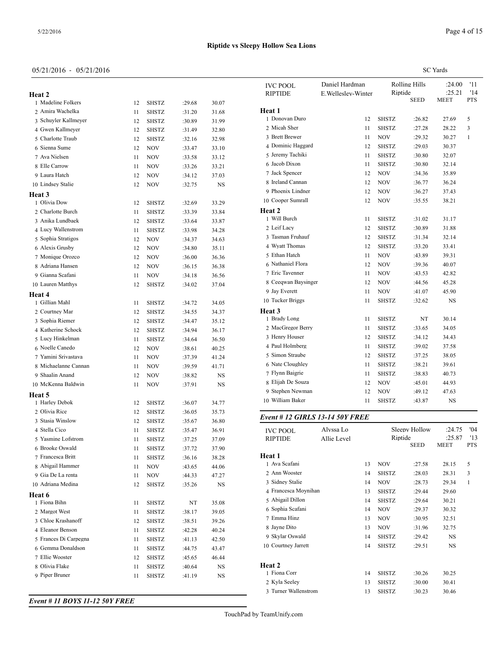**Heat 2**

**Heat 3**

**Heat 4**

**Heat 5**

**Heat 6**

#### 05/21/2016 - 05/21/2016

 Madeline Folkers 12 SHSTZ :29.68 30.07 Amira Wachelka 11 SHSTZ :31.20 31.68 Schuyler Kallmeyer 12 SHSTZ :30.89 31.99 Gwen Kallmeyer 12 SHSTZ :31.49 32.80 Charlotte Traub 12 SHSTZ :32.16 32.98 Sienna Sume 12 NOV :33.47 33.10 Ava Nielsen 11 NOV :33.58 33.12 8 Elle Carrow 11 NOV :33.26 33.21 Laura Hatch 12 NOV :34.12 37.03 Lindsey Stalie 12 NOV :32.75 NS

1 Olivia Dow 12 SHSTZ :32.69 33.29 2 Charlotte Burch 11 SHSTZ :33.39 33.84 Anika Lundbaek 12 SHSTZ :33.64 33.87 Lucy Wallenstrom 11 SHSTZ :33.98 34.28 Sophia Stratigos 12 NOV :34.37 34.63 Alexis Grusby 12 NOV :34.80 35.11 Monique Orozco 12 NOV :36.00 36.36 Adriana Hansen 12 NOV :36.15 36.38 Gianna Scafani 11 NOV :34.18 36.56 Lauren Matthys 12 SHSTZ :34.02 37.04

1 Gillian Mahl 11 SHSTZ :34.72 34.05 2 Courtney Mar 12 SHSTZ :34.55 34.37 Sophia Riemer 12 SHSTZ :34.47 35.12 Katherine Schock 12 SHSTZ :34.94 36.17 Lucy Hinkelman 11 SHSTZ :34.64 36.50 Noelle Canedo 12 NOV :38.61 40.25 Yamini Srivastava 11 NOV :37.39 41.24 8 Michaelanne Cannan 11 NOV :39.59 41.71 Shaalin Anand 12 NOV :38.82 NS 10 McKenna Baldwin 11 NOV :37.91 NS

 Harley Debok 12 SHSTZ :36.07 34.77 2 Olivia Rice 12 SHSTZ :36.05 35.73 Stasia Winslow 12 SHSTZ :35.67 36.80 Stella Cico 11 SHSTZ :35.47 36.91 Yasmine Lofstrom 11 SHSTZ :37.25 37.09 Brooke Oswald 11 SHSTZ :37.72 37.90 Francesca Britt 11 SHSTZ :36.16 38.28 8 Abigail Hammer 11 NOV :43.65 44.06 9 Gia De La renta 11 NOV :44.33 47.27 Adriana Medina 12 SHSTZ :35.26 NS

1 Fiona Bihn 11 SHSTZ NT 35.08 2 Margot West 11 SHSTZ :38.17 39.05 Chloe Krashanoff 12 SHSTZ :38.51 39.26 Eleanor Benson 11 SHSTZ :42.28 40.24 Frances Di Carpegna 11 SHSTZ :41.13 42.50 Gemma Donaldson 11 SHSTZ :44.75 43.47 Ellie Wooster 12 SHSTZ :45.65 46.44 8 Olivia Flake 11 SHSTZ :40.64 NS 9 Piper Bruner 11 SHSTZ :41.19 NS SC Yards

| <b>IVC POOL</b><br><b>RIPTIDE</b> | Daniel Hardman<br>E. Welleslev-Winter | Riptide      | Rolling Hills<br><b>SEED</b> | :24.00<br>:25.21<br><b>MEET</b> | '11<br>'14<br><b>PTS</b> |  |
|-----------------------------------|---------------------------------------|--------------|------------------------------|---------------------------------|--------------------------|--|
| Heat 1                            |                                       |              |                              |                                 |                          |  |
| 1 Donovan Duro                    | 12                                    | <b>SHSTZ</b> | :26.82                       | 27.69                           | 5                        |  |
| 2 Micah Sher                      | 11                                    | <b>SHSTZ</b> | :27.28                       | 28.22                           | 3                        |  |
| 3 Brett Brewer                    | 11                                    | <b>NOV</b>   | :29.32                       | 30.27                           | $\mathbf{1}$             |  |
| 4 Dominic Haggard                 | 12                                    | <b>SHSTZ</b> | :29.03                       | 30.37                           |                          |  |
| 5 Jeremy Tachiki                  | 11                                    | <b>SHSTZ</b> | :30.80                       | 32.07                           |                          |  |
| 6 Jacob Dixon                     | 11                                    | <b>SHSTZ</b> | :30.80                       | 32.14                           |                          |  |
| 7 Jack Spencer                    | 12                                    | <b>NOV</b>   | :34.36                       | 35.89                           |                          |  |
| 8 Ireland Cannan                  | 12                                    | NOV          | :36.77                       | 36.24                           |                          |  |
| 9 Phoenix Lindner                 | 12                                    | <b>NOV</b>   | :36.27                       | 37.43                           |                          |  |
| 10 Cooper Sumrall                 | 12                                    | NOV          | :35.55                       | 38.21                           |                          |  |
| Heat 2                            |                                       |              |                              |                                 |                          |  |
| 1 Will Burch                      | 11                                    | <b>SHSTZ</b> | :31.02                       | 31.17                           |                          |  |
| 2 Leif Lacy                       | 12                                    | <b>SHSTZ</b> | :30.89                       | 31.88                           |                          |  |
| 3 Tasman Fruhauf                  | 12                                    | <b>SHSTZ</b> | :31.34                       | 32.14                           |                          |  |
| 4 Wyatt Thomas                    | 12                                    | <b>SHSTZ</b> | :33.20                       | 33.41                           |                          |  |
| 5 Ethan Hatch                     | 11                                    | <b>NOV</b>   | :43.89                       | 39.31                           |                          |  |
| 6 Nathaniel Flora                 | 12                                    | <b>NOV</b>   | :39.36                       | 40.07                           |                          |  |
| 7 Eric Tavenner                   | 11                                    | <b>NOV</b>   | :43.53                       | 42.82                           |                          |  |
| 8 Ceeqwan Baysinger               | 12                                    | <b>NOV</b>   | :44.56                       | 45.28                           |                          |  |
| 9 Jay Everett                     | 11                                    | <b>NOV</b>   | :41.07                       | 45.90                           |                          |  |
| 10 Tucker Briggs                  | 11                                    | <b>SHSTZ</b> | :32.62                       | <b>NS</b>                       |                          |  |
| Heat 3                            |                                       |              |                              |                                 |                          |  |
| 1 Brady Long                      | 11                                    | <b>SHSTZ</b> | NT                           | 30.14                           |                          |  |
| 2 MacGregor Berry                 | 11                                    | <b>SHSTZ</b> | :33.65                       | 34.05                           |                          |  |
| 3 Henry Houser                    | 12                                    | <b>SHSTZ</b> | :34.12                       | 34.43                           |                          |  |
| 4 Paul Holmberg                   | 11                                    | <b>SHSTZ</b> | :39.02                       | 37.58                           |                          |  |
| 5 Simon Straube                   | 12                                    | <b>SHSTZ</b> | :37.25                       | 38.05                           |                          |  |
| 6 Nate Cloughley                  | 11                                    | <b>SHSTZ</b> | :38.21                       | 39.61                           |                          |  |
| 7 Flynn Baigrie                   | 11                                    | <b>SHSTZ</b> | :38.83                       | 40.73                           |                          |  |
| 8 Elijah De Souza                 | 12                                    | <b>NOV</b>   | :45.01                       | 44.93                           |                          |  |
| 9 Stephen Newman                  | 12                                    | NOV          | :49.12                       | 47.63                           |                          |  |
| 10 William Baker                  | 11                                    | <b>SHSTZ</b> | :43.87                       | NS                              |                          |  |

| <b>IVC POOL</b><br><b>RIPTIDE</b> | Alyssa Lo<br>Allie Level |    | Riptide      | Sleepy Hollow<br><b>SEED</b> | :24.75<br>:25.87<br>MEET | '04<br>'13<br><b>PTS</b> |
|-----------------------------------|--------------------------|----|--------------|------------------------------|--------------------------|--------------------------|
|                                   |                          |    |              |                              |                          |                          |
| Heat 1                            |                          |    |              |                              |                          |                          |
| 1 Ava Scafani                     |                          | 13 | <b>NOV</b>   | :27.58                       | 28.15                    | 5                        |
| 2 Ann Wooster                     |                          | 14 | <b>SHSTZ</b> | :28.03                       | 28.31                    | 3                        |
| 3 Sidney Stalie                   |                          | 14 | <b>NOV</b>   | :28.73                       | 29.34                    | 1                        |
| 4 Francesca Moynihan              |                          | 13 | <b>SHSTZ</b> | :29.44                       | 29.60                    |                          |
| 5 Abigail Dillon                  |                          | 14 | <b>SHSTZ</b> | :29.64                       | 30.21                    |                          |
| 6 Sophia Scafani                  |                          | 14 | <b>NOV</b>   | :29.37                       | 30.32                    |                          |
| 7 Emma Hinz                       |                          | 13 | <b>NOV</b>   | :30.95                       | 32.51                    |                          |
| 8 Jayne Dito                      |                          | 13 | <b>NOV</b>   | :31.96                       | 32.75                    |                          |
| 9 Skylar Oswald                   |                          | 14 | <b>SHSTZ</b> | :29.42                       | <b>NS</b>                |                          |
| 10 Courtney Jarrett               |                          | 14 | <b>SHSTZ</b> | :29.51                       | <b>NS</b>                |                          |
|                                   |                          |    |              |                              |                          |                          |
| Heat 2                            |                          |    |              |                              |                          |                          |
| 1 Fiona Corr                      |                          | 14 | <b>SHSTZ</b> | :30.26                       | 30.25                    |                          |
| 2 Kyla Seeley                     |                          | 13 | <b>SHSTZ</b> | :30.00                       | 30.41                    |                          |
| 3 Turner Wallenstrom              |                          | 13 | <b>SHSTZ</b> | :30.23                       | 30.46                    |                          |

*Event # 11 BOYS 11-12 50Y FREE*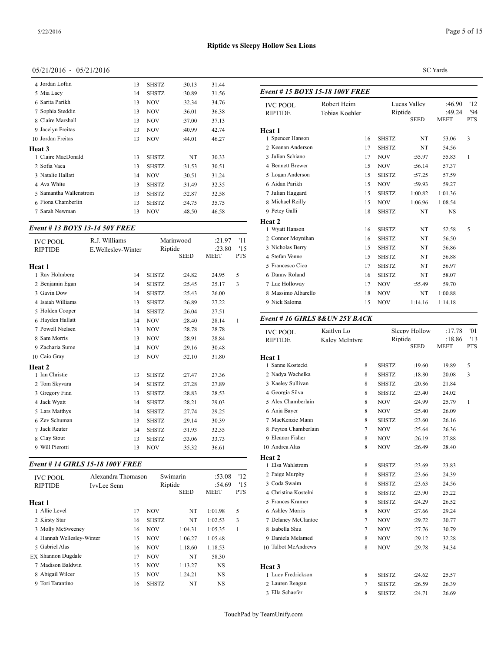| 4 Jordan Loftin        | 13 | <b>SHSTZ</b> | :30.13 | 31.44 |              |
|------------------------|----|--------------|--------|-------|--------------|
| 5 Mia Lacy             | 14 | SHSTZ        | :30.89 | 31.56 | Event        |
| 6 Sarita Parikh        | 13 | <b>NOV</b>   | :32.34 | 34.76 | <b>IVC</b> I |
| 7 Sophia Steddin       | 13 | <b>NOV</b>   | :36.01 | 36.38 | <b>RIPT</b>  |
| 8 Claire Marshall      | 13 | <b>NOV</b>   | :37.00 | 37.13 |              |
| 9 Jacelyn Freitas      | 13 | <b>NOV</b>   | :40.99 | 42.74 | Heat 1       |
| 10 Jordan Freitas      | 13 | <b>NOV</b>   | :44.01 | 46.27 | 1 Spe        |
| Heat 3                 |    |              |        |       | 2 Kee        |
| 1 Claire MacDonald     | 13 | <b>SHSTZ</b> | NT     | 30.33 | 3 Juli       |
| 2 Sofia Vaca           | 13 | SHSTZ        | :31.53 | 30.51 | 4 Ber        |
| 3 Natalie Hallatt      | 14 | <b>NOV</b>   | :30.51 | 31.24 | 5 Log        |
| 4 Ava White            | 13 | SHSTZ        | :31.49 | 32.35 | 6 Aid        |
| 5 Samantha Wallenstrom | 13 | <b>SHSTZ</b> | :32.87 | 32.58 | 7 Juli       |
| 6 Fiona Chamberlin     | 13 | SHSTZ        | :34.75 | 35.75 | 8 Mic        |
| 7 Sarah Newman         | 13 | <b>NOV</b>   | :48.50 | 46.58 | 9 Pete       |

## *Event # 13 BOYS 13-14 50Y FREE*

| R.J. Williams<br>E. Welleslev-Winter<br>14<br>14 | <b>SHSTZ</b><br><b>SHSTZ</b> | <b>SEED</b><br>:24.82<br>:25.45 | :21.97<br>:23.80<br><b>MEET</b><br>24.95<br>25.17 | '11<br>'15<br><b>PTS</b><br>5<br>3 | 2 Connor Movnihan<br>3 Nicholas Berry<br>4 Stefan Venne<br>5 Francesco Cico<br>6 Danny Roland<br>7 Luc Holloway | 16<br>15<br>15<br>17<br>16<br>17 | <b>SHSTZ</b><br><b>SHSTZ</b><br><b>SHSTZ</b><br><b>SHSTZ</b><br><b>SHSTZ</b><br><b>NOV</b> | NT<br>NT<br>NT<br>NT<br>NT<br>:55.49 | 56.50<br>56.86<br>56.88<br>56.97<br>58.07<br>59.70 |
|--------------------------------------------------|------------------------------|---------------------------------|---------------------------------------------------|------------------------------------|-----------------------------------------------------------------------------------------------------------------|----------------------------------|--------------------------------------------------------------------------------------------|--------------------------------------|----------------------------------------------------|
| 14                                               | <b>SHSTZ</b>                 | :25.43                          | 26.00                                             |                                    | 8 Massimo Albarello                                                                                             | 18                               | <b>NOV</b>                                                                                 | NT                                   | 1:00.88                                            |
|                                                  |                              |                                 |                                                   |                                    |                                                                                                                 |                                  |                                                                                            |                                      | 1:14.18                                            |
| 14                                               | <b>NOV</b>                   | :28.40                          | 28.14                                             | -1                                 |                                                                                                                 |                                  |                                                                                            |                                      |                                                    |
| 13                                               | <b>NOV</b>                   | :28.78                          | 28.78                                             |                                    | <b>IVC POOL</b>                                                                                                 | Kaitlyn Lo                       |                                                                                            |                                      | :17.78                                             |
| 13                                               | <b>NOV</b>                   | :28.91                          | 28.84                                             |                                    | <b>RIPTIDE</b>                                                                                                  | Kaley McIntyre                   |                                                                                            |                                      | :18.86                                             |
| 14                                               | <b>NOV</b>                   | :29.16                          | 30.48                                             |                                    |                                                                                                                 |                                  |                                                                                            |                                      | <b>MEET</b>                                        |
| 13                                               | <b>NOV</b>                   | :32.10                          | 31.80                                             |                                    | Heat 1                                                                                                          |                                  |                                                                                            |                                      |                                                    |
|                                                  |                              |                                 |                                                   |                                    | 1 Sanne Kostecki                                                                                                | 8                                | <b>SHSTZ</b>                                                                               | :19.60                               | 19.89                                              |
| 13                                               | <b>SHSTZ</b>                 | :27.47                          | 27.36                                             |                                    | 2 Nadya Wachelka                                                                                                | 8                                | <b>SHSTZ</b>                                                                               | :18.80                               | 20.08                                              |
| 14                                               | <b>SHSTZ</b>                 | :27.28                          | 27.89                                             |                                    | 3 Kaeley Sullivan                                                                                               | 8                                | <b>SHSTZ</b>                                                                               | :20.86                               | 21.84                                              |
| 13                                               | <b>SHSTZ</b>                 | :28.83                          | 28.53                                             |                                    | 4 Georgia Silva                                                                                                 | 8                                | <b>SHSTZ</b>                                                                               | :23.40                               | 24.02                                              |
| 14                                               | <b>SHSTZ</b>                 | :28.21                          | 29.03                                             |                                    | 5 Alex Chamberlain                                                                                              | 8                                | <b>NOV</b>                                                                                 | :24.99                               | 25.79                                              |
| 14                                               | <b>SHSTZ</b>                 | :27.74                          | 29.25                                             |                                    | 6 Anja Bayer                                                                                                    | 8                                | <b>NOV</b>                                                                                 | :25.40                               | 26.09                                              |
| 13                                               | <b>SHSTZ</b>                 | :29.14                          | 30.39                                             |                                    | 7 MacKenzie Mann                                                                                                | 8                                | <b>SHSTZ</b>                                                                               | :23.60                               | 26.16                                              |
| 14                                               | <b>SHSTZ</b>                 | :31.93                          | 32.35                                             |                                    |                                                                                                                 | 7                                | <b>NOV</b>                                                                                 | :25.64                               | 26.36                                              |
| 13                                               | <b>SHSTZ</b>                 | :33.06                          | 33.73                                             |                                    | 9 Eleanor Fisher                                                                                                | 8                                | <b>NOV</b>                                                                                 | :26.19                               | 27.88                                              |
| 13                                               | <b>NOV</b>                   | :35.32                          | 36.61                                             |                                    | 10 Andrea Alas                                                                                                  | 8                                | <b>NOV</b>                                                                                 | :26.49                               | 28.40                                              |
|                                                  | 13<br>14                     | <b>SHSTZ</b><br><b>SHSTZ</b>    | Marinwood<br>Riptide<br>:26.89<br>:26.04          | 27.22<br>27.51                     |                                                                                                                 | 9 Nick Saloma                    | 15<br>Event #16 GIRLS 8& UN 25Y BACK<br>8 Peyton Chamberlain                               | <b>NOV</b>                           | 1:14.16<br>Sleepy Hollow<br>Riptide<br><b>SEED</b> |

## *Event # 14 GIRLS 15-18 100Y FREE*

| <b>IVC POOL</b>           | Alexandra Thomason |    | Swimarin     |             | :53.08    | 12         | 2 Paige Murphy     |
|---------------------------|--------------------|----|--------------|-------------|-----------|------------|--------------------|
| <b>RIPTIDE</b>            | IvvLee Senn        |    | Riptide      |             | :54.69    | 15         | 3 Coda Swaim       |
|                           |                    |    |              | <b>SEED</b> | MEET      | <b>PTS</b> | 4 Christina Kostel |
| Heat 1                    |                    |    |              |             |           |            | 5 Frances Kramer   |
| 1 Allie Level             |                    | 17 | <b>NOV</b>   | NT          | 1:01.98   | 5          | 6 Ashley Morris    |
| 2 Kirsty Star             |                    | 16 | <b>SHSTZ</b> | NT          | 1:02.53   | 3          | 7 Delanev McClar   |
| 3 Molly McSweeney         |                    | 16 | <b>NOV</b>   | 1:04.31     | 1:05.35   | 1          | 8 Isabella Shiu    |
| 4 Hannah Welleslev-Winter |                    | 15 | <b>NOV</b>   | 1:06.27     | 1:05.48   |            | 9 Daniela Melame   |
| 5 Gabriel Alas            |                    | 16 | <b>NOV</b>   | 1:18.60     | 1:18.53   |            | 10 Talbot McAndre  |
| EX Shannon Dugdale        |                    | 17 | <b>NOV</b>   | NT          | 58.30     |            |                    |
| 7 Madison Baldwin         |                    | 15 | <b>NOV</b>   | 1:13.27     | <b>NS</b> |            | Heat 3             |
| 8 Abigail Wilcer          |                    | 15 | <b>NOV</b>   | 1:24.21     | <b>NS</b> |            | 1 Lucy Fredrickso  |
| 9 Tori Tarantino          |                    | 16 | <b>SHSTZ</b> | NT          | NS        |            | 2 Lauren Reagan    |
|                           |                    |    |              |             |           |            |                    |

Page 5 of 15

#### SC Yards

| Event #15 BOYS 15-18 100Y FREE    |                               |              |                             |                                 |                         |  |
|-----------------------------------|-------------------------------|--------------|-----------------------------|---------------------------------|-------------------------|--|
| <b>IVC POOL</b><br><b>RIPTIDE</b> | Robert Heim<br>Tobias Koehler | Riptide      | Lucas Valley<br><b>SEED</b> | :46.90<br>:49.24<br><b>MEET</b> | '12<br>94<br><b>PTS</b> |  |
| Heat 1                            |                               |              |                             |                                 |                         |  |
| 1 Spencer Hanson                  | 16                            | <b>SHSTZ</b> | NT                          | 53.06                           | 3                       |  |
| 2 Keenan Anderson                 | 17                            | <b>SHSTZ</b> | NT                          | 54.56                           |                         |  |
| 3 Julian Schiano                  | 17                            | <b>NOV</b>   | :55.97                      | 55.83                           | 1                       |  |
| 4 Bennett Brewer                  | 15                            | <b>NOV</b>   | :56.14                      | 57.37                           |                         |  |
| 5 Logan Anderson                  | 15                            | <b>SHSTZ</b> | :57.25                      | 57.59                           |                         |  |
| 6 Aidan Parikh                    | 15                            | <b>NOV</b>   | :59.93                      | 59.27                           |                         |  |
| 7 Julian Haggard                  | 15                            | <b>SHSTZ</b> | 1:00.82                     | 1:01.36                         |                         |  |
| 8 Michael Reilly                  | 15                            | <b>NOV</b>   | 1:06.96                     | 1:08.54                         |                         |  |
| 9 Petey Galli                     | 18                            | <b>SHSTZ</b> | NT                          | <b>NS</b>                       |                         |  |
| Heat 2                            |                               |              |                             |                                 |                         |  |
| 1 Wyatt Hanson                    | 16                            | <b>SHSTZ</b> | NT                          | 52.58                           | 5                       |  |
| 2 Connor Moynihan                 | 16                            | <b>SHSTZ</b> | NT                          | 56.50                           |                         |  |
| 3 Nicholas Berry                  | 15                            | <b>SHSTZ</b> | NT                          | 56.86                           |                         |  |
| 4 Stefan Venne                    | 15                            | <b>SHSTZ</b> | NT                          | 56.88                           |                         |  |
| 5 Francesco Cico                  | 17                            | <b>SHSTZ</b> | NT                          | 56.97                           |                         |  |
| 6 Danny Roland                    | 16                            | <b>SHSTZ</b> | NT                          | 58.07                           |                         |  |
| 7 Luc Holloway                    | 17                            | <b>NOV</b>   | :55.49                      | 59.70                           |                         |  |
| 8 Massimo Albarello               | 18                            | <b>NOV</b>   | NT                          | 1:00.88                         |                         |  |
| 9 Nick Saloma                     | 15                            | <b>NOV</b>   | 1:14.16                     | 1:14.18                         |                         |  |

| <b>IVC POOL</b>      | Kaitlyn Lo     |              | Sleepy Hollow          | :17.78                | '01               |
|----------------------|----------------|--------------|------------------------|-----------------------|-------------------|
| <b>RIPTIDE</b>       | Kaley McIntyre |              | Riptide<br><b>SEED</b> | :18.86<br><b>MEET</b> | '13<br><b>PTS</b> |
| Heat 1               |                |              |                        |                       |                   |
| 1 Sanne Kostecki     | 8              | <b>SHSTZ</b> | :19.60                 | 19.89                 | 5                 |
| 2 Nadya Wachelka     | 8              | <b>SHSTZ</b> | :18.80                 | 20.08                 | 3                 |
| 3 Kaeley Sullivan    | 8              | <b>SHSTZ</b> | :20.86                 | 21.84                 |                   |
| 4 Georgia Silva      | 8              | <b>SHSTZ</b> | :23.40                 | 24.02                 |                   |
| 5 Alex Chamberlain   | 8              | <b>NOV</b>   | :24.99                 | 25.79                 | $\mathbf{1}$      |
| 6 Anja Bayer         | 8              | <b>NOV</b>   | :25.40                 | 26.09                 |                   |
| 7 MacKenzie Mann     | 8              | <b>SHSTZ</b> | :23.60                 | 26.16                 |                   |
| 8 Peyton Chamberlain | $\tau$         | <b>NOV</b>   | :25.64                 | 26.36                 |                   |
| 9 Eleanor Fisher     | 8              | <b>NOV</b>   | :26.19                 | 27.88                 |                   |
| 10 Andrea Alas       | 8              | <b>NOV</b>   | :26.49                 | 28.40                 |                   |
| <b>Heat 2</b>        |                |              |                        |                       |                   |
| 1 Elsa Wahlstrom     | 8              | <b>SHSTZ</b> | :23.69                 | 23.83                 |                   |
| 2 Paige Murphy       | 8              | <b>SHSTZ</b> | :23.66                 | 24.39                 |                   |
| 3 Coda Swaim         | 8              | <b>SHSTZ</b> | :23.63                 | 24.56                 |                   |
| 4 Christina Kostelni | 8              | <b>SHSTZ</b> | :23.90                 | 25.22                 |                   |
| 5 Frances Kramer     | 8              | <b>SHSTZ</b> | :24.29                 | 26.52                 |                   |
| 6 Ashley Morris      | 8              | <b>NOV</b>   | :27.66                 | 29.24                 |                   |
| 7 Delaney McClantoc  | 7              | <b>NOV</b>   | :29.72                 | 30.77                 |                   |
| 8 Isabella Shiu      | 7              | <b>NOV</b>   | :27.76                 | 30.79                 |                   |
| 9 Daniela Melamed    | 8              | <b>NOV</b>   | :29.12                 | 32.28                 |                   |
| 10 Talbot McAndrews  | 8              | <b>NOV</b>   | :29.78                 | 34.34                 |                   |
| <b>Heat 3</b>        |                |              |                        |                       |                   |
| 1 Lucy Fredrickson   | 8              | <b>SHSTZ</b> | :24.62                 | 25.57                 |                   |
| 2 Lauren Reagan      | 7              | <b>SHSTZ</b> | :26.59                 | 26.39                 |                   |
| 3 Ella Schaefer      | 8              | <b>SHSTZ</b> | :24.71                 | 26.69                 |                   |
|                      |                |              |                        |                       |                   |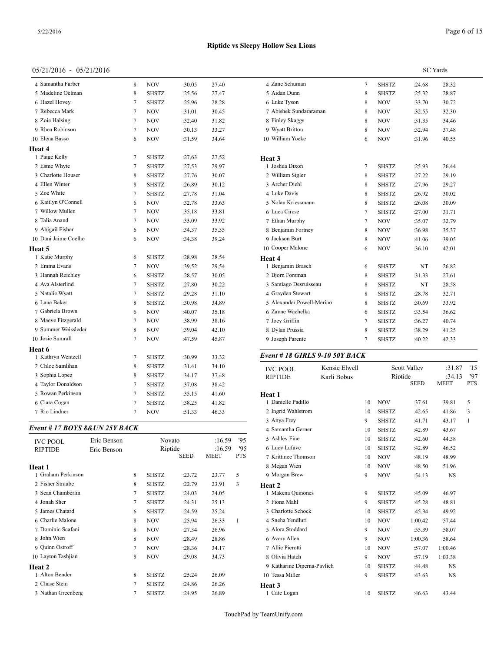#### 05/21/2016 - 05/21/2016

| 4 Samantha Farber    | 8                | <b>NOV</b>   | :30.05 | 27.40 | 4 Zan       |
|----------------------|------------------|--------------|--------|-------|-------------|
| 5 Madeline Oelman    | 8                | <b>SHSTZ</b> | :25.56 | 27.47 | 5 Aid       |
| 6 Hazel Hovey        | 7                | <b>SHSTZ</b> | :25.96 | 28.28 | 6 Luk       |
| 7 Rebecca Mark       | 7                | <b>NOV</b>   | :31.01 | 30.45 | 7 Abi       |
| 8 Zoie Halsing       | 7                | <b>NOV</b>   | :32.40 | 31.82 | 8 Fin       |
| 9 Rhea Robinson      | 7                | <b>NOV</b>   | :30.13 | 33.27 | 9 Wy        |
| 10 Elena Basso       | 6                | <b>NOV</b>   | :31.59 | 34.64 | 10 Wil      |
| Heat 4               |                  |              |        |       |             |
| 1 Paige Kelly        | 7                | <b>SHSTZ</b> | :27.63 | 27.52 | Heat 3      |
| 2 Esme Whyte         | 7                | <b>SHSTZ</b> | :27.53 | 29.97 | 1 Josl      |
| 3 Charlotte Houser   | 8                | <b>SHSTZ</b> | :27.76 | 30.07 | 2 Wil       |
| 4 Ellen Winter       | 8                | <b>SHSTZ</b> | :26.89 | 30.12 | 3 Arc       |
| 5 Zoe White          | 7                | <b>SHSTZ</b> | :27.78 | 31.04 | 4 Luk       |
| 6 Kaitlyn O'Connell  | 6                | <b>NOV</b>   | :32.78 | 33.63 | 5 Nol       |
| 7 Willow Mullen      | 7                | <b>NOV</b>   | :35.18 | 33.81 | 6 Luc       |
| 8 Talia Anand        | 7                | <b>NOV</b>   | :33.09 | 33.92 | 7 Eth       |
| 9 Abigail Fisher     | 6                | <b>NOV</b>   | :34.37 | 35.35 | 8 Ber       |
| 10 Dani Jaime Coelho | 6                | <b>NOV</b>   | :34.38 | 39.24 | 9 Jacl      |
| Heat 5               |                  |              |        |       | 10 Coo      |
| 1 Katie Murphy       | 6                | <b>SHSTZ</b> | :28.98 | 28.54 | Heat 4      |
| 2 Emma Evans         | 7                | <b>NOV</b>   | :39.52 | 29.54 | 1 Ber       |
| 3 Hannah Reichley    | 6                | SHSTZ        | :28.57 | 30.05 | 2 Bjo       |
| 4 Ava Alsterlind     | 7                | SHSTZ        | :27.80 | 30.22 | 3 San       |
| 5 Natalie Wyatt      | 7                | <b>SHSTZ</b> | :29.28 | 31.10 | 4 Gra       |
| 6 Lane Baker         | 8                | <b>SHSTZ</b> | :30.98 | 34.89 | 5 Ale       |
| 7 Gabriela Brown     | 6                | <b>NOV</b>   | :40.07 | 35.18 | 6 Zay       |
| 8 Maeve Fitzgerald   | 7                | <b>NOV</b>   | :38.99 | 38.16 | 7 Joe       |
| 9 Summer Weissleder  | 8                | NOV          | :39.04 | 42.10 | 8 Dyl       |
| 10 Josie Sumrall     | 7                | <b>NOV</b>   | :47.59 | 45.87 | 9 Jose      |
| Heat 6               |                  |              |        |       |             |
| 1 Kathryn Wentzell   | 7                | <b>SHSTZ</b> | :30.99 | 33.32 | Event       |
| 2 Chloe Samlihan     | 8                | <b>SHSTZ</b> | :31.41 | 34.10 | IVC I       |
| 3 Sophia Lopez       | 8                | <b>SHSTZ</b> | :34.17 | 37.48 | <b>RIPT</b> |
| 4 Taylor Donaldson   | 7                | SHSTZ        | :37.08 | 38.42 |             |
| 5 Rowan Perkinson    | 7                | <b>SHSTZ</b> | :35.15 | 41.60 | Heat 1      |
| 6 Ciara Cogan        | 7                | <b>SHSTZ</b> | :38.25 | 41.82 | 1 Dar       |
| 7 Rio Lindner        | $\boldsymbol{7}$ | <b>NOV</b>   | :51.33 | 46.33 | 2 Ing       |

#### *Event # 17 BOYS 8&UN 25Y BACK*

| <b>IVC POOL</b>    | Eric Benson |   | Novato       |             | :16.59      | '95        | 5 Ashley Fine               | 10 | SHSTZ        | :42.60  | 44.38       |  |
|--------------------|-------------|---|--------------|-------------|-------------|------------|-----------------------------|----|--------------|---------|-------------|--|
| <b>RIPTIDE</b>     | Eric Benson |   | Riptide      |             | :16.59      | '95        | 6 Lucy Lafave               | 10 | SHSTZ        | :42.89  | 46.52       |  |
|                    |             |   |              | <b>SEED</b> | <b>MEET</b> | <b>PTS</b> | 7 Krittinee Thomson         | 10 | <b>NOV</b>   | :48.19  | 48.99       |  |
| <b>Heat 1</b>      |             |   |              |             |             |            | 8 Megan Wien                | 10 | <b>NOV</b>   | :48.50  | 51.96       |  |
| Graham Perkinson   |             | 8 | SHSTZ        | :23.72      | 23.77       | 5          | 9 Morgan Brew               | 9  | <b>NOV</b>   | :54.13  | $_{\rm NS}$ |  |
| 2 Fisher Straube   |             | 8 | <b>SHSTZ</b> | :22.79      | 23.91       | 3          | Heat 2                      |    |              |         |             |  |
| 3 Sean Chamberlin  |             |   | <b>SHSTZ</b> | :24.03      | 24.05       |            | 1 Makena Quinones           | 9  | SHSTZ        | :45.09  | 46.97       |  |
| 4 Jonah Sher       |             |   | SHSTZ        | :24.31      | 25.13       |            | 2 Fiona Mahl                | 9  | <b>SHSTZ</b> | :45.28  | 48.81       |  |
| 5 James Chatard    |             | 6 | <b>SHSTZ</b> | :24.59      | 25.24       |            | 3 Charlotte Schock          | 10 | SHSTZ        | :45.34  | 49.92       |  |
| 6 Charlie Malone   |             | 8 | <b>NOV</b>   | :25.94      | 26.33       |            | 4 Sneha Yendluri            | 10 | <b>NOV</b>   | 1:00.42 | 57.44       |  |
| 7 Dominic Scafani  |             | 8 | <b>NOV</b>   | :27.34      | 26.96       |            | 5 Alora Stoddard            | 9  | <b>NOV</b>   | :55.39  | 58.07       |  |
| 8 John Wien        |             | 8 | <b>NOV</b>   | :28.49      | 28.86       |            | 6 Avery Allen               | 9  | <b>NOV</b>   | 1:00.36 | 58.64       |  |
| 9 Quinn Ostroff    |             |   | <b>NOV</b>   | :28.36      | 34.17       |            | 7 Allie Pierotti            | 10 | <b>NOV</b>   | :57.07  | 1:00.46     |  |
| 10 Layton Tashjian |             | 8 | <b>NOV</b>   | :29.08      | 34.73       |            | 8 Olivia Hatch              | 9  | <b>NOV</b>   | :57.19  | 1:03.38     |  |
| <b>Heat 2</b>      |             |   |              |             |             |            | 9 Katharine Diperna-Pavlich | 10 | <b>SHSTZ</b> | :44.48  | <b>NS</b>   |  |
| 1 Alton Bender     |             | 8 | <b>SHSTZ</b> | :25.24      | 26.09       |            | 10 Tessa Miller             | 9  | <b>SHSTZ</b> | :43.63  | $_{\rm NS}$ |  |
| 2 Chase Stein      |             |   | <b>SHSTZ</b> | :24.86      | 26.26       |            | Heat 3                      |    |              |         |             |  |
| 3 Nathan Greenberg |             |   | SHSTZ        | :24.95      | 26.89       |            | Cate Logan                  | 10 | <b>SHSTZ</b> | :46.63  | 43.44       |  |

|                           |                                |                |              |                     | <b>SC</b> Yards |              |
|---------------------------|--------------------------------|----------------|--------------|---------------------|-----------------|--------------|
| 4 Zane Schuman            |                                | $\tau$         | <b>SHSTZ</b> | :24.68              | 28.32           |              |
| 5 Aidan Dunn              |                                | 8              | <b>SHSTZ</b> | :25.32              | 28.87           |              |
| 6 Luke Tyson              |                                | 8              | <b>NOV</b>   | :33.70              | 30.72           |              |
| 7 Abishek Sundararaman    |                                | 8              | NOV          | :32.55              | 32.30           |              |
| 8 Finley Skaggs           |                                | 8              | <b>NOV</b>   | :31.35              | 34.46           |              |
| 9 Wyatt Britton           |                                | 8              | <b>NOV</b>   | :32.94              | 37.48           |              |
| 10 William Yocke          |                                | 6              | <b>NOV</b>   | :31.96              | 40.55           |              |
| Heat 3                    |                                |                |              |                     |                 |              |
| 1 Joshua Dixon            |                                | $\tau$         | <b>SHSTZ</b> | :25.93              | 26.44           |              |
| 2 William Sigler          |                                | 8              | SHSTZ        | :27.22              | 29.19           |              |
| 3 Archer Diehl            |                                | 8              | <b>SHSTZ</b> | :27.96              | 29.27           |              |
| 4 Luke Davis              |                                | 8              | SHSTZ        | :26.92              | 30.02           |              |
| 5 Nolan Kriessmann        |                                | 8              | <b>SHSTZ</b> | :26.08              | 30.09           |              |
| 6 Luca Cirese             |                                | 7              | SHSTZ        | :27.00              | 31.71           |              |
| 7 Ethan Murphy            |                                | $\overline{7}$ | <b>NOV</b>   | :35.07              | 32.79           |              |
| 8 Benjamin Fortney        |                                | 8              | <b>NOV</b>   | :36.98              | 35.37           |              |
| 9 Jackson Burt            |                                | 8              | <b>NOV</b>   | :41.06              | 39.05           |              |
| 10 Cooper Malone          |                                | 6              | NOV          | :36.10              | 42.01           |              |
| Heat 4                    |                                |                |              |                     |                 |              |
| 1 Benjamin Brasch         |                                | 6              | SHSTZ        | NT                  | 26.82           |              |
| 2 Bjorn Forsman           |                                | 8              | <b>SHSTZ</b> | :31.33              | 27.61           |              |
| 3 Santiago Desruisseau    |                                | 8              | <b>SHSTZ</b> | NT                  | 28.58           |              |
| 4 Grayden Stewart         |                                | 8              | <b>SHSTZ</b> | :28.78              | 32.71           |              |
| 5 Alexander Powell-Merino |                                | 8              | <b>SHSTZ</b> | :30.69              | 33.92           |              |
| 6 Zayne Wachelka          |                                | 6              | <b>SHSTZ</b> | :33.54              | 36.62           |              |
| 7 Joey Griffin            |                                | $\overline{7}$ | SHSTZ        | :36.27              | 40.74           |              |
| 8 Dylan Prussia           |                                | 8              | <b>SHSTZ</b> | :38.29              | 41.25           |              |
| 9 Joseph Parente          |                                | 7              | <b>SHSTZ</b> | :40.22              | 42.33           |              |
|                           | Event # 18 GIRLS 9-10 50Y BACK |                |              |                     |                 |              |
| <b>IVC POOL</b>           | Kensie Elwell                  |                |              | <b>Scott Valley</b> | :31.87          | '15          |
| <b>RIPTIDE</b>            | Karli Bobus                    |                | Riptide      | <b>SEED</b>         | :34.13<br>MEET  | 97<br>PTS    |
| Heat 1                    |                                |                |              |                     |                 |              |
| 1 Danielle Padillo        |                                | 10             | <b>NOV</b>   | :37.61              | 39.81           | 5            |
| 2 Ingrid Wahlstrom        |                                | 10             | SHSTZ        | :42.65              | 41.86           | 3            |
| 3 Anya Frey               |                                | 9              | SHSTZ        | :41.71              | 43.17           | $\mathbf{1}$ |
| 4 Samantha Gerner         |                                | 10             | <b>SHSTZ</b> | :42.89              | 43.67           |              |
| 5 Ashley Fine             |                                | 10             | <b>SHSTZ</b> | :42.60              | 44.38           |              |
| 6 Lucy Lafave             |                                | 10             | <b>SHSTZ</b> | :42.89              | 46.52           |              |
| 7 Krittinee Thomson       |                                | 10             | <b>NOV</b>   | :48.19              | 48.99           |              |
| 8 Megan Wien              |                                | 10             | <b>NOV</b>   | :48.50              | 51.96           |              |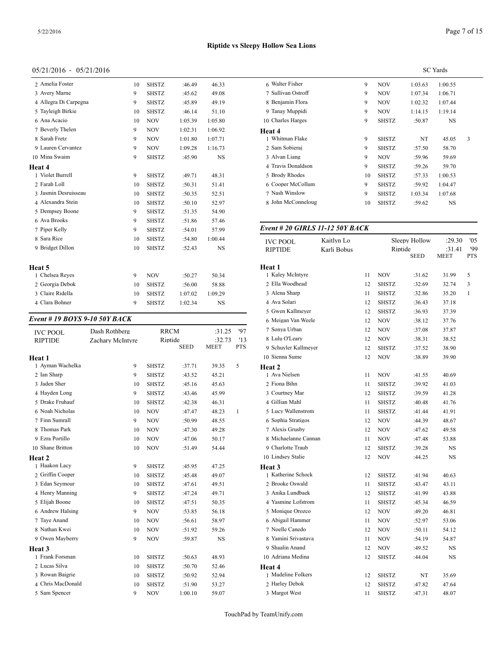| 2 Amelia Foster       | 10 | <b>SHSTZ</b> | :46.49  | 46.33     | 6 Walter      |
|-----------------------|----|--------------|---------|-----------|---------------|
| 3 Avery Marne         | 9  | <b>SHSTZ</b> | :45.62  | 49.08     | 7 Sulliva     |
| 4 Allegra Di Carpegna | 9  | <b>SHSTZ</b> | :45.89  | 49.19     | 8 Benjar      |
| 5 Tayleigh Birkie     | 10 | <b>SHSTZ</b> | :46.14  | 51.10     | 9 Tanay       |
| 6 Ana Acacio          | 10 | <b>NOV</b>   | 1:05.39 | 1:05.80   | 10 Charle     |
| 7 Beverly Thelen      | 9  | <b>NOV</b>   | 1:02.31 | 1:06.92   | Heat 4        |
| 8 Sarah Fretz         | 9  | <b>NOV</b>   | 1:01.80 | 1:07.71   | 1 Whitm       |
| 9 Lauren Cervantez    | 9  | <b>NOV</b>   | 1:09.28 | 1:16.73   | 2 Sam S       |
| 10 Mina Swaim         | 9  | <b>SHSTZ</b> | :45.90  | <b>NS</b> | 3 Alvan       |
| Heat 4                |    |              |         |           | 4 Travis      |
| 1 Violet Burrell      | 9  | <b>SHSTZ</b> | :49.71  | 48.31     | 5 Brody       |
| 2 Farah Loll          | 10 | <b>SHSTZ</b> | :50.31  | 51.41     | 6 Coope       |
| 3 Jasmin Desruisseau  | 10 | <b>SHSTZ</b> | :50.35  | 52.51     | 7 Nash V      |
| 4 Alexandra Stein     | 10 | <b>SHSTZ</b> | :50.10  | 52.97     | 8 John N      |
| 5 Dempsey Boone       | 9  | <b>SHSTZ</b> | :51.35  | 54.90     |               |
| 6 Ava Brooks          | 9  | <b>SHSTZ</b> | :51.86  | 57.46     |               |
| 7 Piper Kelly         | 9  | <b>SHSTZ</b> | :54.01  | 57.99     | Event#        |
| 8 Sara Rice           | 10 | <b>SHSTZ</b> | :54.80  | 1:00.44   | <b>IVC PO</b> |
| 9 Bridget Dillon      | 10 | <b>SHSTZ</b> | :52.43  | <b>NS</b> | <b>RIPTID</b> |
| Heat 5                |    |              |         |           | Heat 1        |
| 1 Chelsea Reyes       | 9  | <b>NOV</b>   | :50.27  | 50.34     | 1 Kaley       |
| 2 Georgia Debok       | 10 | <b>SHSTZ</b> | :56.00  | 58.88     | 2 Ella W      |
| 3 Claire Ridella      | 10 | <b>SHSTZ</b> | 1:07.02 | 1:09.29   | 3 Alena       |
| 4 Clara Bohner        | 9  | SHSTZ        | 1:02.34 | <b>NS</b> | 4 Ava So      |
|                       |    |              |         |           |               |

#### *Event # 19 BOYS 9-10 50Y BACK*

| <b>IVC POOL</b>   | Dash Rothberg    |              | <b>RRCM</b> | :31.25      | '97          | 7 Sonya Urban      |
|-------------------|------------------|--------------|-------------|-------------|--------------|--------------------|
| <b>RIPTIDE</b>    | Zachary McIntyre |              | Riptide     | :32.73      | '13          | 8 Lulu O'Leary     |
|                   |                  |              | <b>SEED</b> | <b>MEET</b> | <b>PTS</b>   | 9 Schuyler Kallme  |
| Heat 1            |                  |              |             |             |              | 10 Sienna Sume     |
| 1 Ayman Wachelka  | 9                | <b>SHSTZ</b> | :37.71      | 39.35       | 5            | Heat 2             |
| 2 Ian Sharp       | 9                | <b>SHSTZ</b> | :43.52      | 45.21       |              | 1 Ava Nielsen      |
| 3 Jaden Sher      | 10               | <b>SHSTZ</b> | :45.16      | 45.63       |              | 2 Fiona Bihn       |
| 4 Hayden Long     | 9                | <b>SHSTZ</b> | :43.46      | 45.99       |              | 3 Courtney Mar     |
| 5 Drake Fruhauf   | 10               | <b>SHSTZ</b> | :42.38      | 46.31       |              | 4 Gillian Mahl     |
| 6 Noah Nicholas   | 10               | <b>NOV</b>   | :47.47      | 48.23       | $\mathbf{1}$ | 5 Lucy Wallenstro  |
| 7 Finn Sumrall    | 9                | <b>NOV</b>   | :50.99      | 48.55       |              | 6 Sophia Stratigos |
| 8 Thomas Park     | 10               | <b>NOV</b>   | :47.30      | 49.28       |              | 7 Alexis Grusby    |
| 9 Ezra Portillo   | 10               | <b>NOV</b>   | :47.06      | 50.17       |              | 8 Michaelanne Ca   |
| 10 Shane Britton  | 10               | <b>NOV</b>   | :51.49      | 54.44       |              | 9 Charlotte Traub  |
| Heat 2            |                  |              |             |             |              | 10 Lindsey Stalie  |
| 1 Haakon Lacy     | 9                | <b>SHSTZ</b> | :45.95      | 47.25       |              | Heat 3             |
| 2 Griffin Cooper  | 10               | <b>SHSTZ</b> | :45.48      | 49.07       |              | 1 Katherine Schoo  |
| 3 Edan Seymour    | 10               | <b>SHSTZ</b> | :47.61      | 49.51       |              | 2 Brooke Oswald    |
| 4 Henry Manning   | 9                | <b>SHSTZ</b> | :47.24      | 49.71       |              | 3 Anika Lundbaek   |
| 5 Elijah Boone    | 10               | <b>SHSTZ</b> | :47.51      | 50.35       |              | 4 Yasmine Lofstro  |
| 6 Andrew Halsing  | 9                | <b>NOV</b>   | :53.85      | 56.18       |              | 5 Monique Orozco   |
| 7 Taye Anand      | 10               | <b>NOV</b>   | :56.61      | 58.97       |              | 6 Abigail Hamme    |
| 8 Nathan Kwei     | 10               | <b>NOV</b>   | :51.92      | 59.26       |              | 7 Noelle Canedo    |
| 9 Owen Mayberry   | 9                | <b>NOV</b>   | :59.87      | <b>NS</b>   |              | 8 Yamini Srivasta  |
| Heat 3            |                  |              |             |             |              | 9 Shaalin Anand    |
| 1 Frank Forsman   | 10               | <b>SHSTZ</b> | :50.63      | 48.93       |              | 10 Adriana Medina  |
| 2 Lucas Silva     | 10               | <b>SHSTZ</b> | :50.70      | 52.46       |              | Heat 4             |
| 3 Rowan Baigrie   | 10               | <b>SHSTZ</b> | :50.92      | 52.94       |              | 1 Madeline Folker  |
| 4 Chris MacDonald | 10               | <b>SHSTZ</b> | :51.90      | 53.27       |              | 2 Harley Debok     |
| 5 Sam Spencer     | 9                | <b>NOV</b>   | 1:00.10     | 59.07       |              | 3 Margot West      |

|                    |    |              |         | <b>SC</b> Yards |   |
|--------------------|----|--------------|---------|-----------------|---|
| 6 Walter Fisher    | 9  | <b>NOV</b>   | 1:03.63 | 1:00.55         |   |
| 7 Sullivan Ostroff | 9  | <b>NOV</b>   | 1:07.34 | 1:06.71         |   |
| 8 Benjamin Flora   | 9  | <b>NOV</b>   | 1:02.32 | 1:07.44         |   |
| 9 Tanay Muppidi    | 9  | <b>NOV</b>   | 1:14.15 | 1:19.14         |   |
| 10 Charles Harges  | 9  | <b>SHSTZ</b> | :50.87  | <b>NS</b>       |   |
| Heat 4             |    |              |         |                 |   |
| 1 Whitman Flake    | 9  | <b>SHSTZ</b> | NT      | 45.05           | 3 |
| 2 Sam Sobieraj     | 9  | <b>SHSTZ</b> | :57.50  | 58.70           |   |
| 3 Alvan Liang      | 9  | NOV          | :59.96  | 59.69           |   |
| 4 Travis Donaldson | 9  | <b>SHSTZ</b> | :59.26  | 59.70           |   |
| 5 Brody Rhodes     | 10 | <b>SHSTZ</b> | :57.33  | 1:00.53         |   |
| 6 Cooper McCollum  | 9  | <b>SHSTZ</b> | :59.92  | 1:04.47         |   |
| 7 Nash Winslow     | 9  | <b>SHSTZ</b> | 1:03.34 | 1:07.68         |   |
| 8 John McConneloug | 10 | <b>SHSTZ</b> | :59.62  | NS              |   |
|                    |    |              |         |                 |   |

## *Event # 20 GIRLS 11-12 50Y BACK*

| <b>IVC POOL</b>      | Kaitlyn Lo  |    |              | Sleepy Hollow | :29.30                | '05<br>99    |
|----------------------|-------------|----|--------------|---------------|-----------------------|--------------|
| <b>RIPTIDE</b>       | Karli Bobus |    | Riptide      | <b>SEED</b>   | :31.41<br><b>MEET</b> | PTS          |
| Heat 1               |             |    |              |               |                       |              |
| 1 Kaley McIntyre     |             | 11 | <b>NOV</b>   | :31.62        | 31.99                 | 5            |
| 2 Ella Woodhead      |             | 12 | <b>SHSTZ</b> | :32.69        | 32.74                 | 3            |
| 3 Alena Sharp        |             | 11 | <b>SHSTZ</b> | :32.86        | 35.20                 | $\mathbf{1}$ |
| 4 Ava Solari         |             | 12 | <b>SHSTZ</b> | :36.43        | 37.18                 |              |
| 5 Gwen Kallmeyer     |             | 12 | <b>SHSTZ</b> | :36.93        | 37.39                 |              |
| 6 Meigan Van Weele   |             | 12 | NOV          | :38.12        | 37.76                 |              |
| 7 Sonya Urban        |             | 12 | <b>NOV</b>   | :37.08        | 37.87                 |              |
| 8 Lulu O'Leary       |             | 12 | <b>NOV</b>   | :38.31        | 38.52                 |              |
| 9 Schuyler Kallmeyer |             | 12 | <b>SHSTZ</b> | :37.52        | 38.90                 |              |
| 10 Sienna Sume       |             | 12 | <b>NOV</b>   | :38.89        | 39.90                 |              |
| Heat 2               |             |    |              |               |                       |              |
| 1 Ava Nielsen        |             | 11 | <b>NOV</b>   | :41.55        | 40.69                 |              |
| 2 Fiona Bihn         |             | 11 | <b>SHSTZ</b> | :39.92        | 41.03                 |              |
| 3 Courtney Mar       |             | 12 | <b>SHSTZ</b> | :39.59        | 41.28                 |              |
| 4 Gillian Mahl       |             | 11 | <b>SHSTZ</b> | :40.48        | 41.76                 |              |
| 5 Lucy Wallenstrom   |             | 11 | <b>SHSTZ</b> | :41.44        | 41.91                 |              |
| 6 Sophia Stratigos   |             | 12 | <b>NOV</b>   | :44.39        | 48.67                 |              |
| 7 Alexis Grusby      |             | 12 | <b>NOV</b>   | :47.62        | 49.58                 |              |
| 8 Michaelanne Cannan |             | 11 | <b>NOV</b>   | :47.48        | 53.88                 |              |
| 9 Charlotte Traub    |             | 12 | <b>SHSTZ</b> | :39.28        | NS                    |              |
| 10 Lindsey Stalie    |             | 12 | <b>NOV</b>   | :44.25        | NS                    |              |
| Heat 3               |             |    |              |               |                       |              |
| 1 Katherine Schock   |             | 12 | <b>SHSTZ</b> | :41.94        | 40.63                 |              |
| 2 Brooke Oswald      |             | 11 | <b>SHSTZ</b> | :43.47        | 43.11                 |              |
| 3 Anika Lundbaek     |             | 12 | <b>SHSTZ</b> | :41.99        | 43.88                 |              |
| 4 Yasmine Lofstrom   |             | 11 | <b>SHSTZ</b> | :45.34        | 46.59                 |              |
| 5 Monique Orozco     |             | 12 | <b>NOV</b>   | :49.20        | 46.81                 |              |
| 6 Abigail Hammer     |             | 11 | <b>NOV</b>   | :52.97        | 53.06                 |              |
| 7 Noelle Canedo      |             | 12 | <b>NOV</b>   | :50.11        | 54.12                 |              |
| 8 Yamini Srivastava  |             | 11 | <b>NOV</b>   | :54.19        | 54.87                 |              |
| 9 Shaalin Anand      |             | 12 | <b>NOV</b>   | :49.52        | NS                    |              |
| 10 Adriana Medina    |             | 12 | <b>SHSTZ</b> | :44.04        | NS                    |              |
| Heat 4               |             |    |              |               |                       |              |
| 1 Madeline Folkers   |             | 12 | <b>SHSTZ</b> | NT            | 35.69                 |              |
| 2 Harley Debok       |             | 12 | <b>SHSTZ</b> | :47.82        | 47.64                 |              |
| 3 Margot West        |             | 11 | SHSTZ        | :47.31        | 48.07                 |              |
|                      |             |    |              |               |                       |              |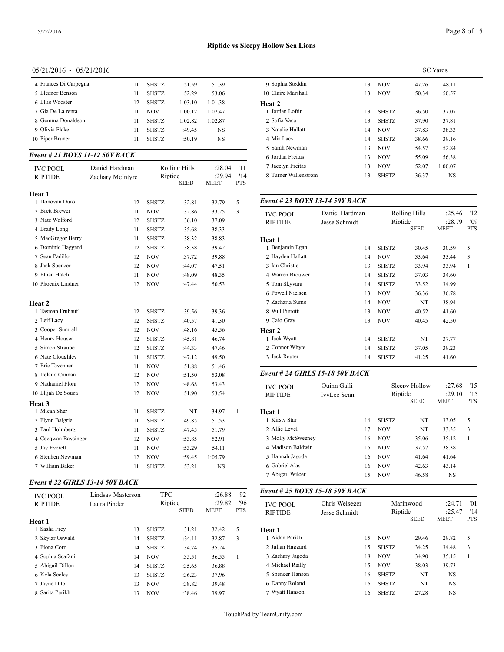| 4 Frances Di Carpegna | 11 | <b>SHSTZ</b> | :51.59  | 51.39   | 9 Sophia  |
|-----------------------|----|--------------|---------|---------|-----------|
| 5 Eleanor Benson      | 11 | <b>SHSTZ</b> | :52.29  | 53.06   | 10 Claire |
| 6 Ellie Wooster       | 12 | <b>SHSTZ</b> | 1:03.10 | 1:01.38 | Heat 2    |
| 7 Gia De La renta     | 11 | <b>NOV</b>   | 1:00.12 | 1:02.47 | 1 Jordan  |
| 8 Gemma Donaldson     | 11 | <b>SHSTZ</b> | 1:02.82 | 1:02.87 | 2 Sofia   |
| 9 Olivia Flake        | 11 | <b>SHSTZ</b> | :49.45  | NS      | 3 Natali  |
| 10 Piper Bruner       | 11 | <b>SHSTZ</b> | :50.19  | NS      | 4 Mia L   |
|                       |    |              |         |         |           |

#### *Event # 21 BOYS 11-12 50Y BACK*

|                                   |                                    |              |                                         |                                 |                          | n Joluan Fichas                           |                | 13       | <b>NOV</b>                 | :33.UY               | 20.38                |
|-----------------------------------|------------------------------------|--------------|-----------------------------------------|---------------------------------|--------------------------|-------------------------------------------|----------------|----------|----------------------------|----------------------|----------------------|
| <b>IVC POOL</b><br><b>RIPTIDE</b> | Daniel Hardman<br>Zachary McIntyre |              | Rolling Hills<br>Riptide<br><b>SEED</b> | :28.04<br>:29.94<br><b>MEET</b> | '11<br>'14<br><b>PTS</b> | 7 Jacelyn Freitas<br>8 Turner Wallenstrom |                | 13<br>13 | <b>NOV</b><br><b>SHSTZ</b> | :52.07<br>:36.37     | 1:00.07<br><b>NS</b> |
| Heat 1                            |                                    |              |                                         |                                 |                          |                                           |                |          |                            |                      |                      |
| 1 Donovan Duro                    | 12                                 | <b>SHSTZ</b> | :32.81                                  | 32.79                           | 5                        | Event # 23 BOYS 13-14 50Y BACK            |                |          |                            |                      |                      |
| 2 Brett Brewer                    | 11                                 | <b>NOV</b>   | :32.86                                  | 33.25                           | 3                        | <b>IVC POOL</b>                           | Daniel Hardman |          |                            | <b>Rolling Hills</b> | :25.4                |
| 3 Nate Wolford                    | 12                                 | <b>SHSTZ</b> | :36.10                                  | 37.09                           |                          | <b>RIPTIDE</b>                            | Jesse Schmidt  |          | Riptide                    |                      | :28.7                |
| 4 Brady Long                      | 11                                 | <b>SHSTZ</b> | :35.68                                  | 38.33                           |                          |                                           |                |          |                            | <b>SEED</b>          | <b>MEET</b>          |
| 5 MacGregor Berry                 | 11                                 | <b>SHSTZ</b> | :38.32                                  | 38.83                           |                          | Heat 1                                    |                |          |                            |                      |                      |
| 6 Dominic Haggard                 | 12                                 | <b>SHSTZ</b> | :38.38                                  | 39.42                           |                          | 1 Benjamin Egan                           |                | 14       | <b>SHSTZ</b>               | :30.45               | 30.59                |
| 7 Sean Padillo                    | 12                                 | <b>NOV</b>   | :37.72                                  | 39.88                           |                          | 2 Hayden Hallatt                          |                | 14       | <b>NOV</b>                 | :33.64               | 33.44                |
| 8 Jack Spencer                    | 12                                 | <b>NOV</b>   | :44.07                                  | 47.51                           |                          | 3 Ian Christie                            |                | 13       | <b>SHSTZ</b>               | :33.94               | 33.94                |
| 9 Ethan Hatch                     | 11                                 | <b>NOV</b>   | :48.09                                  | 48.35                           |                          | 4 Warren Brouwer                          |                | 14       | <b>SHSTZ</b>               | :37.03               | 34.60                |
| 10 Phoenix Lindner                | 12                                 | <b>NOV</b>   | :47.44                                  | 50.53                           |                          | 5 Tom Skyvara                             |                | 14       | <b>SHSTZ</b>               | :33.52               | 34.99                |
|                                   |                                    |              |                                         |                                 |                          | 6 Powell Nielsen                          |                | 13       | <b>NOV</b>                 | :36.36               | 36.78                |
| Heat 2                            |                                    |              |                                         |                                 |                          | 7 Zacharia Sume                           |                | 14       | <b>NOV</b>                 | NT                   | 38.94                |
| 1 Tasman Fruhauf                  | 12                                 | <b>SHSTZ</b> | :39.56                                  | 39.36                           |                          | 8 Will Pierotti                           |                | 13       | <b>NOV</b>                 | :40.52               | 41.60                |
| 2 Leif Lacy                       | 12                                 | <b>SHSTZ</b> | :40.57                                  | 41.30                           |                          | 9 Caio Grav                               |                | 13       | <b>NOV</b>                 | :40.45               | 42.50                |
| 3 Cooper Sumrall                  | 12                                 | <b>NOV</b>   | :48.16                                  | 45.56                           |                          | Heat 2                                    |                |          |                            |                      |                      |
| 4 Henry Houser                    | 12                                 | <b>SHSTZ</b> | :45.81                                  | 46.74                           |                          | 1 Jack Wyatt                              |                | 14       | <b>SHSTZ</b>               | NT                   | 37.77                |
| 5 Simon Straube                   | 12                                 | <b>SHSTZ</b> | :44.33                                  | 47.46                           |                          | 2 Connor Whyte                            |                | 14       | <b>SHSTZ</b>               | :37.05               | 39.23                |
| 6 Nate Cloughley                  | 11                                 | <b>SHSTZ</b> | :47.12                                  | 49.50                           |                          | 3 Jack Reuter                             |                | 14       | <b>SHSTZ</b>               | :41.25               | 41.60                |
| 7 Eric Tavenner                   | 11                                 | <b>NOV</b>   | :51.88                                  | 51.46                           |                          |                                           |                |          |                            |                      |                      |
| 8 Ireland Cannan                  | 12                                 | <b>NOV</b>   | :51.50                                  | 53.08                           |                          | Event # 24 GIRLS 15-18 50Y BACK           |                |          |                            |                      |                      |
| 9 Nathaniel Flora                 | 12                                 | <b>NOV</b>   | :48.68                                  | 53.43                           |                          | <b>IVC POOL</b>                           | Quinn Galli    |          |                            | Sleepy Hollow        | :27.6                |
| 10 Elijah De Souza                | 12                                 | <b>NOV</b>   | :51.90                                  | 53.54                           |                          | <b>RIPTIDE</b>                            | IvyLee Senn    |          | Riptide                    |                      | :29.1                |
| Heat <sub>3</sub>                 |                                    |              |                                         |                                 |                          |                                           |                |          |                            | <b>SEED</b>          | <b>MEET</b>          |
| 1 Micah Sher                      | 11                                 | <b>SHSTZ</b> | NT                                      | 34.97                           | $\mathbf{1}$             | Heat 1                                    |                |          |                            |                      |                      |
| 2 Flynn Baigrie                   | 11                                 | <b>SHSTZ</b> | :49.85                                  | 51.53                           |                          | 1 Kirsty Star                             |                | 16       | <b>SHSTZ</b>               | NT                   | 33.05                |
| 3 Paul Holmberg                   | 11                                 | <b>SHSTZ</b> | :47.45                                  | 51.79                           |                          | 2 Allie Level                             |                | 17       | <b>NOV</b>                 | NT                   | 33.35                |
| 4 Ceeqwan Baysinger               | 12                                 | <b>NOV</b>   | :53.85                                  | 52.91                           |                          | 3 Molly McSweeney                         |                | 16       | <b>NOV</b>                 | :35.06               | 35.12                |
| 5 Jay Everett                     | 11                                 | <b>NOV</b>   | :53.29                                  | 54.11                           |                          | 4 Madison Baldwin                         |                | 15       | <b>NOV</b>                 | :37.57               | 38.38                |
| 6 Stephen Newman                  | 12                                 | <b>NOV</b>   | :59.45                                  | 1:05.79                         |                          | 5 Hannah Jagoda                           |                | 16       | <b>NOV</b>                 | :41.64               | 41.64                |
| 7 William Baker                   | 11                                 | <b>SHSTZ</b> | :53.21                                  | <b>NS</b>                       |                          | 6 Gabriel Alas                            |                | 16       | <b>NOV</b>                 | :42.63               | 43.14                |
|                                   |                                    |              |                                         |                                 |                          |                                           |                |          |                            |                      |                      |

## *Event # 22 GIRLS 13-14 50Y BACK*

| <b>IVC POOL</b><br><b>RIPTIDE</b> |
|-----------------------------------|
|                                   |
|                                   |
| Heat 1                            |
| 1 Aidan Parikh                    |
| 2 Julian Haggard                  |
| 3 Zachary Jagoda                  |
| 4 Michael Reilly                  |
| 5 Spencer Hanson                  |
| 6 Danny Roland                    |
| 7 Wyatt Hanson                    |
|                                   |

|                      | <b>SC</b> Yards |              |        |         |  |  |  |  |
|----------------------|-----------------|--------------|--------|---------|--|--|--|--|
| 9 Sophia Steddin     | 13              | <b>NOV</b>   | :47.26 | 48.11   |  |  |  |  |
| 10 Claire Marshall   | 13              | <b>NOV</b>   | :50.34 | 50.57   |  |  |  |  |
| Heat 2               |                 |              |        |         |  |  |  |  |
| 1 Jordan Loftin      | 13              | <b>SHSTZ</b> | :36.50 | 37.07   |  |  |  |  |
| 2 Sofia Vaca         | 13              | <b>SHSTZ</b> | :37.90 | 37.81   |  |  |  |  |
| 3 Natalie Hallatt    | 14              | <b>NOV</b>   | :37.83 | 38.33   |  |  |  |  |
| 4 Mia Lacy           | 14              | <b>SHSTZ</b> | :38.66 | 39.16   |  |  |  |  |
| 5 Sarah Newman       | 13              | <b>NOV</b>   | :54.57 | 52.84   |  |  |  |  |
| 6 Jordan Freitas     | 13              | <b>NOV</b>   | :55.09 | 56.38   |  |  |  |  |
| 7 Jacelyn Freitas    | 13              | <b>NOV</b>   | :52.07 | 1:00.07 |  |  |  |  |
| 8 Turner Wallenstrom | 13              | <b>SHSTZ</b> | :36.37 | NS      |  |  |  |  |
|                      |                 |              |        |         |  |  |  |  |

| <b>IVC POOL</b>  | Daniel Hardman |              | <b>Rolling Hills</b> | :25.46      | '12               |
|------------------|----------------|--------------|----------------------|-------------|-------------------|
| <b>RIPTIDE</b>   | Jesse Schmidt  |              | Riptide              |             | '09<br><b>PTS</b> |
|                  |                |              | <b>SEED</b>          | <b>MEET</b> |                   |
| Heat 1           |                |              |                      |             |                   |
| 1 Benjamin Egan  | 14             | <b>SHSTZ</b> | :30.45               | 30.59       | 5                 |
| 2 Hayden Hallatt | 14             | <b>NOV</b>   | :33.64               | 33.44       | 3                 |
| 3 Ian Christie   | 13             | <b>SHSTZ</b> | :33.94               | 33.94       | 1                 |
| 4 Warren Brouwer | 14             | <b>SHSTZ</b> | :37.03               | 34.60       |                   |
| 5 Tom Skyvara    | 14             | <b>SHSTZ</b> | :33.52               | 34.99       |                   |
| 6 Powell Nielsen | 13             | <b>NOV</b>   | :36.36               | 36.78       |                   |
| 7 Zacharia Sume  | 14             | <b>NOV</b>   | NT                   | 38.94       |                   |
| 8 Will Pierotti  | 13             | <b>NOV</b>   | :40.52               | 41.60       |                   |
| 9 Caio Gray      | 13             | <b>NOV</b>   | :40.45               | 42.50       |                   |
| Heat 2           |                |              |                      |             |                   |
| 1 Jack Wyatt     | 14             | <b>SHSTZ</b> | NT                   | 37.77       |                   |
| 2 Connor Whyte   | 14             | <b>SHSTZ</b> | :37.05               | 39.23       |                   |
| 3 Jack Reuter    | 14             | <b>SHSTZ</b> | :41.25               | 41.60       |                   |
|                  |                |              |                      |             |                   |

#### *Event # 24 GIRLS 15-18 50Y BACK*

| <b>IVC POOL</b><br><b>RIPTIDE</b> | Ouinn Galli<br>IvvLee Senn |    | Sleepy Hollow<br>Riptide<br><b>SEED</b> |        | :27.68<br>:29.10<br><b>MEET</b> | '15<br>'15<br><b>PTS</b> |
|-----------------------------------|----------------------------|----|-----------------------------------------|--------|---------------------------------|--------------------------|
| Heat 1                            |                            |    |                                         |        |                                 |                          |
| 1 Kirsty Star                     |                            | 16 | <b>SHSTZ</b>                            | NT     | 33.05                           | 5                        |
| 2. Allie Level                    |                            | 17 | <b>NOV</b>                              | NT     | 33.35                           | 3                        |
| 3 Molly McSweeney                 |                            | 16 | <b>NOV</b>                              | :35.06 | 35.12                           | 1                        |
| 4 Madison Baldwin                 |                            | 15 | <b>NOV</b>                              | :37.57 | 38.38                           |                          |
| 5 Hannah Jagoda                   |                            | 16 | <b>NOV</b>                              | :41.64 | 41.64                           |                          |
| 6 Gabriel Alas                    |                            | 16 | <b>NOV</b>                              | :42.63 | 43.14                           |                          |
| 7 Abigail Wilcer                  |                            | 15 | <b>NOV</b>                              | :46.58 | <b>NS</b>                       |                          |

## *Event # 25 BOYS 15-18 50Y BACK*

| <b>IVC POOL</b><br><b>RIPTIDE</b> | Chris Weiseger<br>Jesse Schmidt |    | Marinwood<br>Riptide<br><b>SEED</b> |        | :24.71<br>:25.47<br><b>MEET</b> | '01<br>'14<br><b>PTS</b> |
|-----------------------------------|---------------------------------|----|-------------------------------------|--------|---------------------------------|--------------------------|
| <b>Heat 1</b>                     |                                 |    |                                     |        |                                 |                          |
| 1 Aidan Parikh                    |                                 | 15 | <b>NOV</b>                          | :29.46 | 29.82                           | 5                        |
| 2 Julian Haggard                  |                                 | 15 | <b>SHSTZ</b>                        | :34.25 | 34.48                           | 3                        |
| 3 Zachary Jagoda                  |                                 | 18 | <b>NOV</b>                          | :34.90 | 35.15                           |                          |
| 4 Michael Reilly                  |                                 | 15 | <b>NOV</b>                          | :38.03 | 39.73                           |                          |
| 5 Spencer Hanson                  |                                 | 16 | <b>SHSTZ</b>                        | NT     | NS                              |                          |
| 6 Danny Roland                    |                                 | 16 | <b>SHSTZ</b>                        | NT     | <b>NS</b>                       |                          |
| 7 Wyatt Hanson                    |                                 | 16 | <b>SHSTZ</b>                        | :27.28 | <b>NS</b>                       |                          |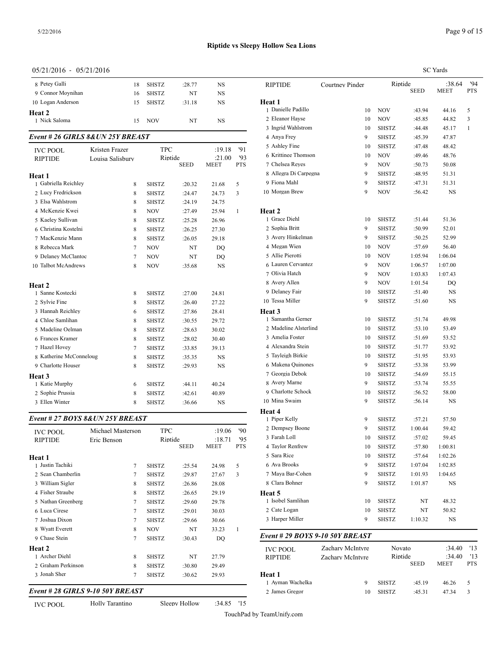| $0.31 \pm 1.20 \pm 0.00$<br>$0.97 = 1.90$ |    |              |        |    |                                 |
|-------------------------------------------|----|--------------|--------|----|---------------------------------|
| 8 Petey Galli                             | 18 | SHSTZ        | :28.77 | NS | <b>RIPTID</b>                   |
| 9 Connor Moynihan                         | 16 | <b>SHSTZ</b> | NT     | NS |                                 |
| 10 Logan Anderson                         | 15 | <b>SHSTZ</b> | :31.18 | NS | <b>Heat 1</b>                   |
| Heat 2                                    |    |              |        |    | 1 Daniel                        |
| 1 Nick Saloma                             | 15 | NOV          | NT     | NS | 2 Eleano                        |
|                                           |    |              |        |    | $2.5$ Taylor and $\overline{A}$ |

## *Event # 26 GIRLS 8&UN 25Y BREAST*

| <b>IVC POOL</b>         | Kristen Frazer   | <b>TPC</b>   |             | :19.18      | '91          | 5 Ashley Fine     |
|-------------------------|------------------|--------------|-------------|-------------|--------------|-------------------|
| <b>RIPTIDE</b>          | Louisa Salisburv | Riptide      |             | :21.00      | 93           | 6 Krittinee Thoms |
|                         |                  |              | <b>SEED</b> | <b>MEET</b> | <b>PTS</b>   | 7 Chelsea Reyes   |
| Heat 1                  |                  |              |             |             |              | 8 Allegra Di Carp |
| 1 Gabriella Reichley    | 8                | <b>SHSTZ</b> | :20.32      | 21.68       | 5            | 9 Fiona Mahl      |
| 2 Lucy Fredrickson      | 8                | <b>SHSTZ</b> | :24.47      | 24.73       | 3            | 10 Morgan Brew    |
| 3 Elsa Wahlstrom        | 8                | <b>SHSTZ</b> | :24.19      | 24.75       |              |                   |
| 4 McKenzie Kwei         | 8                | <b>NOV</b>   | :27.49      | 25.94       | $\mathbf{1}$ | Heat 2            |
| 5 Kaeley Sullivan       | 8                | <b>SHSTZ</b> | :25.28      | 26.96       |              | 1 Grace Diehl     |
| 6 Christina Kostelni    | 8                | <b>SHSTZ</b> | :26.25      | 27.30       |              | 2 Sophia Britt    |
| 7 MacKenzie Mann        | 8                | <b>SHSTZ</b> | :26.05      | 29.18       |              | 3 Avery Hinkelma  |
| 8 Rebecca Mark          | 7                | <b>NOV</b>   | NT          | DQ          |              | 4 Megan Wien      |
| 9 Delaney McClantoc     | $\tau$           | <b>NOV</b>   | NT          | DO          |              | 5 Allie Pierotti  |
| 10 Talbot McAndrews     | 8                | <b>NOV</b>   | :35.68      | <b>NS</b>   |              | 6 Lauren Cervante |
|                         |                  |              |             |             |              | 7 Olivia Hatch    |
| Heat 2                  |                  |              |             |             |              | 8 Avery Allen     |
| 1 Sanne Kostecki        | 8                | <b>SHSTZ</b> | :27.00      | 24.81       |              | 9 Delaney Fair    |
| 2 Sylvie Fine           | 8                | <b>SHSTZ</b> | :26.40      | 27.22       |              | 10 Tessa Miller   |
| 3 Hannah Reichley       | 6                | <b>SHSTZ</b> | :27.86      | 28.41       |              | Heat 3            |
| 4 Chloe Samlihan        | 8                | <b>SHSTZ</b> | :30.55      | 29.72       |              | 1 Samantha Gerne  |
| 5 Madeline Oelman       | 8                | <b>SHSTZ</b> | :28.63      | 30.02       |              | 2 Madeline Alster |
| 6 Frances Kramer        | 8                | <b>SHSTZ</b> | :28.02      | 30.40       |              | 3 Amelia Foster   |
| 7 Hazel Hovey           | $\tau$           | <b>SHSTZ</b> | :33.85      | 39.13       |              | 4 Alexandra Stein |
| 8 Katherine McConneloug | 8                | <b>SHSTZ</b> | :35.35      | <b>NS</b>   |              | 5 Tayleigh Birkie |
| 9 Charlotte Houser      | 8                | <b>SHSTZ</b> | :29.93      | <b>NS</b>   |              | 6 Makena Quinon   |
| Heat 3                  |                  |              |             |             |              | 7 Georgia Debok   |
| 1 Katie Murphy          | 6                | <b>SHSTZ</b> | :44.11      | 40.24       |              | 8 Avery Marne     |
| 2 Sophie Prussia        | 8                | <b>SHSTZ</b> | :42.61      | 40.89       |              | 9 Charlotte Schoc |
| 3 Ellen Winter          | 8                | <b>SHSTZ</b> | :36.66      | <b>NS</b>   |              | 10 Mina Swaim     |
|                         |                  |              |             |             |              |                   |

# *Event # 27 BOYS 8&UN 25Y BREAST*

| <b>IVC POOL</b>    | Michael Masterson | <b>TPC</b>   |             | :19.06 | $90^{\circ}$ | 2 Dempsey Boone   |
|--------------------|-------------------|--------------|-------------|--------|--------------|-------------------|
| <b>RIPTIDE</b>     | Eric Benson       |              | Riptide     |        | 95           | 3 Farah Loll      |
|                    |                   |              | <b>SEED</b> | MEET   | <b>PTS</b>   | 4 Taylor Renfrew  |
| Heat 1             |                   |              |             |        |              | 5 Sara Rice       |
| 1 Justin Tachiki   | $\overline{7}$    | <b>SHSTZ</b> | :25.54      | 24.98  | 5            | 6 Ava Brooks      |
| 2 Sean Chamberlin  | 7                 | <b>SHSTZ</b> | :29.87      | 27.67  | 3            | 7 Maya Bar-Cohe   |
| 3 William Sigler   | 8                 | <b>SHSTZ</b> | :26.86      | 28.08  |              | 8 Clara Bohner    |
| 4 Fisher Straube   | 8                 | <b>SHSTZ</b> | :26.65      | 29.19  |              | Heat 5            |
| 5 Nathan Greenberg | 7                 | <b>SHSTZ</b> | :29.60      | 29.78  |              | 1 Isobel Samlihan |
| 6 Luca Cirese      | 7                 | <b>SHSTZ</b> | :29.01      | 30.03  |              | 2 Cate Logan      |
| 7 Joshua Dixon     | 7                 | <b>SHSTZ</b> | :29.66      | 30.66  |              | 3 Harper Miller   |
| 8 Wyatt Everett    | 8                 | <b>NOV</b>   | NT          | 33.23  | 1            |                   |
| 9 Chase Stein      | 7                 | <b>SHSTZ</b> | :30.43      | DO     |              | Event # 29 $BOY$  |
| Heat 2             |                   |              |             |        |              | <b>IVC POOL</b>   |
| 1 Archer Diehl     | 8                 | <b>SHSTZ</b> | NT          | 27.79  |              | <b>RIPTIDE</b>    |
| 2 Graham Perkinson | 8                 | <b>SHSTZ</b> | :30.80      | 29.49  |              |                   |
| 3 Jonah Sher       | $\overline{7}$    | <b>SHSTZ</b> | :30.62      | 29.93  |              | <b>Heat 1</b>     |
|                    |                   |              |             |        |              |                   |

# *Event # 28 GIRLS 9-10 50Y BREAST*

|                       |                 |              |             | <b>SC</b> Yards |                   |
|-----------------------|-----------------|--------------|-------------|-----------------|-------------------|
| RIPTIDE               | Courtney Pinder | Riptide      | <b>SEED</b> | :38.64<br>MEET  | '94<br><b>PTS</b> |
| Heat 1                |                 |              |             |                 |                   |
| 1 Danielle Padillo    | 10              | <b>NOV</b>   | :43.94      | 44.16           | 5                 |
| 2 Eleanor Hayse       | 10              | <b>NOV</b>   | :45.85      | 44.82           | 3                 |
| 3 Ingrid Wahlstrom    | 10              | <b>SHSTZ</b> | :44.48      | 45.17           | 1                 |
| 4 Anya Frey           | 9               | <b>SHSTZ</b> | :45.39      | 47.87           |                   |
| 5 Ashley Fine         | 10              | <b>SHSTZ</b> | :47.48      | 48.42           |                   |
| 6 Krittinee Thomson   | 10              | <b>NOV</b>   | :49.46      | 48.76           |                   |
| 7 Chelsea Reyes       | 9               | NOV          | :50.73      | 50.08           |                   |
| 8 Allegra Di Carpegna | 9               | <b>SHSTZ</b> | :48.95      | 51.31           |                   |
| 9 Fiona Mahl          | 9               | <b>SHSTZ</b> | :47.31      | 51.31           |                   |
| 10 Morgan Brew        | 9               | NOV          | :56.42      | NS              |                   |
| Heat 2                |                 |              |             |                 |                   |
| 1 Grace Diehl         | 10              | <b>SHSTZ</b> | :51.44      | 51.36           |                   |
| 2 Sophia Britt        | 9               | <b>SHSTZ</b> | :50.99      | 52.01           |                   |
| 3 Avery Hinkelman     | 9               | <b>SHSTZ</b> | :50.25      | 52.99           |                   |
| 4 Megan Wien          | 10              | <b>NOV</b>   | :57.69      | 56.40           |                   |
| 5 Allie Pierotti      | 10              | NOV          | 1:05.94     | 1:06.04         |                   |
| 6 Lauren Cervantez    | 9               | NOV          | 1:06.57     | 1:07.00         |                   |
| 7 Olivia Hatch        | 9               | NOV          | 1:03.83     | 1:07.43         |                   |
| 8 Avery Allen         | 9               | NOV          | 1:01.54     | DQ              |                   |
| 9 Delaney Fair        | 10              | <b>SHSTZ</b> | :51.40      | NS              |                   |
| 10 Tessa Miller       | 9               | SHSTZ        | :51.60      | NS              |                   |
| <b>Heat 3</b>         |                 |              |             |                 |                   |
| 1 Samantha Gerner     | 10              | <b>SHSTZ</b> | :51.74      | 49.98           |                   |
| 2 Madeline Alsterlind | 10              | <b>SHSTZ</b> | :53.10      | 53.49           |                   |
| 3 Amelia Foster       | 10              | SHSTZ        | :51.69      | 53.52           |                   |
| 4 Alexandra Stein     | 10              | <b>SHSTZ</b> | :51.77      | 53.92           |                   |
| 5 Tayleigh Birkie     | 10              | <b>SHSTZ</b> | :51.95      | 53.93           |                   |
| 6 Makena Quinones     | 9               | <b>SHSTZ</b> | :53.38      | 53.99           |                   |
| 7 Georgia Debok       | 10              | <b>SHSTZ</b> | :54.69      | 55.15           |                   |
| 8 Avery Marne         | 9               | <b>SHSTZ</b> | :53.74      | 55.55           |                   |
| 9 Charlotte Schock    | 10              | <b>SHSTZ</b> | :56.52      | 58.00           |                   |
| 10 Mina Swaim         | 9               | <b>SHSTZ</b> | :56.14      | NS              |                   |
| Heat 4                |                 |              |             |                 |                   |
| 1 Piper Kelly         | 9               | <b>SHSTZ</b> | :57.21      | 57.50           |                   |
| 2 Dempsey Boone       | 9               | <b>SHSTZ</b> | 1:00.44     | 59.42           |                   |
| 3 Farah Loll          | 10              | SHSTZ        | :57.02      | 59.45           |                   |
| 4 Taylor Renfrew      | 10              | SHSTZ        | :57.80      | 1:00.81         |                   |
| 5 Sara Rice           | 10              | SHSTZ        | :57.64      | 1:02.26         |                   |
| 6 Ava Brooks          | 9               | SHSTZ        | 1:07.04     | 1:02.85         |                   |
| 7 Maya Bar-Cohen      | 9               | SHSTZ        | 1:01.93     | 1:04.65         |                   |
| 8 Clara Bohner        | 9               | SHSTZ        | 1:01.87     | NS              |                   |
| Heat 5                |                 |              |             |                 |                   |
| 1 Isobel Samlihan     | 10              | SHSTZ        | NT          | 48.32           |                   |
| 2 Cate Logan          | 10              | SHSTZ        | NT          | 50.82           |                   |
| 3 Harper Miller       | 9               | SHSTZ        | 1:10.32     | NS              |                   |

| <b>IVC POOL</b><br><b>RIPTIDE</b> | Zachary McIntyre<br>Zachary McIntyre | Novato<br>Riptide<br><b>SEED</b> |        | :34.40<br>:34.40<br><b>MEET</b> | '13<br>'13<br><b>PTS</b> |
|-----------------------------------|--------------------------------------|----------------------------------|--------|---------------------------------|--------------------------|
| Heat 1                            |                                      |                                  |        |                                 |                          |
| 1 Ayman Wachelka                  | 9                                    | <b>SHSTZ</b>                     | :45.19 | 46.26                           | 5.                       |
| 2 James Gregor                    | 10                                   | <b>SHSTZ</b>                     | :45.31 | 4734                            | 3                        |

Page 9 of 15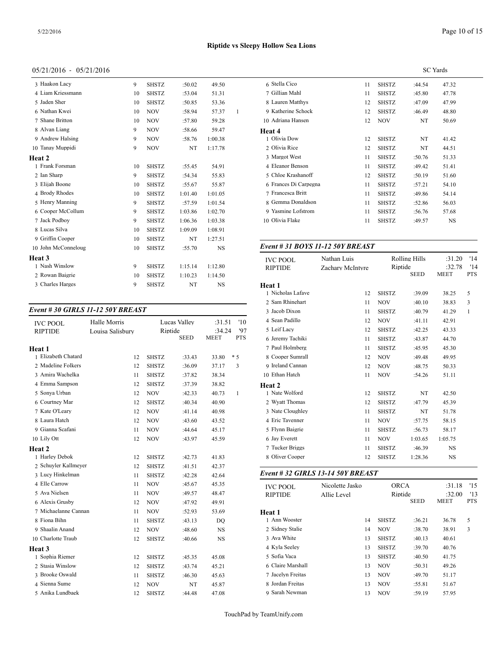## 05/21/2016 - 05/21/2016

| 3 Haakon Lacy       | 9  | <b>SHSTZ</b> | :50.02  | 49.50     |   | 6 Stella Cic    |
|---------------------|----|--------------|---------|-----------|---|-----------------|
| 4 Liam Kriessmann   | 10 | <b>SHSTZ</b> | :53.04  | 51.31     |   | 7 Gillian M     |
| 5 Jaden Sher        | 10 | <b>SHSTZ</b> | :50.85  | 53.36     |   | 8 Lauren M      |
| 6 Nathan Kwei       | 10 | <b>NOV</b>   | :58.94  | 57.37     | 1 | 9 Katherine     |
| 7 Shane Britton     | 10 | <b>NOV</b>   | :57.80  | 59.28     |   | 10 Adriana F    |
| 8 Alvan Liang       | 9  | <b>NOV</b>   | :58.66  | 59.47     |   | Heat 4          |
| 9 Andrew Halsing    | 9  | <b>NOV</b>   | :58.76  | 1:00.38   |   | 1 Olivia Do     |
| 10 Tanay Muppidi    | 9  | <b>NOV</b>   | NT      | 1:17.78   |   | 2 Olivia Rio    |
| Heat 2              |    |              |         |           |   | 3 Margot W      |
| 1 Frank Forsman     | 10 | <b>SHSTZ</b> | :55.45  | 54.91     |   | 4 Eleanor B     |
| 2 Ian Sharp         | 9  | <b>SHSTZ</b> | :54.34  | 55.83     |   | 5 Chloe Kra     |
| 3 Elijah Boone      | 10 | <b>SHSTZ</b> | :55.67  | 55.87     |   | 6 Frances D     |
| 4 Brody Rhodes      | 10 | <b>SHSTZ</b> | 1:01.40 | 1:01.05   |   | 7 Francesca     |
| 5 Henry Manning     | 9  | <b>SHSTZ</b> | :57.59  | 1:01.54   |   | 8 Gemma D       |
| 6 Cooper McCollum   | 9  | <b>SHSTZ</b> | 1:03.86 | 1:02.70   |   | 9 Yasmine l     |
| 7 Jack Podbov       | 9  | <b>SHSTZ</b> | 1:06.36 | 1:03.38   |   | 10 Olivia Fla   |
| 8 Lucas Silva       | 10 | <b>SHSTZ</b> | 1:09.09 | 1:08.91   |   |                 |
| 9 Griffin Cooper    | 10 | <b>SHSTZ</b> | NT      | 1:27.51   |   |                 |
| 10 John McConneloug | 10 | <b>SHSTZ</b> | :55.70  | <b>NS</b> |   | Event # $31$    |
| Heat 3              |    |              |         |           |   | <b>IVC POOI</b> |
| 1 Nash Winslow      | 9  | <b>SHSTZ</b> | 1:15.14 | 1:12.80   |   | <b>RIPTIDE</b>  |
| 2 Rowan Baigrie     | 10 | <b>SHSTZ</b> | 1:10.23 | 1:14.50   |   |                 |
| 3 Charles Harges    | 9  | <b>SHSTZ</b> | NT      | <b>NS</b> |   | Heat 1          |
|                     |    |              |         |           |   |                 |

# *Event # 30 GIRLS 11-12 50Y BREAST*

| <b>IVC POOL</b>      | Halle Morris     |              | Lucas Vallev | :31.51      | '10        | 4 Sean Padillo    |
|----------------------|------------------|--------------|--------------|-------------|------------|-------------------|
| <b>RIPTIDE</b>       | Louisa Salisburv |              | Riptide      | :34.24      | '97        | 5 Leif Lacy       |
|                      |                  |              | <b>SEED</b>  | <b>MEET</b> | <b>PTS</b> | 6 Jeremy Tachiki  |
| Heat 1               |                  |              |              |             |            | 7 Paul Holmberg   |
| 1 Elizabeth Chatard  | 12               | <b>SHSTZ</b> | :33.43       | 33.80       | $*5$       | 8 Cooper Sumrall  |
| 2 Madeline Folkers   | 12               | <b>SHSTZ</b> | :36.09       | 37.17       | 3          | 9 Ireland Cannan  |
| 3 Amira Wachelka     | 11               | <b>SHSTZ</b> | :37.82       | 38.34       |            | 10 Ethan Hatch    |
| 4 Emma Sampson       | 12               | <b>SHSTZ</b> | :37.39       | 38.82       |            | Heat 2            |
| 5 Sonya Urban        | 12               | <b>NOV</b>   | :42.33       | 40.73       | 1          | 1 Nate Wolford    |
| 6 Courtney Mar       | 12               | <b>SHSTZ</b> | :40.34       | 40.90       |            | 2 Wyatt Thomas    |
| 7 Kate O'Leary       | 12               | <b>NOV</b>   | :41.14       | 40.98       |            | 3 Nate Cloughley  |
| 8 Laura Hatch        | 12               | <b>NOV</b>   | :43.60       | 43.52       |            | 4 Eric Tavenner   |
| 9 Gianna Scafani     | 11               | <b>NOV</b>   | :44.64       | 45.17       |            | 5 Flynn Baigrie   |
| 10 Lily Ott          | 12               | <b>NOV</b>   | :43.97       | 45.59       |            | 6 Jay Everett     |
| <b>Heat 2</b>        |                  |              |              |             |            | 7 Tucker Briggs   |
| 1 Harley Debok       | 12               | <b>SHSTZ</b> | :42.73       | 41.83       |            | 8 Oliver Cooper   |
| 2 Schuyler Kallmeyer | 12               | <b>SHSTZ</b> | :41.51       | 42.37       |            |                   |
| 3 Lucy Hinkelman     | 11               | <b>SHSTZ</b> | :42.28       | 42.64       |            | Event # 32 GIRI   |
| 4 Elle Carrow        | 11               | <b>NOV</b>   | :45.67       | 45.35       |            | <b>IVC POOL</b>   |
| 5 Ava Nielsen        | 11               | <b>NOV</b>   | :49.57       | 48.47       |            | <b>RIPTIDE</b>    |
| 6 Alexis Grusby      | 12               | <b>NOV</b>   | :47.92       | 49.91       |            |                   |
| 7 Michaelanne Cannan | 11               | <b>NOV</b>   | :52.93       | 53.69       |            | Heat 1            |
| 8 Fiona Bihn         | 11               | <b>SHSTZ</b> | :43.13       | DO          |            | 1 Ann Wooster     |
| 9 Shaalin Anand      | 12               | <b>NOV</b>   | :48.60       | <b>NS</b>   |            | 2 Sidney Stalie   |
| 10 Charlotte Traub   | 12               | <b>SHSTZ</b> | :40.66       | <b>NS</b>   |            | 3 Ava White       |
| <b>Heat 3</b>        |                  |              |              |             |            | 4 Kyla Seeley     |
| 1 Sophia Riemer      | 12               | <b>SHSTZ</b> | :45.35       | 45.08       |            | 5 Sofia Vaca      |
| 2 Stasia Winslow     | 12               | <b>SHSTZ</b> | :43.74       | 45.21       |            | 6 Claire Marshall |
| 3 Brooke Oswald      | 11               | <b>SHSTZ</b> | :46.30       | 45.63       |            | 7 Jacelyn Freitas |
| 4 Sienna Sume        | 12               | <b>NOV</b>   | NT           | 45.87       |            | 8 Jordan Freitas  |
| 5 Anika Lundbaek     | 12               | <b>SHSTZ</b> | :44.48       | 47.08       |            | 9 Sarah Newman    |

|                       |    | SC Yards     |        |       |  |  |
|-----------------------|----|--------------|--------|-------|--|--|
| 6 Stella Cico         | 11 | <b>SHSTZ</b> | :44.54 | 47.32 |  |  |
| 7 Gillian Mahl        | 11 | <b>SHSTZ</b> | :45.80 | 47.78 |  |  |
| 8 Lauren Matthys      | 12 | <b>SHSTZ</b> | :47.09 | 47.99 |  |  |
| 9 Katherine Schock    | 12 | <b>SHSTZ</b> | :46.49 | 48.80 |  |  |
| 10 Adriana Hansen     | 12 | <b>NOV</b>   | NT     | 50.69 |  |  |
| Heat 4                |    |              |        |       |  |  |
| 1 Olivia Dow          | 12 | <b>SHSTZ</b> | NT     | 41.42 |  |  |
| 2 Olivia Rice         | 12 | <b>SHSTZ</b> | NT     | 44.51 |  |  |
| 3 Margot West         | 11 | <b>SHSTZ</b> | :50.76 | 51.33 |  |  |
| 4 Eleanor Benson      | 11 | <b>SHSTZ</b> | :49.42 | 51.41 |  |  |
| 5 Chloe Krashanoff    | 12 | <b>SHSTZ</b> | :50.19 | 51.60 |  |  |
| 6 Frances Di Carpegna | 11 | <b>SHSTZ</b> | :57.21 | 54.10 |  |  |
| 7 Francesca Britt     | 11 | <b>SHSTZ</b> | :49.86 | 54.14 |  |  |
| 8 Gemma Donaldson     | 11 | <b>SHSTZ</b> | :52.86 | 56.03 |  |  |
| 9 Yasmine Lofstrom    | 11 | <b>SHSTZ</b> | :56.76 | 57.68 |  |  |
| 10 Olivia Flake       | 11 | <b>SHSTZ</b> | :49.57 | NS    |  |  |
|                       |    |              |        |       |  |  |

# *Event # 31 BOYS 11-12 50Y BREAST*

| <b>IVC POOL</b>   | Nathan Luis      |              | <b>Rolling Hills</b> | :31.20      | '14          |
|-------------------|------------------|--------------|----------------------|-------------|--------------|
| <b>RIPTIDE</b>    | Zachary McIntyre |              | Riptide              |             | '14          |
|                   |                  |              | <b>SEED</b>          | <b>MEET</b> | <b>PTS</b>   |
| Heat 1            |                  |              |                      |             |              |
| 1 Nicholas Lafave | 12               | <b>SHSTZ</b> | :39.09               | 38.25       | 5            |
| 2 Sam Rhinehart   | 11               | <b>NOV</b>   | :40.10               | 38.83       | 3            |
| 3 Jacob Dixon     | 11               | <b>SHSTZ</b> | :40.79               | 41.29       | $\mathbf{1}$ |
| 4 Sean Padillo    | 12               | <b>NOV</b>   | :41.11               | 42.91       |              |
| 5 Leif Lacy       | 12               | <b>SHSTZ</b> | :42.25               | 43.33       |              |
| 6 Jeremy Tachiki  | 11               | <b>SHSTZ</b> | :43.87               | 44.70       |              |
| 7 Paul Holmberg   | 11               | <b>SHSTZ</b> | :45.95               | 45.30       |              |
| 8 Cooper Sumrall  | 12               | <b>NOV</b>   | :49.48               | 49.95       |              |
| 9 Ireland Cannan  | 12               | <b>NOV</b>   | :48.75               | 50.33       |              |
| 10 Ethan Hatch    | 11               | <b>NOV</b>   | :54.26               | 51.11       |              |
| Heat 2            |                  |              |                      |             |              |
| 1 Nate Wolford    | 12               | <b>SHSTZ</b> | NT                   | 42.50       |              |
| 2 Wyatt Thomas    | 12               | <b>SHSTZ</b> | :47.79               | 45.39       |              |
| 3 Nate Cloughley  | 11               | <b>SHSTZ</b> | NT                   | 51.78       |              |
| 4 Eric Tavenner   | 11               | <b>NOV</b>   | :57.75               | 58.15       |              |
| 5 Flynn Baigrie   | 11               | <b>SHSTZ</b> | :56.73               | 58.17       |              |
| 6 Jay Everett     | 11               | <b>NOV</b>   | 1:03.65              | 1:05.75     |              |
| 7 Tucker Briggs   | 11               | <b>SHSTZ</b> | :46.39               | <b>NS</b>   |              |
| 8 Oliver Cooper   | 12               | <b>SHSTZ</b> | 1:28.36              | NS          |              |
|                   |                  |              |                      |             |              |

## *Event # 32 GIRLS 13-14 50Y BREAST*

| <b>IVC POOL</b>   | Nicolette Jasko | <b>ORCA</b>  |                        | :31.18                | 15                |
|-------------------|-----------------|--------------|------------------------|-----------------------|-------------------|
| <b>RIPTIDE</b>    | Allie Level     |              | Riptide<br><b>SEED</b> | :32.00<br><b>MEET</b> | '13<br><b>PTS</b> |
| Heat 1            |                 |              |                        |                       |                   |
| 1 Ann Wooster     | 14              | <b>SHSTZ</b> | :36.21                 | 36.78                 | 5                 |
| 2 Sidney Stalie   | 14              | <b>NOV</b>   | :38.70                 | 38.91                 | 3                 |
| 3 Ava White       | 13              | <b>SHSTZ</b> | :40.13                 | 40.61                 |                   |
| 4 Kyla Seelev     | 13              | <b>SHSTZ</b> | :39.70                 | 40.76                 |                   |
| 5 Sofia Vaca      | 13              | <b>SHSTZ</b> | :40.50                 | 41.75                 |                   |
| 6 Claire Marshall | 13              | <b>NOV</b>   | :50.31                 | 49.26                 |                   |
| 7 Jacelyn Freitas | 13              | <b>NOV</b>   | :49.70                 | 51.17                 |                   |
| 8 Jordan Freitas  | 13              | <b>NOV</b>   | :55.81                 | 51.67                 |                   |
| 9 Sarah Newman    | 13              | <b>NOV</b>   | :59.19                 | 57.95                 |                   |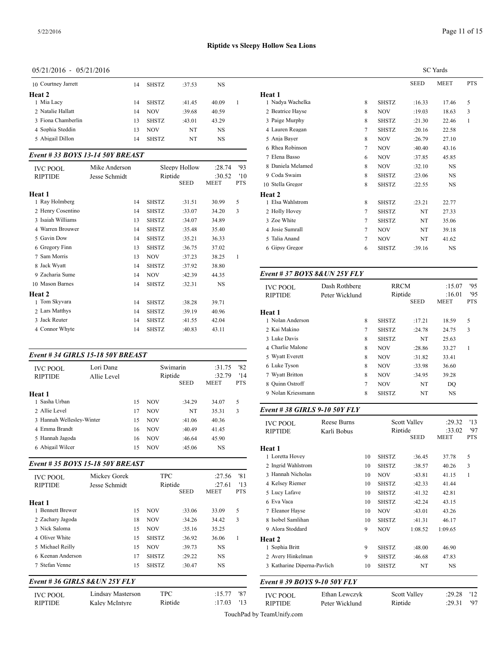## 05/21/2016 - 05/21/2016

| 10 Courtney Jarrett | 14 | <b>SHSTZ</b> | :37.53 | NS    |              |
|---------------------|----|--------------|--------|-------|--------------|
| Heat 2              |    |              |        |       | Heat 1       |
| 1 Mia Lacy          | 14 | <b>SHSTZ</b> | :41.45 | 40.09 | 1 Nadya Wa   |
| 2 Natalie Hallatt   | 14 | <b>NOV</b>   | :39.68 | 40.59 | 2 Beatrice I |
| 3 Fiona Chamberlin  | 13 | <b>SHSTZ</b> | :43.01 | 43.29 | 3 Paige Mu   |
| 4 Sophia Steddin    | 13 | <b>NOV</b>   | NT     | NS    | 4 Lauren Ro  |
| 5 Abigail Dillon    | 14 | <b>SHSTZ</b> | NT     | NS    | 5 Anja Bay   |
|                     |    |              |        |       |              |

#### *Event # 33 BOYS 13-14 50Y BREAST*

| <b>IVC POOL</b>   | Mike Anderson |              | Sleepy Hollow | :28.74                | 93                | 8 Daniela Melame<br>9 Coda Swaim |
|-------------------|---------------|--------------|---------------|-----------------------|-------------------|----------------------------------|
| <b>RIPTIDE</b>    | Jesse Schmidt | Riptide      | <b>SEED</b>   | :30.52<br><b>MEET</b> | '10<br><b>PTS</b> | 10 Stella Gregor                 |
| Heat 1            |               |              |               |                       |                   | Heat 2                           |
| 1 Ray Holmberg    | 14            | <b>SHSTZ</b> | :31.51        | 30.99                 | 5                 | 1 Elsa Wahlstrom                 |
| 2 Henry Cosentino | 14            | <b>SHSTZ</b> | :33.07        | 34.20                 | 3                 | 2 Holly Hovey                    |
| 3 Isaiah Williams | 13            | <b>SHSTZ</b> | :34.07        | 34.89                 |                   | 3 Zoe White                      |
| 4 Warren Brouwer  | 14            | <b>SHSTZ</b> | :35.48        | 35.40                 |                   | 4 Josie Sumrall                  |
| 5 Gavin Dow       | 14            | <b>SHSTZ</b> | :35.21        | 36.33                 |                   | 5 Talia Anand                    |
| 6 Gregory Finn    | 13            | <b>SHSTZ</b> | :36.75        | 37.02                 |                   | 6 Gipsy Gregor                   |
| 7 Sam Morris      | 13            | <b>NOV</b>   | :37.23        | 38.25                 | 1                 |                                  |
| 8 Jack Wyatt      | 14            | <b>SHSTZ</b> | :37.92        | 38.80                 |                   |                                  |
| 9 Zacharia Sume   | 14            | <b>NOV</b>   | :42.39        | 44.35                 |                   | Event # $37 BOY$                 |
| 10 Mason Barnes   | 14            | <b>SHSTZ</b> | :32.31        | <b>NS</b>             |                   | <b>IVC POOL</b>                  |
| Heat 2            |               |              |               |                       |                   | <b>RIPTIDE</b>                   |
| 1 Tom Skyvara     | 14            | <b>SHSTZ</b> | :38.28        | 39.71                 |                   |                                  |
| 2 Lars Matthys    | 14            | <b>SHSTZ</b> | :39.19        | 40.96                 |                   | Heat 1                           |
| 3 Jack Reuter     | 14            | <b>SHSTZ</b> | :41.55        | 42.04                 |                   | 1 Nolan Anderson                 |
| 4 Connor Whyte    | 14            | <b>SHSTZ</b> | :40.83        | 43.11                 |                   | 2 Kai Makino                     |
|                   |               |              |               |                       |                   | .                                |

#### *Event # 34 GIRLS 15-18 50Y BREAST*

| Lori Dang<br><b>IVC POOL</b><br><b>RIPTIDE</b><br>Allie Level |  |    |            | Swimarin<br>Riptide | :31.75<br>:32.79 | '82<br>'14 | 6 Luke Tyson<br>7 Wyatt Britton |
|---------------------------------------------------------------|--|----|------------|---------------------|------------------|------------|---------------------------------|
|                                                               |  |    |            | <b>SEED</b>         | <b>MEET</b>      | <b>PTS</b> | 8 Ouinn Ostroff                 |
| Heat 1                                                        |  |    |            |                     |                  |            | 9 Nolan Kriessma                |
| 1 Sasha Urban                                                 |  | 15 | <b>NOV</b> | :34.29              | 34.07            | 5          |                                 |
| 2. Allie Level                                                |  | 17 | <b>NOV</b> | NT                  | 35.31            | 3          | Event #38 GIRI                  |
| 3 Hannah Wellesley-Winter                                     |  | 15 | <b>NOV</b> | :41.06              | 40.36            |            | <b>IVC POOL</b>                 |
| 4 Emma Brandt                                                 |  | 16 | <b>NOV</b> | :40.49              | 41.45            |            | <b>RIPTIDE</b>                  |
| 5 Hannah Jagoda                                               |  | 16 | <b>NOV</b> | :46.64              | 45.90            |            |                                 |
| 6 Abigail Wilcer                                              |  | 15 | <b>NOV</b> | :45.06              | NS               |            | Heat 1                          |

#### *Event # 35 BOYS 15-18 50Y BREAST*

| <b>IVC POOL</b><br><b>RIPTIDE</b>                                                                               | Mickey Gorek<br>Jesse Schmidt |    | <b>TPC</b><br>Riptide |             | :27.56<br>:27.61 | '81<br>'13 | 3 Hannah Nichola<br>4 Kelsev Riemer |
|-----------------------------------------------------------------------------------------------------------------|-------------------------------|----|-----------------------|-------------|------------------|------------|-------------------------------------|
|                                                                                                                 |                               |    |                       | <b>SEED</b> | <b>MEET</b>      | <b>PTS</b> | 5 Lucy Lafave                       |
| Heat 1                                                                                                          |                               |    |                       |             |                  |            | 6 Eva Vaca                          |
| 1 Bennett Brewer                                                                                                |                               | 15 | <b>NOV</b>            | :33.06      | 33.09            | 5          | 7 Eleanor Havse                     |
| 2 Zachary Jagoda                                                                                                |                               | 18 | <b>NOV</b>            | :34.26      | 34.42            | 3          | 8 Isobel Samlihan                   |
| 3 Nick Saloma                                                                                                   |                               | 15 | <b>NOV</b>            | :35.16      | 35.25            |            | 9 Alora Stoddard                    |
| 4 Oliver White                                                                                                  |                               | 15 | <b>SHSTZ</b>          | :36.92      | 36.06            | 1          | Heat 2                              |
| 5 Michael Reilly                                                                                                |                               | 15 | <b>NOV</b>            | :39.73      | <b>NS</b>        |            | 1 Sophia Britt                      |
| 6 Keenan Anderson                                                                                               |                               | 17 | <b>SHSTZ</b>          | :29.22      | NS               |            | 2 Avery Hinkelma                    |
| 7 Stefan Venne                                                                                                  |                               | 15 | <b>SHSTZ</b>          | :30.47      | NS               |            | 3 Katharine Diper                   |
| $F_{\rm max}$ $\mu$ $\beta$ $\ell$ $\beta$ $ID$ $I$ $C$ $0$ $\theta$ $I$ $I$ $N$ $\beta$ $\epsilon$ $V$ $I$ $V$ |                               |    |                       |             |                  |            | $E_{\text{max}}$ $\mu$ 20 DOV       |

#### *Event # 36 GIRLS 8&UN 25Y FLY*

| <b>IVC POOL</b> | Lindsay Masterson | TPC     | :15.77 |
|-----------------|-------------------|---------|--------|
| <b>RIPTIDE</b>  | Kalev McIntyre    | Riptide | :17.03 |

|                   |                |              | <b>SC</b> Yards |             |              |
|-------------------|----------------|--------------|-----------------|-------------|--------------|
|                   |                |              | <b>SEED</b>     | <b>MEET</b> | <b>PTS</b>   |
| Heat 1            |                |              |                 |             |              |
| 1 Nadya Wachelka  | 8              | <b>SHSTZ</b> | :16.33          | 17.46       | 5            |
| 2 Beatrice Hayse  | 8              | <b>NOV</b>   | :19.03          | 18.63       | 3            |
| 3 Paige Murphy    | 8              | <b>SHSTZ</b> | :21.30          | 22.46       | $\mathbf{1}$ |
| 4 Lauren Reagan   | $\overline{7}$ | <b>SHSTZ</b> | :20.16          | 22.58       |              |
| 5 Anja Bayer      | 8              | <b>NOV</b>   | :26.79          | 27.10       |              |
| 6 Rhea Robinson   | 7              | <b>NOV</b>   | :40.40          | 43.16       |              |
| 7 Elena Basso     | 6              | <b>NOV</b>   | :37.85          | 45.85       |              |
| 8 Daniela Melamed | 8              | <b>NOV</b>   | :32.10          | NS.         |              |
| 9 Coda Swaim      | 8              | <b>SHSTZ</b> | :23.06          | NS.         |              |
| 10 Stella Gregor  | 8              | <b>SHSTZ</b> | :22.55          | NS.         |              |
| Heat 2            |                |              |                 |             |              |
| 1 Elsa Wahlstrom  | 8              | <b>SHSTZ</b> | :23.21          | 22.77       |              |
| 2 Holly Hovey     | $\overline{7}$ | <b>SHSTZ</b> | NT              | 27.33       |              |
| 3 Zoe White       | 7              | <b>SHSTZ</b> | NT              | 35.06       |              |
| 4 Josie Sumrall   | 7              | <b>NOV</b>   | NT              | 39.18       |              |
| 5 Talia Anand     | $\overline{7}$ | <b>NOV</b>   | NT              | 41.62       |              |
| 6 Gipsy Gregor    | 6              | <b>SHSTZ</b> | :39.16          | NS          |              |
|                   |                |              |                 |             |              |

## *Event # 37 BOYS 8&UN 25Y FLY*

| <b>IVC POOL</b>              | Dash Rothberg      |                | <b>RRCM</b>            |                     | :15.07                | 95                |
|------------------------------|--------------------|----------------|------------------------|---------------------|-----------------------|-------------------|
| <b>RIPTIDE</b>               | Peter Wicklund     |                | Riptide                |                     | :16.01                | '95               |
|                              |                    |                |                        | <b>SEED</b>         | MEET                  | <b>PTS</b>        |
| Heat 1                       |                    |                |                        |                     |                       |                   |
| 1 Nolan Anderson             |                    | 8              | <b>SHSTZ</b>           | :17.21              | 18.59                 | 5                 |
| 2 Kai Makino                 |                    | $\overline{7}$ | <b>SHSTZ</b>           | :24.78              | 24.75                 | 3                 |
| 3 Luke Davis                 |                    | 8              | <b>SHSTZ</b>           | NT                  | 25.63                 |                   |
| 4 Charlie Malone             |                    | 8              | <b>NOV</b>             | :28.86              | 33.27                 | $\mathbf{1}$      |
| 5 Wyatt Everett              |                    | 8              | <b>NOV</b>             | :31.82              | 33.41                 |                   |
| 6 Luke Tyson                 |                    | 8              | <b>NOV</b>             | :33.98              | 36.60                 |                   |
| 7 Wyatt Britton              |                    | 8              | <b>NOV</b>             | :34.95              | 39.28                 |                   |
| 8 Ouinn Ostroff              |                    | 7              | <b>NOV</b>             | NT                  | DQ                    |                   |
| 9 Nolan Kriessmann           |                    | 8              | <b>SHSTZ</b>           | NT                  | NS                    |                   |
| Event #38 GIRLS 9-10 50Y FLY |                    |                |                        |                     |                       |                   |
| <b>IVC POOL</b>              | <b>Reese Burns</b> |                |                        | <b>Scott Valley</b> | :29.32                | '13               |
| <b>RIPTIDE</b>               | Karli Bobus        |                | Riptide<br><b>SEED</b> |                     | :33.02<br><b>MEET</b> | '97<br><b>PTS</b> |
| Heat 1                       |                    |                |                        |                     |                       |                   |
| 1 Loretta Hovey              |                    | 10             | <b>SHSTZ</b>           | :36.45              | 37.78                 | 5                 |
| 2 Ingrid Wahlstrom           |                    | 10             | <b>SHSTZ</b>           | :38.57              | 40.26                 | 3                 |
| 3 Hannah Nicholas            |                    | 10             | <b>NOV</b>             | :43.81              | 41.15                 | $\mathbf{1}$      |
| 4 Kelsey Riemer              |                    | 10             | <b>SHSTZ</b>           | :42.33              | 41.44                 |                   |
| 5 Lucy Lafave                |                    | 10             | <b>SHSTZ</b>           | :41.32              | 42.81                 |                   |
| 6 Eva Vaca                   |                    | 10             | <b>SHSTZ</b>           | :42.24              | 43.15                 |                   |
| 7 Eleanor Hayse              |                    | 10             | <b>NOV</b>             | :43.01              | 43.26                 |                   |
| 8 Isobel Samlihan            |                    | 10             | <b>SHSTZ</b>           | :41.31              | 46.17                 |                   |
| 9 Alora Stoddard             |                    | 9              | <b>NOV</b>             | 1:08.52             | 1:09.65               |                   |
| Heat 2                       |                    |                |                        |                     |                       |                   |
| 1 Sophia Britt               |                    | 9              | <b>SHSTZ</b>           | :48.00              | 46.90                 |                   |
| 2 Avery Hinkelman            |                    | 9              | <b>SHSTZ</b>           | :46.68              | 47.83                 |                   |
| 3 Katharine Diperna-Pavlich  |                    | 10             | <b>SHSTZ</b>           | NT                  | NS                    |                   |
| Event #39 BOYS 9-10 50Y FLY  |                    |                |                        |                     |                       |                   |
| <b>IVC POOL</b>              | Ethan Lewczyk      |                |                        | <b>Scott Valley</b> | :29.28                | '12               |
| <b>RIPTIDE</b>               | Peter Wicklund     |                | Riptide                |                     | :29.31                | '97               |

Page 11 of 15

TouchPad by TeamUnify.com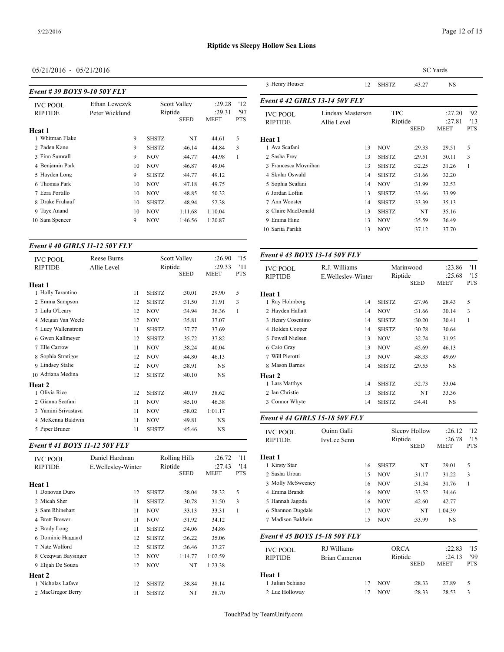| Event #39 BOYS 9-10 50Y FLY | 3 TIUM V TIUUSUI |    |                        |                     |                                                      |   |                                   |
|-----------------------------|------------------|----|------------------------|---------------------|------------------------------------------------------|---|-----------------------------------|
| <b>IVC POOL</b>             | Ethan Lewczyk    |    |                        | <b>Scott Valley</b> | '12<br>:29.28<br>'97<br>:29.31<br>MEET<br><b>PTS</b> |   | Event #42 GIRI                    |
| <b>RIPTIDE</b>              | Peter Wicklund   |    | Riptide<br><b>SEED</b> |                     |                                                      |   | <b>IVC POOL</b><br><b>RIPTIDE</b> |
| Heat 1                      |                  |    |                        |                     |                                                      |   |                                   |
| Whitman Flake               |                  | 9  | <b>SHSTZ</b>           | NT                  | 44.61                                                | 5 | Heat 1                            |
| 2 Paden Kane                |                  | 9  | <b>SHSTZ</b>           | :46.14              | 44.84                                                | 3 | 1 Ava Scafani                     |
| 3 Finn Sumrall              |                  | 9  | <b>NOV</b>             | :44.77              | 44.98                                                | 1 | 2 Sasha Frey                      |
| 4 Benjamin Park             |                  | 10 | <b>NOV</b>             | :46.87              | 49.04                                                |   | 3 Francesca Moyr                  |
| 5 Hayden Long               |                  | 9  | <b>SHSTZ</b>           | :44.77              | 49.12                                                |   | 4 Skylar Oswald                   |
| 6 Thomas Park               |                  | 10 | <b>NOV</b>             | :47.18              | 49.75                                                |   | 5 Sophia Scafani                  |
| 7 Ezra Portillo             |                  | 10 | <b>NOV</b>             | :48.85              | 50.32                                                |   | 6 Jordan Loftin                   |
| 8 Drake Fruhauf             |                  | 10 | <b>SHSTZ</b>           | :48.94              | 52.38                                                |   | 7 Ann Wooster                     |
| 9 Taye Anand                |                  | 10 | <b>NOV</b>             | 1:11.68             | 1:10.04                                              |   | 8 Claire MacDona                  |
| Sam Spencer<br>10           |                  | 9  | <b>NOV</b>             | 1:46.56             | 1:20.87                                              |   | 9 Emma Hinz                       |
|                             |                  |    |                        |                     |                                                      |   |                                   |

#### *Event # 40 GIRLS 11-12 50Y FLY*

| <b>IVC POOL</b>     | <b>Reese Burns</b> |    |                        | <b>Scott Valley</b> | :26.90         | '15               | Event #43 BOY                     |
|---------------------|--------------------|----|------------------------|---------------------|----------------|-------------------|-----------------------------------|
| <b>RIPTIDE</b>      | Allie Level        |    | Riptide<br><b>SEED</b> |                     | :29.33<br>MEET | '11<br><b>PTS</b> | <b>IVC POOL</b><br><b>RIPTIDE</b> |
| <b>Heat 1</b>       |                    |    |                        |                     |                |                   |                                   |
| 1 Holly Tarantino   |                    | 11 | <b>SHSTZ</b>           | :30.01              | 29.90          | 5                 | Heat 1                            |
| 2 Emma Sampson      |                    | 12 | <b>SHSTZ</b>           | :31.50              | 31.91          | 3                 | 1 Ray Holmberg                    |
| 3 Lulu O'Leary      |                    | 12 | <b>NOV</b>             | :34.94              | 36.36          | 1                 | 2 Hayden Hallatt                  |
| 4 Meigan Van Weele  |                    | 12 | <b>NOV</b>             | :35.81              | 37.07          |                   | 3 Henry Cosentino                 |
| 5 Lucy Wallenstrom  |                    | 11 | <b>SHSTZ</b>           | :37.77              | 37.69          |                   | 4 Holden Cooper                   |
| 6 Gwen Kallmeyer    |                    | 12 | <b>SHSTZ</b>           | :35.72              | 37.82          |                   | 5 Powell Nielsen                  |
| 7 Elle Carrow       |                    | 11 | <b>NOV</b>             | :38.24              | 40.04          |                   | 6 Caio Gray                       |
| 8 Sophia Stratigos  |                    | 12 | <b>NOV</b>             | :44.80              | 46.13          |                   | 7 Will Pierotti                   |
| 9 Lindsey Stalie    |                    | 12 | <b>NOV</b>             | :38.91              | NS             |                   | 8 Mason Barnes                    |
| 10 Adriana Medina   |                    | 12 | <b>SHSTZ</b>           | :40.10              | <b>NS</b>      |                   | <b>Heat 2</b>                     |
| Heat 2              |                    |    |                        |                     |                |                   | 1 Lars Matthys                    |
| 1 Olivia Rice       |                    | 12 | <b>SHSTZ</b>           | :40.19              | 38.62          |                   | 2 Ian Christie                    |
| 2 Gianna Scafani    |                    | 11 | <b>NOV</b>             | :45.10              | 46.38          |                   | 3 Connor Whyte                    |
| 3 Yamini Srivastava |                    | 11 | <b>NOV</b>             | :58.02              | 1:01.17        |                   |                                   |
| 4 McKenna Baldwin   |                    | 11 | <b>NOV</b>             | :49.81              | NS             |                   | Event #44 GIRI                    |
| 5 Piper Bruner      |                    | 11 | <b>SHSTZ</b>           | :45.46              | NS             |                   | <b>IVC POOL</b>                   |
|                     |                    |    |                        |                     |                |                   |                                   |

## *Event # 41 BOYS 11-12 50Y FLY*

| <b>IVC POOL</b><br><b>RIPTIDE</b> | Daniel Hardman<br>E. Welleslev-Winter | Riptide      | Rolling Hills | :26.72<br>:27.43 | '11<br>'14   | <b>Heat 1</b><br>1 Kirsty Star |
|-----------------------------------|---------------------------------------|--------------|---------------|------------------|--------------|--------------------------------|
|                                   |                                       |              | <b>SEED</b>   | MEET             | <b>PTS</b>   | 2 Sasha Urban                  |
| Heat 1                            |                                       |              |               |                  |              | 3 Molly McSweer                |
| 1 Donovan Duro                    | 12                                    | <b>SHSTZ</b> | :28.04        | 28.32            | 5            | 4 Emma Brandt                  |
| 2 Micah Sher                      | 11                                    | <b>SHSTZ</b> | :30.78        | 31.50            | 3            | 5 Hannah Jagoda                |
| 3 Sam Rhinehart                   | 11                                    | <b>NOV</b>   | :33.13        | 33.31            | $\mathbf{1}$ | 6 Shannon Dugda                |
| 4 Brett Brewer                    | 11                                    | <b>NOV</b>   | :31.92        | 34.12            |              | 7 Madison Baldwi               |
| 5 Brady Long                      | 11                                    | <b>SHSTZ</b> | :34.06        | 34.86            |              |                                |
| 6 Dominic Haggard                 | 12                                    | <b>SHSTZ</b> | :36.22        | 35.06            |              | Event #45 $BOY$                |
| 7 Nate Wolford                    | 12                                    | <b>SHSTZ</b> | :36.46        | 37.27            |              | <b>IVC POOL</b>                |
| 8 Ceeqwan Baysinger               | 12                                    | <b>NOV</b>   | 1:14.77       | 1:02.59          |              | <b>RIPTIDE</b>                 |
| 9 Elijah De Souza                 | 12                                    | <b>NOV</b>   | NT            | 1:23.38          |              |                                |
| <b>Heat 2</b>                     |                                       |              |               |                  |              | Heat 1                         |
| 1 Nicholas Lafave                 | 12                                    | <b>SHSTZ</b> | :38.84        | 38.14            |              | 1 Julian Schiano               |
| 2 MacGregor Berry                 | 11                                    | <b>SHSTZ</b> | NT            | 38.70            |              | 2 Luc Holloway                 |

|                                   |                                  | <b>SC</b> Yards       |             |                                 |                          |  |  |  |  |
|-----------------------------------|----------------------------------|-----------------------|-------------|---------------------------------|--------------------------|--|--|--|--|
| 3 Henry Houser                    | 12                               | <b>SHSTZ</b>          | :43.27      | <b>NS</b>                       |                          |  |  |  |  |
| Event #42 GIRLS 13-14 50Y FLY     |                                  |                       |             |                                 |                          |  |  |  |  |
| <b>IVC POOL</b><br><b>RIPTIDE</b> | Lindsay Masterson<br>Allie Level | <b>TPC</b><br>Riptide | <b>SEED</b> | :27.20<br>:27.81<br><b>MEET</b> | '92<br>'13<br><b>PTS</b> |  |  |  |  |
| Heat 1                            |                                  |                       |             |                                 |                          |  |  |  |  |
| 1 Ava Scafani                     | 13                               | <b>NOV</b>            | :29.33      | 29.51                           | 5                        |  |  |  |  |
| 2 Sasha Frey                      | 13                               | <b>SHSTZ</b>          | :29.51      | 30.11                           | 3                        |  |  |  |  |
| 3 Francesca Moynihan              | 13                               | <b>SHSTZ</b>          | :32.25      | 31.26                           | 1                        |  |  |  |  |
| 4 Skylar Oswald                   | 14                               | <b>SHSTZ</b>          | :31.66      | 32.20                           |                          |  |  |  |  |
| 5 Sophia Scafani                  | 14                               | <b>NOV</b>            | :31.99      | 32.53                           |                          |  |  |  |  |
| 6 Jordan Loftin                   | 13                               | <b>SHSTZ</b>          | :33.66      | 33.99                           |                          |  |  |  |  |
| 7 Ann Wooster                     | 14                               | <b>SHSTZ</b>          | :33.39      | 35.13                           |                          |  |  |  |  |
| 8 Claire MacDonald                | 13                               | <b>SHSTZ</b>          | NT          | 35.16                           |                          |  |  |  |  |
| 9 Emma Hinz                       | 13                               | <b>NOV</b>            | :35.59      | 36.49                           |                          |  |  |  |  |
| 10 Sarita Parikh                  | 13                               | <b>NOV</b>            | :37.12      | 37.70                           |                          |  |  |  |  |

#### *Event # 43 BOYS 13-14 50Y FLY*

| <b>IVC POOL</b><br><b>RIPTIDE</b> | R.J. Williams<br>E. Welleslev-Winter | Marinwood<br>Riptide<br><b>SEED</b> |        | :23.86<br>:25.68<br><b>MEET</b> | '11<br>'15<br><b>PTS</b> |
|-----------------------------------|--------------------------------------|-------------------------------------|--------|---------------------------------|--------------------------|
| Heat 1                            |                                      |                                     |        |                                 |                          |
| 1 Ray Holmberg                    | 14                                   | <b>SHSTZ</b>                        | :27.96 | 28.43                           | 5                        |
| 2 Hayden Hallatt                  | 14                                   | <b>NOV</b>                          | :31.66 | 30.14                           | 3                        |
| 3 Henry Cosentino                 | 14                                   | <b>SHSTZ</b>                        | :30.20 | 30.41                           | 1                        |
| 4 Holden Cooper                   | 14                                   | <b>SHSTZ</b>                        | :30.78 | 30.64                           |                          |
| 5 Powell Nielsen                  | 13                                   | <b>NOV</b>                          | :32.74 | 31.95                           |                          |
| 6 Caio Gray                       | 13                                   | <b>NOV</b>                          | :45.69 | 46.13                           |                          |
| 7 Will Pierotti                   | 13                                   | <b>NOV</b>                          | :48.33 | 49.69                           |                          |
| 8 Mason Barnes                    | 14                                   | <b>SHSTZ</b>                        | :29.55 | <b>NS</b>                       |                          |
| Heat 2                            |                                      |                                     |        |                                 |                          |
| 1 Lars Matthys                    | 14                                   | <b>SHSTZ</b>                        | :32.73 | 33.04                           |                          |
| 2 Ian Christie                    | 13                                   | <b>SHSTZ</b>                        | NT     | 33.36                           |                          |
| 3 Connor Whyte                    | 14                                   | <b>SHSTZ</b>                        | :34.41 | NS                              |                          |
|                                   |                                      |                                     |        |                                 |                          |

## *Event # 44 GIRLS 15-18 50Y FLY*

| <b>IVC POOL</b><br><b>RIPTIDE</b> | Ouinn Galli<br>IvvLee Senn |    |              | Sleepy Hollow<br>Riptide<br><b>SEED</b> |             | '12<br>'15<br><b>PTS</b> |
|-----------------------------------|----------------------------|----|--------------|-----------------------------------------|-------------|--------------------------|
| Heat 1                            |                            |    |              |                                         |             |                          |
| 1 Kirsty Star                     |                            | 16 | <b>SHSTZ</b> | NT                                      | 29.01       | 5                        |
| 2 Sasha Urban                     |                            | 15 | <b>NOV</b>   | :31.17                                  | 31.22       | 3                        |
| 3 Molly McSweeney                 |                            | 16 | <b>NOV</b>   | :31.34                                  | 31.76       | $\mathbf{1}$             |
| 4 Emma Brandt                     |                            | 16 | <b>NOV</b>   | :33.52                                  | 34.46       |                          |
| 5 Hannah Jagoda                   |                            | 16 | <b>NOV</b>   | :42.60                                  | 42.77       |                          |
| 6 Shannon Dugdale                 |                            | 17 | <b>NOV</b>   | NT                                      | 1:04.39     |                          |
| 7 Madison Baldwin                 |                            | 15 | <b>NOV</b>   | :33.99                                  | <b>NS</b>   |                          |
| Event # 45 BOYS 15-18 50Y FLY     |                            |    |              |                                         |             |                          |
| <b>IVC POOL</b>                   | RJ Williams                |    | <b>ORCA</b>  |                                         | :22.83      | '15                      |
| <b>RIPTIDE</b>                    | <b>Brian Cameron</b>       |    | Riptide      |                                         | :24.13      | '99                      |
|                                   |                            |    |              | <b>SEED</b>                             | <b>MEET</b> | <b>PTS</b>               |
| Heat 1                            |                            |    |              |                                         |             |                          |
| 1 Julian Schiano                  |                            | 17 | <b>NOV</b>   | :28.33                                  | 27.89       | 5                        |
| 2 Luc Holloway                    |                            | 17 | <b>NOV</b>   | :28.33                                  | 28.53       | 3                        |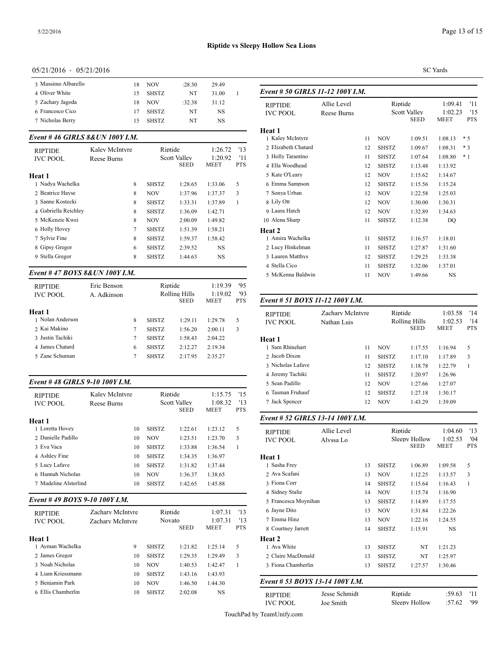| 3 Massimo Albarello | 18 | <b>NOV</b>   | :28.30 | 29.49 |                 |
|---------------------|----|--------------|--------|-------|-----------------|
| 4 Oliver White      | 15 | <b>SHSTZ</b> | NT     | 31.00 | Event # $50$    |
| 5 Zachary Jagoda    | 18 | <b>NOV</b>   | :32.38 | 31.12 | <b>RIPTIDE</b>  |
| 6 Francesco Cico    |    | <b>SHSTZ</b> | NT     | NS    | <b>IVC POOI</b> |
| 7 Nicholas Berry    |    | <b>SHSTZ</b> | NT     | NS    |                 |

#### *Event # 46 GIRLS 8&UN 100Y I.M.*

| <b>RIPTIDE</b><br><b>IVC POOL</b> | Kalev McIntyre<br>Reese Burns | Riptide<br><b>Scott Valley</b> |             | '13<br>1:26.72<br>1:20.92<br>'11 |     | 2 Elizabeth Chatai<br>3 Holly Tarantino |
|-----------------------------------|-------------------------------|--------------------------------|-------------|----------------------------------|-----|-----------------------------------------|
|                                   |                               |                                | <b>SEED</b> | MEET                             | PTS | 4 Ella Woodhead                         |
| Heat 1                            |                               |                                |             |                                  |     | 5 Kate O'Learv                          |
| 1 Nadya Wachelka                  | 8                             | <b>SHSTZ</b>                   | 1:28.65     | 1:33.06                          | 5   | 6 Emma Sampson                          |
| 2 Beatrice Hayse                  | 8                             | <b>NOV</b>                     | 1:37.96     | 1:37.37                          | 3   | 7 Sonya Urban                           |
| 3 Sanne Kostecki                  | 8                             | <b>SHSTZ</b>                   | 1:33.31     | 1:37.89                          | 1   | 8 Lily Ott                              |
| 4 Gabriella Reichley              | 8                             | <b>SHSTZ</b>                   | 1:36.09     | 1:42.71                          |     | 9 Laura Hatch                           |
| 5 McKenzie Kwei                   | 8                             | <b>NOV</b>                     | 2:00.09     | 1:49.82                          |     | 10 Alena Sharp                          |
| 6 Holly Hovey                     | 7                             | <b>SHSTZ</b>                   | 1:51.39     | 1:58.21                          |     | Heat 2                                  |
| 7 Sylvie Fine                     | 8                             | <b>SHSTZ</b>                   | 1:59.37     | 1:58.42                          |     | 1 Amira Wachelka                        |
| 8 Gipsy Gregor                    | 6                             | <b>SHSTZ</b>                   | 2:39.52     | <b>NS</b>                        |     | 2 Lucy Hinkelmar                        |
| 9 Stella Gregor                   | 8                             | <b>SHSTZ</b>                   | 1:44.63     | <b>NS</b>                        |     | 3 Lauren Matthys                        |
|                                   |                               |                                |             |                                  |     |                                         |

## *Event # 47 BOYS 8&UN 100Y I.M.*

| <b>RIPTIDE</b><br><b>IVC POOL</b> | Eric Benson<br>A. Adkinson |   | Riptide      | Rolling Hills | 1:19.39<br>1:19.02 | 95<br>'93  |                  |
|-----------------------------------|----------------------------|---|--------------|---------------|--------------------|------------|------------------|
|                                   |                            |   |              | <b>SEED</b>   | <b>MEET</b>        | <b>PTS</b> | Event # 51 $BOY$ |
| Heat 1                            |                            |   |              |               |                    |            | <b>RIPTIDE</b>   |
| 1 Nolan Anderson                  |                            | 8 | <b>SHSTZ</b> | 1:29.11       | 1:29.78            | 5          | <b>IVC POOL</b>  |
| 2 Kai Makino                      |                            | 7 | <b>SHSTZ</b> | 1:56.20       | 2:00.11            | 3          |                  |
| 3 Justin Tachiki                  |                            | 7 | <b>SHSTZ</b> | 1:58.43       | 2:04.22            |            | Heat 1           |
| 4 James Chatard                   |                            | 6 | <b>SHSTZ</b> | 2:12.27       | 2:19.34            |            | 1 Sam Rhinehart  |
| 5 Zane Schuman                    |                            |   | <b>SHSTZ</b> | 2:17.95       | 2:35.27            |            | 2 Jacob Dixon    |
|                                   |                            |   |              |               |                    |            | .                |

#### *Event # 48 GIRLS 9-10 100Y I.M.*

| <b>RIPTIDE</b><br><b>IVC POOL</b> | Kalev McIntvre<br>Reese Burns | Riptide      | <b>Scott Valley</b><br>SEED | 1:15.75<br>1:08.32<br>MEET | '15<br>13<br><b>PTS</b> | 6 Tasman Fruhauf<br>7 Jack Spencer |
|-----------------------------------|-------------------------------|--------------|-----------------------------|----------------------------|-------------------------|------------------------------------|
| Heat 1                            |                               |              |                             |                            |                         | Event # 52 GIRI                    |
| 1 Loretta Hovey                   | 10                            | <b>SHSTZ</b> | 1:22.61                     | 1:23.12                    | 5                       | <b>RIPTIDE</b>                     |
| 2 Danielle Padillo                | 10                            | <b>NOV</b>   | 1:23.51                     | 1:23.70                    | 3                       | <b>IVC POOL</b>                    |
| 3 Eva Vaca                        | 10                            | <b>SHSTZ</b> | 1:33.88                     | 1:36.54                    | 1                       |                                    |
| 4 Ashley Fine                     | 10                            | <b>SHSTZ</b> | 1:34.35                     | 1:36.97                    |                         | Heat 1                             |
| 5 Lucy Lafave                     | 10                            | <b>SHSTZ</b> | 1:31.82                     | 1:37.44                    |                         | 1 Sasha Frey                       |
| 6 Hannah Nicholas                 | 10                            | <b>NOV</b>   | 1:36.37                     | 1:38.65                    |                         | 2 Ava Scafani                      |
| 7 Madeline Alsterlind             | 10                            | <b>SHSTZ</b> | 1:42.65                     | 1:45.88                    |                         | 3 Fiona Corr                       |
|                                   |                               |              |                             |                            |                         | 4 Sidney Stalie                    |
| Event #49 BOYS 9-10 100Y I.M.     |                               |              |                             |                            |                         | 5 Francesca Moyr                   |
| <b>RIPTIDE</b>                    | Zachary McIntyre              | Riptide      |                             | 1:07.31                    | '13                     | 6 Jayne Dito                       |
| <b>IVC POOL</b>                   | Zachary McIntyre              | Novato       |                             | 1:07.31                    | 13                      | 7 Emma Hinz                        |
|                                   |                               |              | <b>SEED</b>                 | MEET                       | <b>PTS</b>              | 8 Courtney Jarrett                 |
| Heat 1                            |                               |              |                             |                            |                         | <b>Heat 2</b>                      |

| 1 Ayman Wachelka   | 9  | <b>SHSTZ</b> | 1:21.82 | 1:25.14 | 5 | 1 Ava Whit     |
|--------------------|----|--------------|---------|---------|---|----------------|
| 2 James Gregor     | 10 | <b>SHSTZ</b> | 1:29.35 | 1.2949  |   | 2 Claire Ma    |
| 3 Noah Nicholas    | 10 | NOV.         | 1:40.53 | 1.42.47 |   | 3 Fiona Cha    |
| 4 Liam Kriessmann  | 10 | <b>SHSTZ</b> | 1:43.16 | 1:43.93 |   |                |
| 5 Benjamin Park    | 10 | <b>NOV</b>   | 1:46.50 | 1:44.30 |   | Event # $53$   |
| 6 Ellis Chamberlin | 10 | <b>SHSTZ</b> | 2:02.08 | NS      |   | <b>RIPTIDE</b> |
|                    |    |              |         |         |   |                |

#### SC Yards

| Event # 50 GIRLS 11-12 100Y I.M.  |                            |    |                                               |         |                                   |                          |
|-----------------------------------|----------------------------|----|-----------------------------------------------|---------|-----------------------------------|--------------------------|
| <b>RIPTIDE</b><br><b>IVC POOL</b> | Allie Level<br>Reese Burns |    | Riptide<br><b>Scott Valley</b><br><b>SEED</b> |         | 1:09.41<br>1:02.23<br><b>MEET</b> | '11<br>'15<br><b>PTS</b> |
| <b>Heat 1</b>                     |                            |    |                                               |         |                                   |                          |
| 1 Kaley McIntyre                  |                            | 11 | <b>NOV</b>                                    | 1:09.51 | 1:08.13                           | $*5$                     |
| 2 Elizabeth Chatard               |                            | 12 | <b>SHSTZ</b>                                  | 1:09.67 | 1:08.31                           | $*3$                     |
| 3 Holly Tarantino                 |                            | 11 | <b>SHSTZ</b>                                  | 1:07.64 | 1:08.80                           | $*1$                     |
| 4 Ella Woodhead                   |                            | 12 | <b>SHSTZ</b>                                  | 1:13.48 | 1:13.92                           |                          |
| 5 Kate O'Leary                    |                            | 12 | <b>NOV</b>                                    | 1:15.62 | 1:14.67                           |                          |
| 6 Emma Sampson                    |                            | 12 | <b>SHSTZ</b>                                  | 1:15.56 | 1:15.24                           |                          |
| 7 Sonya Urban                     |                            | 12 | <b>NOV</b>                                    | 1:22.58 | 1:25.03                           |                          |
| 8 Lily Ott                        |                            | 12 | <b>NOV</b>                                    | 1:30.00 | 1:30.31                           |                          |
| 9 Laura Hatch                     |                            | 12 | <b>NOV</b>                                    | 1:32.89 | 1:34.63                           |                          |
| 10 Alena Sharp                    |                            | 11 | <b>SHSTZ</b>                                  | 1:12.38 | DQ                                |                          |
| Heat 2                            |                            |    |                                               |         |                                   |                          |
| 1 Amira Wachelka                  |                            | 11 | <b>SHSTZ</b>                                  | 1:16.57 | 1:18.01                           |                          |
| 2 Lucy Hinkelman                  |                            | 11 | <b>SHSTZ</b>                                  | 1:27.87 | 1:31.60                           |                          |
| 3 Lauren Matthys                  |                            | 12 | <b>SHSTZ</b>                                  | 1:29.25 | 1:33.38                           |                          |
| 4 Stella Cico                     |                            | 11 | <b>SHSTZ</b>                                  | 1:32.06 | 1:37.01                           |                          |
| 5 McKenna Baldwin                 |                            | 11 | <b>NOV</b>                                    | 1:49.66 | <b>NS</b>                         |                          |
|                                   |                            |    |                                               |         |                                   |                          |

#### SEED MEET PTS *Event # 51 BOYS 11-12 100Y I.M.*

| <b>RIPTIDE</b><br><b>IVC POOL</b> | Zachary McIntyre<br>Nathan Luis |    | Riptide<br>Rolling Hills | <b>SEED</b> | 1:03.58<br>1:02.53<br><b>MEET</b> | '14<br>'14<br><b>PTS</b> |
|-----------------------------------|---------------------------------|----|--------------------------|-------------|-----------------------------------|--------------------------|
| Heat 1                            |                                 |    |                          |             |                                   |                          |
| 1 Sam Rhinehart                   |                                 | 11 | <b>NOV</b>               | 1:17.55     | 1:16.94                           | 5                        |
| 2 Jacob Dixon                     |                                 | 11 | <b>SHSTZ</b>             | 1:17.10     | 1:17.89                           | 3                        |
| 3 Nicholas Lafave                 |                                 | 12 | <b>SHSTZ</b>             | 1:18.78     | 1:22.79                           | 1                        |
| 4 Jeremy Tachiki                  |                                 | 11 | <b>SHSTZ</b>             | 1:20.97     | 1:26.96                           |                          |
| 5 Sean Padillo                    |                                 | 12 | <b>NOV</b>               | 1:27.66     | 1:27.07                           |                          |
| 6 Tasman Fruhauf                  |                                 | 12 | <b>SHSTZ</b>             | 1:27.18     | 1:30.17                           |                          |
| 7 Jack Spencer                    |                                 | 12 | <b>NOV</b>               | 1:43.29     | 1:39.09                           |                          |
|                                   |                                 |    |                          |             |                                   |                          |

#### *Event # 52 GIRLS 13-14 100Y I.M.*

| <b>RIPTIDE</b>                                 | Allie Level |    |              | Riptide                      |                        | '13               |
|------------------------------------------------|-------------|----|--------------|------------------------------|------------------------|-------------------|
| <b>IVC POOL</b>                                | Alvssa Lo   |    |              | Sleepy Hollow<br><b>SEED</b> | 1:02.53<br><b>MEET</b> | '04<br><b>PTS</b> |
| Heat 1                                         |             |    |              |                              |                        |                   |
| 1 Sasha Frey                                   |             | 13 | <b>SHSTZ</b> | 1:06.89                      | 1:09.58                | 5                 |
| 2 Ava Scafani                                  |             | 13 | <b>NOV</b>   | 1:12.25                      | 1:13.57                | 3                 |
| 3 Fiona Corr                                   |             | 14 | <b>SHSTZ</b> | 1:15.64                      | 1:16.43                | 1                 |
| 4 Sidney Stalie                                |             | 14 | <b>NOV</b>   | 1:15.74                      | 1:16.90                |                   |
| 5 Francesca Moynihan                           |             | 13 | <b>SHSTZ</b> | 1:14.89                      | 1:17.55                |                   |
| 6 Jayne Dito                                   |             | 13 | <b>NOV</b>   | 1:31.84                      | 1:22.26                |                   |
| 7 Emma Hinz                                    |             | 13 | <b>NOV</b>   | 1:22.16                      | 1:24.55                |                   |
| 8 Courtney Jarrett                             |             | 14 | <b>SHSTZ</b> | 1:15.91                      | <b>NS</b>              |                   |
| <b>Heat 2</b>                                  |             |    |              |                              |                        |                   |
| 1 Ava White                                    |             | 13 | <b>SHSTZ</b> | NT                           | 1:21.23                |                   |
| 2 Claire MacDonald                             |             | 13 | <b>SHSTZ</b> | NT                           | 1:25.97                |                   |
| 3 Fiona Chamberlin                             |             | 13 | <b>SHSTZ</b> | 1:27.57                      | 1:30.46                |                   |
| $F = 10.52$ $F = 2.00$ $F = 10.00$ $F = 10.00$ |             |    |              |                              |                        |                   |

# *Event # 53 BOYS 13-14 100Y I.M.*

| <b>RIPTIDE</b>  | Jesse Schmidt | Riptide       | :59.63 |     |
|-----------------|---------------|---------------|--------|-----|
| <b>IVC POOL</b> | Joe Smith-    | Sleepy Hollow | :57.62 | '99 |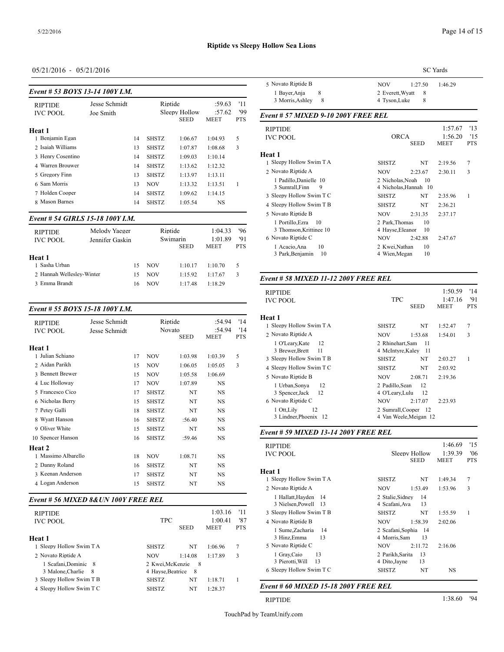| Event # 53 BOYS 13-14 100Y I.M. |               |    |              |                              | $J_{\rm A}$ is very supposed.<br>1 Bayer, Anja |                   |                                      |
|---------------------------------|---------------|----|--------------|------------------------------|------------------------------------------------|-------------------|--------------------------------------|
| <b>RIPTIDE</b>                  | Jesse Schmidt |    | Riptide      |                              | :59.63                                         | '11               | 3 Morris, Ashle                      |
| <b>IVC POOL</b>                 | Joe Smith     |    |              | Sleepy Hollow<br><b>SEED</b> | :57.62<br>MEET                                 | '99<br><b>PTS</b> | Event # $57$ MIX                     |
| Heat 1                          |               |    |              |                              |                                                |                   | <b>RIPTIDE</b>                       |
| 1 Benjamin Egan                 |               | 14 | <b>SHSTZ</b> | 1:06.67                      | 1:04.93                                        | 5                 | <b>IVC POOL</b>                      |
| 2 Isaiah Williams               |               | 13 | <b>SHSTZ</b> | 1:07.87                      | 1:08.68                                        | 3                 |                                      |
| 3 Henry Cosentino               |               | 14 | <b>SHSTZ</b> | 1:09.03                      | 1:10.14                                        |                   | Heat 1                               |
| 4 Warren Brouwer                |               | 14 | <b>SHSTZ</b> | 1:13.62                      | 1:12.32                                        |                   | 1 Sleepy Hollow S                    |
| 5 Gregory Finn                  |               | 13 | <b>SHSTZ</b> | 1:13.97                      | 1:13.11                                        |                   | 2 Novato Riptide.                    |
| 6 Sam Morris                    |               | 13 | <b>NOV</b>   | 1:13.32                      | 1:13.51                                        | 1                 | 1 Padillo, Danie                     |
| 7 Holden Cooper                 |               | 14 | SHSTZ        | 1:09.62                      | 1:14.15                                        |                   | 3 Sumrall, Finn<br>3 Sleepy Hollow S |
| 8 Mason Barnes                  |               | 14 | <b>SHSTZ</b> | 1:05.54                      | NS                                             |                   | 4 Sleepy Hollow S                    |

#### *Event # 54 GIRLS 15-18 100Y I.M.*

| <b>RIPTIDE</b><br><b>IVC POOL</b> | Melody Yaeger<br>Jennifer Gaskin |    | Riptide    | Swimarin<br><b>SEED</b> | 1:04.33<br>1:01.89<br><b>MEET</b> | '96<br>'91<br><b>PTS</b> | 3 Thomson, Kr<br>6 Novato Riptide<br>1 Acacio.Ana<br>3 Park, Benjam |
|-----------------------------------|----------------------------------|----|------------|-------------------------|-----------------------------------|--------------------------|---------------------------------------------------------------------|
| Heat 1                            |                                  |    |            |                         |                                   |                          |                                                                     |
| 1 Sasha Urban                     |                                  | 15 | NOV        | 1:10.17                 | 1:10.70                           | 5.                       |                                                                     |
| 2 Hannah Welleslev-Winter         |                                  | 15 | <b>NOV</b> | 1:15.92                 | 1:17.67                           | 3                        | Event # 58 MIX.                                                     |
| 3 Emma Brandt                     |                                  | 16 | <b>NOV</b> | 1:17.48                 | 1:18.29                           |                          |                                                                     |

#### *Event # 55 BOYS 15-18 100Y I.M.*

| <b>RIPTIDE</b><br><b>IVC POOL</b> | Jesse Schmidt<br>Jesse Schmidt |    | Riptide<br>Novato |             | :54.94<br>:54.94 | '14<br>'14 | Heat 1<br>1 Sleepy Hollow S<br>2 Novato Riptide. |
|-----------------------------------|--------------------------------|----|-------------------|-------------|------------------|------------|--------------------------------------------------|
| <b>Heat 1</b>                     |                                |    |                   | <b>SEED</b> | <b>MEET</b>      | <b>PTS</b> | 1 O'Leary, Kate<br>3 Brewer, Brett               |
| 1 Julian Schiano                  |                                | 17 | <b>NOV</b>        | 1:03.98     | 1:03.39          | 5          | 3 Sleepy Hollow S                                |
| 2 Aidan Parikh                    |                                | 15 | <b>NOV</b>        | 1:06.05     | 1:05.05          | 3          | 4 Sleepy Hollow S                                |
| 3 Bennett Brewer                  |                                | 15 | <b>NOV</b>        | 1:05.58     | 1:06.69          |            | 5 Novato Riptide                                 |
| 4 Luc Holloway                    |                                | 17 | <b>NOV</b>        | 1:07.89     | <b>NS</b>        |            | 1 Urban, Sonya                                   |
| 5 Francesco Cico                  |                                | 17 | <b>SHSTZ</b>      | NT          | NS               |            | 3 Spencer, Jack                                  |
| 6 Nicholas Berry                  |                                | 15 | <b>SHSTZ</b>      | NT          | NS               |            | 6 Novato Riptide                                 |
| 7 Petey Galli                     |                                | 18 | <b>SHSTZ</b>      | NT          | NS               |            | 1 Ott, Lily                                      |
| 8 Wyatt Hanson                    |                                | 16 | <b>SHSTZ</b>      | :56.40      | <b>NS</b>        |            | 3 Lindner, Phoe                                  |
| 9 Oliver White                    |                                | 15 | <b>SHSTZ</b>      | NT          | NS               |            | Event # 59 $MIX$                                 |
| 10 Spencer Hanson                 |                                | 16 | <b>SHSTZ</b>      | :59.46      | NS               |            |                                                  |
| Heat 2                            |                                |    |                   |             |                  |            | <b>RIPTIDE</b>                                   |
| 1 Massimo Albarello               |                                | 18 | <b>NOV</b>        | 1:08.71     | NS               |            | <b>IVC POOL</b>                                  |
| 2 Danny Roland                    |                                | 16 | <b>SHSTZ</b>      | NT          | NS.              |            |                                                  |
| 3 Keenan Anderson                 |                                | 17 | <b>SHSTZ</b>      | NT          | <b>NS</b>        |            | Heat 1                                           |
| 4 Logan Anderson                  |                                | 15 | <b>SHSTZ</b>      | NT          | NS               |            | 1 Sleepy Hollow S<br>2 Novato Riptide.           |

#### *Event # 56 MIXED 8&UN 100Y FREE REL*

|                                             |                                       |                       |         |            | <b>3 INICISCIL LOW</b>                |
|---------------------------------------------|---------------------------------------|-----------------------|---------|------------|---------------------------------------|
| <b>RIPTIDE</b>                              |                                       |                       | 1:03.16 | '11        | 3 Sleepy Hollow S                     |
| <b>IVC POOL</b>                             | <b>TPC</b>                            |                       | 1:00.41 | '87        | 4 Novato Riptide                      |
| Heat 1                                      |                                       | <b>SEED</b>           | MEET    | <b>PTS</b> | 1 Sume, Zachar<br>3 Hinz, Emma        |
| 1 Sleepy Hollow Swim T A                    | <b>SHSTZ</b>                          | NT                    | 1:06.96 | 7          | 5 Novato Riptide                      |
| 2. Novato Riptide A                         | <b>NOV</b>                            | 1:14.08               | 1:17.89 | 3          | 1 Gray, Caio                          |
| 1 Scafani, Dominic 8<br>3 Malone, Charlie 8 | 2 Kwei, McKenzie<br>4 Hayse, Beatrice | 8 <sup>1</sup><br>- 8 |         |            | 3 Pierotti, Will<br>6 Sleepy Hollow S |
| 3 Sleepy Hollow Swim T B                    | <b>SHSTZ</b>                          | NT                    | 1:18.71 |            |                                       |
| 4 Sleepy Hollow Swim T C                    | <b>SHSTZ</b>                          | NT                    | 1:28.37 |            | Event # 60 MIX                        |
|                                             |                                       |                       |         |            |                                       |

|                                                    | <b>SC</b> Yards                                              |                   |
|----------------------------------------------------|--------------------------------------------------------------|-------------------|
| 5 Novato Riptide B                                 | <b>NOV</b><br>1:27.50<br>1:46.29                             |                   |
| 8<br>1 Bayer, Anja                                 | 2 Everett, Wyatt<br>8                                        |                   |
| 3 Morris, Ashley<br>8                              | 8<br>4 Tyson, Luke                                           |                   |
| Event # 57 MIXED 9-10 200Y FREE REL                |                                                              |                   |
| <b>RIPTIDE</b>                                     | 1:57.67                                                      | '13               |
| <b>IVC POOL</b>                                    | <b>ORCA</b><br>1:56.20<br><b>SEED</b><br><b>MEET</b>         | '15<br><b>PTS</b> |
| Heat 1                                             |                                                              |                   |
| 1 Sleepy Hollow Swim T A                           | <b>SHSTZ</b><br>NT<br>2:19.56                                | 7                 |
| 2 Novato Riptide A                                 | <b>NOV</b><br>2:23.67<br>2:30.11                             | 3                 |
| 1 Padillo, Danielle 10<br>3 Sumrall, Finn<br>9     | 2 Nicholas, Noah<br>$\overline{10}$<br>4 Nicholas, Hannah 10 |                   |
| 3 Sleepy Hollow Swim T C                           | <b>SHSTZ</b><br>NT<br>2:35.96                                | 1                 |
| 4 Sleepy Hollow Swim T B                           | <b>SHSTZ</b><br>NT<br>2:36.21                                |                   |
| 5 Novato Riptide B                                 | <b>NOV</b><br>2:37.17<br>2:31.35                             |                   |
| 1 Portillo, Ezra<br>-10<br>3 Thomson, Krittinee 10 | 2 Park, Thomas<br>10<br>4 Hayse, Eleanor<br>10               |                   |
| 6 Novato Riptide C                                 | <b>NOV</b><br>2:42.88<br>2:47.67                             |                   |
| 10<br>1 Acacio, Ana<br>3 Park, Benjamin<br>10      | 2 Kwei.Nathan<br>10<br>10<br>4 Wien, Megan                   |                   |

## *Event # 58 MIXED 11-12 200Y FREE REL*

| <b>RIPTIDE</b><br><b>IVC POOL</b>                | <b>TPC</b><br><b>SEED</b>                       |         | 1:50.59<br>1:47.16<br><b>MEET</b> | '14<br>'91<br><b>PTS</b> |  |  |
|--------------------------------------------------|-------------------------------------------------|---------|-----------------------------------|--------------------------|--|--|
| Heat 1                                           |                                                 |         |                                   |                          |  |  |
| 1 Sleepy Hollow Swim T A                         | <b>SHSTZ</b>                                    | NT      | 1:52.47                           | 7                        |  |  |
| 2 Novato Riptide A                               | NOV                                             | 1:53.68 | 1:54.01                           | 3                        |  |  |
| 1 O'Leary, Kate<br>12<br>3 Brewer, Brett<br>- 11 | 2 Rhinehart.Sam<br>-11<br>4 McIntyre, Kaley 11  |         |                                   |                          |  |  |
| 3 Sleepy Hollow Swim T B                         | <b>SHSTZ</b>                                    | NT      | 2:03.27                           | 1                        |  |  |
| 4 Sleepy Hollow Swim T C                         | <b>SHSTZ</b>                                    | NT      | 2:03.92                           |                          |  |  |
| 5 Novato Riptide B                               | NOV.                                            | 2:08.71 | 2:19.36                           |                          |  |  |
| 12<br>1 Urban, Sonya<br>12<br>3 Spencer, Jack    | 2 Padillo, Sean<br>12<br>-12<br>4 O'Leary, Lulu |         |                                   |                          |  |  |
| 6 Novato Riptide C                               | <b>NOV</b>                                      | 2:17.07 | 2:23.93                           |                          |  |  |
| 1 Ott, Lily<br>12<br>3 Lindner, Phoenix 12       | 2 Sumrall, Cooper 12<br>4 Van Weele, Meigan 12  |         |                                   |                          |  |  |

#### *Event # 59 MIXED 13-14 200Y FREE REL*

| <b>RIPTIDE</b>                                                           |                                                  |                              | 1:46.69                | '15               |
|--------------------------------------------------------------------------|--------------------------------------------------|------------------------------|------------------------|-------------------|
| <b>IVC POOL</b>                                                          |                                                  | Sleepy Hollow<br><b>SEED</b> | 1:39.39<br><b>MEET</b> | 06'<br><b>PTS</b> |
| Heat 1                                                                   |                                                  |                              |                        |                   |
| 1 Sleepy Hollow Swim T A                                                 | <b>SHSTZ</b>                                     | NT                           | 1:49.34                | 7                 |
| 2 Novato Riptide A                                                       | <b>NOV</b>                                       | 1:53.49                      | 1:53.96                | 3                 |
| 1 Hallatt, Hayden 14<br>3 Nielsen, Powell 13                             | 2 Stalie, Sidney<br>4 Scafani, Ava               | 14<br>13                     |                        |                   |
| 3 Sleepy Hollow Swim T B                                                 | <b>SHSTZ</b>                                     | NT                           | 1:55.59                | 1                 |
| 4 Novato Riptide B                                                       | NOV                                              | 1:58.39                      | 2:02.06                |                   |
| 1 Sume, Zacharia<br>-14<br>13<br>3 Hinz, Emma<br>5 Novato Riptide C      | 2 Scafani, Sophia<br>4 Morris, Sam<br><b>NOV</b> | - 14<br>13<br>2:11.72        | 2:16.06                |                   |
| 13<br>1 Gray, Caio<br>3 Pierotti, Will<br>13<br>6 Sleepy Hollow Swim T C | 2 Parikh Sarita<br>4 Dito, Jayne<br><b>SHSTZ</b> | 13<br>13<br>NT               | NS                     |                   |
|                                                                          |                                                  |                              |                        |                   |

#### *Event # 60 MIXED 15-18 200Y FREE REL*